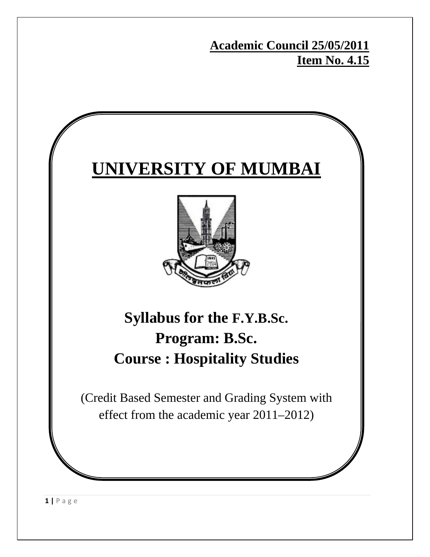**Academic Council 25/05/2011 Item No. 4.15**

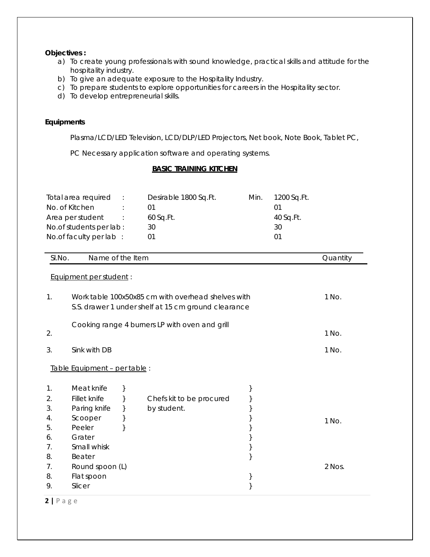#### **Objectives :**

- a) To create young professionals with sound knowledge, practical skills and attitude for the hospitality industry.
- b) To give an adequate exposure to the Hospitality Industry.
- c) To prepare students to explore opportunities for careers in the Hospitality sector.
- d) To develop entrepreneurial skills.

### **Equipments**

Plasma/LCD/LED Television, LCD/DLP/LED Projectors, Net book, Note Book, Tablet PC,

PC Necessary application software and operating systems.

### **BASIC TRAINING KITCHEN**

|        | Total area required<br>No. of Kitchen<br>Area per student<br>No.of students per lab:<br>No.of faculty per lab : | $\therefore$ | Desirable 1800 Sq.Ft.<br>01<br>60 Sq.Ft.<br>30<br>01 | Min. | 1200 Sq.Ft.<br>01<br>40 Sq.Ft.<br>30<br>01 |          |
|--------|-----------------------------------------------------------------------------------------------------------------|--------------|------------------------------------------------------|------|--------------------------------------------|----------|
| SI.No. | Name of the Item                                                                                                |              |                                                      |      |                                            | Quantity |
|        | Equipment per student:                                                                                          |              |                                                      |      |                                            |          |
|        |                                                                                                                 |              |                                                      |      |                                            |          |
| 1.     |                                                                                                                 |              | Work table 100x50x85 cm with overhead shelves with   |      |                                            | 1 No.    |
|        |                                                                                                                 |              | S.S. drawer 1 under shelf at 15 cm ground clearance  |      |                                            |          |
|        |                                                                                                                 |              | Cooking range 4 burners LP with oven and grill       |      |                                            |          |
| 2.     |                                                                                                                 |              |                                                      |      |                                            | 1 No.    |
| 3.     | Sink with DB                                                                                                    |              |                                                      |      |                                            | 1 No.    |
|        |                                                                                                                 |              |                                                      |      |                                            |          |
|        | Table Equipment - per table :                                                                                   |              |                                                      |      |                                            |          |
| 1.     | Meat knife                                                                                                      | }            |                                                      | }    |                                            |          |
| 2.     | Fillet knife                                                                                                    | $\}$         | Chefs kit to be procured                             | $\}$ |                                            |          |
| 3.     | Paring knife                                                                                                    | }            | by student.                                          | $\}$ |                                            |          |
| 4.     | Scooper                                                                                                         | }            |                                                      |      |                                            | 1 No.    |
| 5.     | Peeler                                                                                                          | }            |                                                      | }    |                                            |          |
| 6.     | Grater                                                                                                          |              |                                                      | }    |                                            |          |
| 7.     | Small whisk                                                                                                     |              |                                                      | $\}$ |                                            |          |
| 8.     | Beater                                                                                                          |              |                                                      | }    |                                            |          |
| 7.     | Round spoon (L)                                                                                                 |              |                                                      |      |                                            | 2 Nos.   |
| 8.     | Flat spoon                                                                                                      |              |                                                      | }    |                                            |          |
| 9.     | Slicer                                                                                                          |              |                                                      | }    |                                            |          |

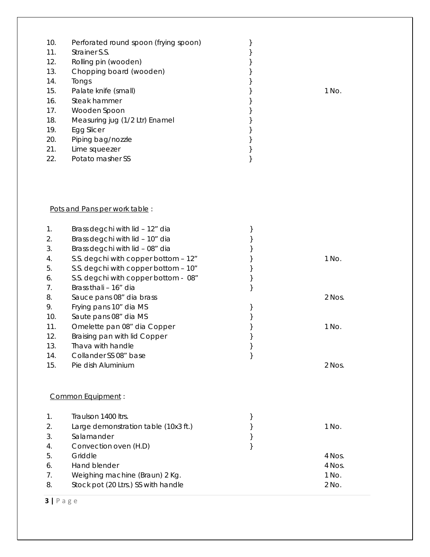| 10. | Perforated round spoon (frying spoon) |       |
|-----|---------------------------------------|-------|
| 11. | Strainer S.S.                         |       |
| 12. | Rolling pin (wooden)                  |       |
| 13. | Chopping board (wooden)               |       |
| 14. | Tongs                                 |       |
| 15. | Palate knife (small)                  | 1 No. |
| 16. | Steak hammer                          |       |
| 17. | Wooden Spoon                          |       |
| 18. | Measuring jug (1/2 Ltr) Enamel        |       |
| 19. | Egg Slicer                            |       |
| 20. | Piping bag/nozzle                     |       |
| 21. | Lime squeezer                         |       |
| 22. | Potato masher SS                      |       |

### Pots and Pans per work table :

| 1.  | Brass degchi with lid - 12" dia      | } |          |
|-----|--------------------------------------|---|----------|
| 2.  | Brass degchi with lid - 10" dia      |   |          |
| 3.  | Brass degchi with lid - 08" dia      |   |          |
| 4.  | S.S. degchi with copper bottom - 12" |   | 1 No.    |
| 5.  | S.S. degchi with copper bottom - 10" |   |          |
| 6.  | S.S. degchi with copper bottom - 08" |   |          |
| 7.  | Brass thali - 16" dia                |   |          |
| 8.  | Sauce pans 08" dia brass             |   | $2$ Nos. |
| 9.  | Frying pans 10" dia MS               |   |          |
| 10. | Saute pans 08" dia MS                |   |          |
| 11. | Omelette pan 08" dia Copper          |   | 1 No.    |
| 12. | Braising pan with lid Copper         | } |          |
| 13. | Thava with handle                    |   |          |
| 14. | Collander SS 08" base                | } |          |
| 15. | Pie dish Aluminium                   |   | 2 Nos.   |
|     |                                      |   |          |
|     |                                      |   |          |
|     | <b>Common Equipment:</b>             |   |          |
| 1.  | Traulson 1400 ltrs.                  | } |          |
| 2.  | Large demonstration table (10x3 ft.) |   | 1 No.    |
| 3.  | Salamander                           |   |          |
| 4.  | Convection oven (H.D)                | } |          |
| 5.  | Griddle                              |   | 4 Nos.   |
| 6.  | Hand blender                         |   | 4 Nos.   |
| 7.  | Weighing machine (Braun) 2 Kg.       |   | 1 No.    |
| 8.  | Stock pot (20 Ltrs.) SS with handle  |   | 2 No.    |
|     |                                      |   |          |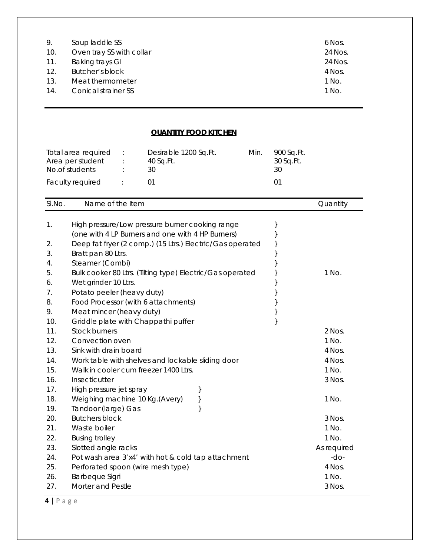| 9.  | Soup laddle SS             | 6 Nos.  |
|-----|----------------------------|---------|
| 10. | Oven tray SS with collar   | 24 Nos. |
| 11. | Baking trays GI            | 24 Nos. |
| 12. | Butcher's block            | 4 Nos.  |
| 13. | Meat thermometer           | 1 No.   |
| 14. | <b>Conical strainer SS</b> | 1 No.   |

### **QUANTITY FOOD KITCHEN**

| Total area required<br>Area per student<br>No.of students |                | Desirable 1200 Sq.Ft.<br>40 Sq.Ft.<br>30 | Min. | 900 Sq.Ft.<br>30 Sq.Ft.<br>30 |
|-----------------------------------------------------------|----------------|------------------------------------------|------|-------------------------------|
| Faculty required                                          | <b>Service</b> |                                          |      |                               |

| High pressure/Low pressure burner cooking range<br>1.<br>}<br>(one with 4 LP Burners and one with 4 HP Burners)<br>Deep fat fryer (2 comp.) (15 Ltrs.) Electric/Gas operated<br>2.<br>}<br>3.<br>Bratt pan 80 Ltrs.<br>Steamer (Combi)<br>4.<br>Bulk cooker 80 Ltrs. (Tilting type) Electric/Gas operated<br>1 No.<br>5.<br>}<br>Wet grinder 10 Ltrs.<br>}<br>6.<br>Potato peeler (heavy duty)<br>}<br>7.<br>8.<br>Food Processor (with 6 attachments)<br>Meat mincer (heavy duty)<br>9.<br>}<br>}<br>10.<br>Griddle plate with Chappathi puffer<br><b>Stock burners</b><br>11.<br>2 Nos.<br>12.<br>Convection oven<br>1 No.<br>13.<br>Sink with drain board<br>4 Nos.<br>Work table with shelves and lockable sliding door<br>4 Nos.<br>14.<br>15.<br>Walk in cooler cum freezer 1400 Ltrs.<br>1 No.<br>16.<br>Insecticutter<br>3 Nos.<br>17.<br>High pressure jet spray<br>}<br>Weighing machine 10 Kg. (Avery)<br>}<br>18.<br>1 No.<br>19.<br>Tandoor (large) Gas<br>$\}$<br>20.<br><b>Butchers block</b><br>3 Nos.<br>21.<br>Waste boiler<br>1 No.<br>22.<br><b>Busing trolley</b><br>1 No.<br>23.<br>Slotted angle racks<br>As required<br>24.<br>$-do-$<br>Pot wash area 3'x4' with hot & cold tap attachment<br>25.<br>4 Nos.<br>Perforated spoon (wire mesh type)<br><b>Barbeque Sigri</b><br>1 No.<br>26. | SI.No. | Name of the Item  |  | Quantity |
|--------------------------------------------------------------------------------------------------------------------------------------------------------------------------------------------------------------------------------------------------------------------------------------------------------------------------------------------------------------------------------------------------------------------------------------------------------------------------------------------------------------------------------------------------------------------------------------------------------------------------------------------------------------------------------------------------------------------------------------------------------------------------------------------------------------------------------------------------------------------------------------------------------------------------------------------------------------------------------------------------------------------------------------------------------------------------------------------------------------------------------------------------------------------------------------------------------------------------------------------------------------------------------------------------------------------|--------|-------------------|--|----------|
|                                                                                                                                                                                                                                                                                                                                                                                                                                                                                                                                                                                                                                                                                                                                                                                                                                                                                                                                                                                                                                                                                                                                                                                                                                                                                                                    |        |                   |  |          |
|                                                                                                                                                                                                                                                                                                                                                                                                                                                                                                                                                                                                                                                                                                                                                                                                                                                                                                                                                                                                                                                                                                                                                                                                                                                                                                                    |        |                   |  |          |
|                                                                                                                                                                                                                                                                                                                                                                                                                                                                                                                                                                                                                                                                                                                                                                                                                                                                                                                                                                                                                                                                                                                                                                                                                                                                                                                    |        |                   |  |          |
|                                                                                                                                                                                                                                                                                                                                                                                                                                                                                                                                                                                                                                                                                                                                                                                                                                                                                                                                                                                                                                                                                                                                                                                                                                                                                                                    |        |                   |  |          |
|                                                                                                                                                                                                                                                                                                                                                                                                                                                                                                                                                                                                                                                                                                                                                                                                                                                                                                                                                                                                                                                                                                                                                                                                                                                                                                                    |        |                   |  |          |
|                                                                                                                                                                                                                                                                                                                                                                                                                                                                                                                                                                                                                                                                                                                                                                                                                                                                                                                                                                                                                                                                                                                                                                                                                                                                                                                    |        |                   |  |          |
|                                                                                                                                                                                                                                                                                                                                                                                                                                                                                                                                                                                                                                                                                                                                                                                                                                                                                                                                                                                                                                                                                                                                                                                                                                                                                                                    |        |                   |  |          |
|                                                                                                                                                                                                                                                                                                                                                                                                                                                                                                                                                                                                                                                                                                                                                                                                                                                                                                                                                                                                                                                                                                                                                                                                                                                                                                                    |        |                   |  |          |
|                                                                                                                                                                                                                                                                                                                                                                                                                                                                                                                                                                                                                                                                                                                                                                                                                                                                                                                                                                                                                                                                                                                                                                                                                                                                                                                    |        |                   |  |          |
|                                                                                                                                                                                                                                                                                                                                                                                                                                                                                                                                                                                                                                                                                                                                                                                                                                                                                                                                                                                                                                                                                                                                                                                                                                                                                                                    |        |                   |  |          |
|                                                                                                                                                                                                                                                                                                                                                                                                                                                                                                                                                                                                                                                                                                                                                                                                                                                                                                                                                                                                                                                                                                                                                                                                                                                                                                                    |        |                   |  |          |
|                                                                                                                                                                                                                                                                                                                                                                                                                                                                                                                                                                                                                                                                                                                                                                                                                                                                                                                                                                                                                                                                                                                                                                                                                                                                                                                    |        |                   |  |          |
|                                                                                                                                                                                                                                                                                                                                                                                                                                                                                                                                                                                                                                                                                                                                                                                                                                                                                                                                                                                                                                                                                                                                                                                                                                                                                                                    |        |                   |  |          |
|                                                                                                                                                                                                                                                                                                                                                                                                                                                                                                                                                                                                                                                                                                                                                                                                                                                                                                                                                                                                                                                                                                                                                                                                                                                                                                                    |        |                   |  |          |
|                                                                                                                                                                                                                                                                                                                                                                                                                                                                                                                                                                                                                                                                                                                                                                                                                                                                                                                                                                                                                                                                                                                                                                                                                                                                                                                    |        |                   |  |          |
|                                                                                                                                                                                                                                                                                                                                                                                                                                                                                                                                                                                                                                                                                                                                                                                                                                                                                                                                                                                                                                                                                                                                                                                                                                                                                                                    |        |                   |  |          |
|                                                                                                                                                                                                                                                                                                                                                                                                                                                                                                                                                                                                                                                                                                                                                                                                                                                                                                                                                                                                                                                                                                                                                                                                                                                                                                                    |        |                   |  |          |
|                                                                                                                                                                                                                                                                                                                                                                                                                                                                                                                                                                                                                                                                                                                                                                                                                                                                                                                                                                                                                                                                                                                                                                                                                                                                                                                    |        |                   |  |          |
|                                                                                                                                                                                                                                                                                                                                                                                                                                                                                                                                                                                                                                                                                                                                                                                                                                                                                                                                                                                                                                                                                                                                                                                                                                                                                                                    |        |                   |  |          |
|                                                                                                                                                                                                                                                                                                                                                                                                                                                                                                                                                                                                                                                                                                                                                                                                                                                                                                                                                                                                                                                                                                                                                                                                                                                                                                                    |        |                   |  |          |
|                                                                                                                                                                                                                                                                                                                                                                                                                                                                                                                                                                                                                                                                                                                                                                                                                                                                                                                                                                                                                                                                                                                                                                                                                                                                                                                    |        |                   |  |          |
|                                                                                                                                                                                                                                                                                                                                                                                                                                                                                                                                                                                                                                                                                                                                                                                                                                                                                                                                                                                                                                                                                                                                                                                                                                                                                                                    |        |                   |  |          |
|                                                                                                                                                                                                                                                                                                                                                                                                                                                                                                                                                                                                                                                                                                                                                                                                                                                                                                                                                                                                                                                                                                                                                                                                                                                                                                                    |        |                   |  |          |
|                                                                                                                                                                                                                                                                                                                                                                                                                                                                                                                                                                                                                                                                                                                                                                                                                                                                                                                                                                                                                                                                                                                                                                                                                                                                                                                    |        |                   |  |          |
|                                                                                                                                                                                                                                                                                                                                                                                                                                                                                                                                                                                                                                                                                                                                                                                                                                                                                                                                                                                                                                                                                                                                                                                                                                                                                                                    |        |                   |  |          |
|                                                                                                                                                                                                                                                                                                                                                                                                                                                                                                                                                                                                                                                                                                                                                                                                                                                                                                                                                                                                                                                                                                                                                                                                                                                                                                                    |        |                   |  |          |
|                                                                                                                                                                                                                                                                                                                                                                                                                                                                                                                                                                                                                                                                                                                                                                                                                                                                                                                                                                                                                                                                                                                                                                                                                                                                                                                    |        |                   |  |          |
|                                                                                                                                                                                                                                                                                                                                                                                                                                                                                                                                                                                                                                                                                                                                                                                                                                                                                                                                                                                                                                                                                                                                                                                                                                                                                                                    |        |                   |  |          |
|                                                                                                                                                                                                                                                                                                                                                                                                                                                                                                                                                                                                                                                                                                                                                                                                                                                                                                                                                                                                                                                                                                                                                                                                                                                                                                                    | 27.    | Morter and Pestle |  | 3 Nos.   |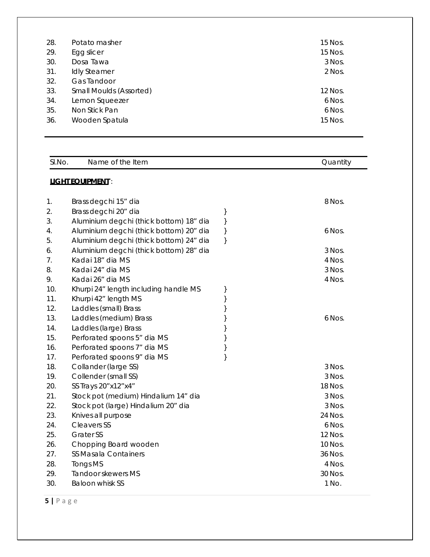| 28.<br>29.<br>30.<br>31.<br>32. | Potato masher<br>Egg slicer<br>Dosa Tawa<br><b>Idly Steamer</b><br>Gas Tandoor | 15 Nos.<br>15 Nos.<br>3 Nos.<br>2 Nos. |
|---------------------------------|--------------------------------------------------------------------------------|----------------------------------------|
| 33.                             | <b>Small Moulds (Assorted)</b>                                                 | 12 Nos.                                |
| 34.                             | Lemon Squeezer                                                                 | 6 Nos.                                 |
| 35.                             | Non Stick Pan                                                                  | 6 Nos.                                 |
| 36.                             | Wooden Spatula                                                                 | 15 Nos.                                |

| SI.No. | Name of the Item                        |   | Quantity |
|--------|-----------------------------------------|---|----------|
|        | <b>LIGHT EQUIPMENT:</b>                 |   |          |
|        |                                         |   |          |
| 1.     | Brass degchi 15" dia                    |   | 8 Nos.   |
| 2.     | Brass degchi 20" dia                    | } |          |
| 3.     | Aluminium degchi (thick bottom) 18" dia | } |          |
| 4.     | Aluminium degchi (thick bottom) 20" dia | } | 6 Nos.   |
| 5.     | Aluminium degchi (thick bottom) 24" dia | } |          |
| 6.     | Aluminium degchi (thick bottom) 28" dia |   | 3 Nos.   |
| 7.     | Kadai 18" dia MS                        |   | 4 Nos.   |
| 8.     | Kadai 24" dia MS                        |   | 3 Nos.   |
| 9.     | Kadai 26" dia MS                        |   | 4 Nos.   |
| 10.    | Khurpi 24" length including handle MS   | } |          |
| 11.    | Khurpi 42" length MS                    | } |          |
| 12.    | Laddles (small) Brass                   | } |          |
| 13.    | Laddles (medium) Brass                  | } | 6 Nos.   |
| 14.    | Laddles (large) Brass                   | } |          |
| 15.    | Perforated spoons 5" dia MS             | } |          |
| 16.    | Perforated spoons 7" dia MS             | } |          |
| 17.    | Perforated spoons 9" dia MS             | } |          |
| 18.    | Collander (large SS)                    |   | 3 Nos.   |
| 19.    | Collender (small SS)                    |   | 3 Nos.   |
| 20.    | SS Trays 20" x12" x4"                   |   | 18 Nos.  |
| 21.    | Stock pot (medium) Hindalium 14" dia    |   | 3 Nos.   |
| 22.    | Stock pot (large) Hindalium 20" dia     |   | 3 Nos.   |
| 23.    | Knives all purpose                      |   | 24 Nos.  |
| 24.    | <b>Cleavers SS</b>                      |   | 6 Nos.   |
| 25.    | <b>Grater SS</b>                        |   | 12 Nos.  |
| 26.    | Chopping Board wooden                   |   | 10 Nos.  |
| 27.    | SS Masala Containers                    |   | 36 Nos.  |
| 28.    | <b>Tongs MS</b>                         |   | 4 Nos.   |
| 29.    | Tandoor skewers MS                      |   | 30 Nos.  |
| 30.    | <b>Baloon whisk SS</b>                  |   | 1 No.    |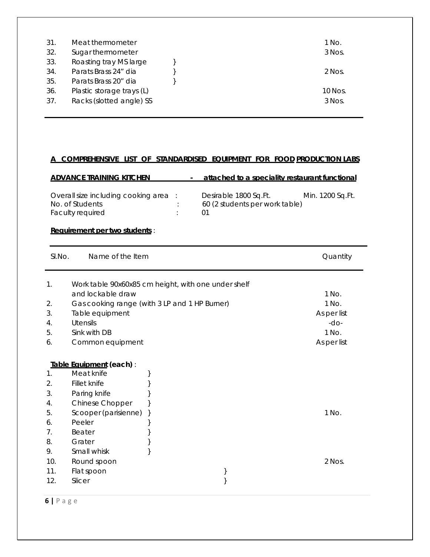| 31  | Meat thermometer          | 1 No.     |
|-----|---------------------------|-----------|
| 32. | Sugar thermometer         | 3 Nos.    |
| 33. | Roasting tray MS large    |           |
| 34. | Parats Brass 24" dia      | 2 Nos.    |
| 35. | Parats Brass 20" dia      |           |
| 36. | Plastic storage trays (L) | $10$ Nos. |
| 37. | Racks (slotted angle) SS  | 3 Nos.    |

### **A COMPREHENSIVE LIST OF STANDARDISED EQUIPMENT FOR FOOD PRODUCTION LABS**

## ADVANCE TRAINING KITCHEN - attached to a speciality restaurant functional

| Overall size including cooking area : | Desirable 1800 Sq. Ft.         | Min. 1200 Sq.Ft. |
|---------------------------------------|--------------------------------|------------------|
| No. of Students                       | 60 (2 students per work table) |                  |
| <b>Faculty required</b>               |                                |                  |

#### **Requirement per two students** :

| SI.No. | Name of the Item         |                                                     | Quantity    |
|--------|--------------------------|-----------------------------------------------------|-------------|
| 1.     |                          | Work table 90x60x85 cm height, with one under shelf |             |
|        | and lockable draw        |                                                     | 1 No.       |
| 2.     |                          | Gas cooking range (with 3 LP and 1 HP Burner)       | 1 No.       |
| 3.     | Table equipment          |                                                     | As per list |
| 4.     | Utensils                 |                                                     | $-do-$      |
| 5.     | Sink with DB             |                                                     | 1 No.       |
| 6.     | Common equipment         |                                                     | As per list |
|        |                          |                                                     |             |
|        | Table Equipment (each) : |                                                     |             |
| 1.     | Meat knife               | ł                                                   |             |
| 2.     | Fillet knife             |                                                     |             |
| 3.     | Paring knife             |                                                     |             |
| 4.     | Chinese Chopper          |                                                     |             |
| 5.     | Scooper (parisienne)     | $\left\{ \right\}$                                  | 1 No.       |
| 6.     | Peeler                   | j                                                   |             |
| 7.     | Beater                   |                                                     |             |
| 8.     | Grater                   | ſ                                                   |             |
| 9.     | Small whisk              |                                                     |             |
| 10.    | Round spoon              |                                                     | 2 Nos.      |
| 11.    | Flat spoon               |                                                     |             |
| 12.    | Slicer                   |                                                     |             |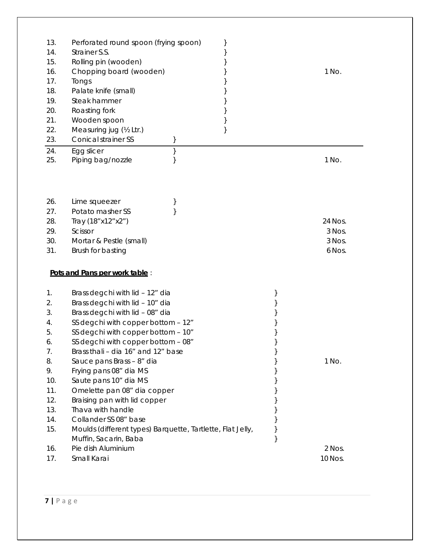| 13.<br>14.<br>15.<br>16.<br>17.<br>18.<br>19.<br>20.<br>21.<br>22.<br>23.                    | Perforated round spoon (frying spoon)<br>}<br>Strainer S.S.<br>}<br>Rolling pin (wooden)<br>Chopping board (wooden)<br>Tongs<br>Palate knife (small)<br>}<br>Steak hammer<br>Roasting fork<br>Wooden spoon<br>}<br>Measuring jug (1/2 Ltr.)<br>}<br><b>Conical strainer SS</b><br>}                                                                                                                                                                                                                                                               |   | 1 No.                                 |
|----------------------------------------------------------------------------------------------|---------------------------------------------------------------------------------------------------------------------------------------------------------------------------------------------------------------------------------------------------------------------------------------------------------------------------------------------------------------------------------------------------------------------------------------------------------------------------------------------------------------------------------------------------|---|---------------------------------------|
| 24.<br>25.                                                                                   | Egg slicer<br>}<br>Piping bag/nozzle                                                                                                                                                                                                                                                                                                                                                                                                                                                                                                              |   | 1 No.                                 |
| 26.<br>27.<br>28.<br>29.<br>30.<br>31.                                                       | Lime squeezer<br>}<br>Potato masher SS<br>}<br>Tray (18" x 12" x 2")<br>Scissor<br>Mortar & Pestle (small)<br>Brush for basting                                                                                                                                                                                                                                                                                                                                                                                                                   |   | 24 Nos.<br>3 Nos.<br>3 Nos.<br>6 Nos. |
|                                                                                              | Pots and Pans per work table:                                                                                                                                                                                                                                                                                                                                                                                                                                                                                                                     |   |                                       |
| 1.<br>2.<br>3.<br>4.<br>5.<br>6.<br>7.<br>8.<br>9.<br>10.<br>11.<br>12.<br>13.<br>14.<br>15. | Brass degchi with lid - 12" dia<br>Brass degchi with lid - 10" dia<br>Brass degchi with lid - 08" dia<br>SS degchi with copper bottom - 12"<br>SS degchi with copper bottom - 10"<br>SS degchi with copper bottom - 08"<br>Brass thali - dia 16" and 12" base<br>Sauce pans Brass - 8" dia<br>Frying pans 08" dia MS<br>Saute pans 10" dia MS<br>Omelette pan 08" dia copper<br>Braising pan with lid copper<br>Thava with handle<br>Collander SS 08" base<br>Moulds (different types) Barquette, Tartlette, Flat Jelly,<br>Muffin, Sacarin, Baba | } | 1 No.                                 |
| 16.<br>17.                                                                                   | Pie dish Aluminium<br>Small Karai                                                                                                                                                                                                                                                                                                                                                                                                                                                                                                                 |   | 2 Nos.<br>10 Nos.                     |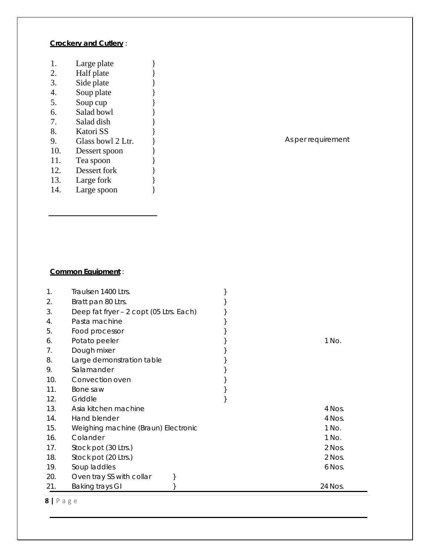## **Crockery and Cutlery** :

- 1. Large plate  $\}$
- 2. Half plate  $\}$ <br>3. Side plate  $\}$
- Side plate  $\left\{\right.\right\}$
- 4. Soup plate  $\begin{array}{c} 3 \ 5. \end{array}$  Soup cup
- Soup cup }
- $\begin{bmatrix} 6. & 5 \end{bmatrix}$  Salad bowl
- 7. Salad dish }
- 8. Katori SS }
- 9. Glass bowl 2 Ltr.  $\}$
- 10. Dessert spoon }
- 11. Tea spoon }
- 
- 12. Dessert fork }<br>13. Large fork } Large fork  $\}$
- 14. Large spoon }

## As per requirement

### **Common Equipment** :

| 1.  | Traulsen 1400 Ltrs.                     |         |
|-----|-----------------------------------------|---------|
| 2.  | Bratt pan 80 Ltrs.                      |         |
| 3.  | Deep fat fryer - 2 copt (05 Ltrs. Each) |         |
| 4.  | Pasta machine                           |         |
| 5.  | Food processor                          |         |
| 6.  | Potato peeler                           | 1 No.   |
| 7.  | Dough mixer                             |         |
| 8.  | Large demonstration table               |         |
| 9.  | Salamander                              |         |
| 10. | Convection oven                         |         |
| 11. | Bone saw                                |         |
| 12. | Griddle                                 |         |
| 13. | Asia kitchen machine                    | 4 Nos.  |
| 14. | Hand blender                            | 4 Nos.  |
| 15. | Weighing machine (Braun) Electronic     | 1 No.   |
| 16. | Colander                                | 1 No.   |
| 17. | Stock pot (30 Ltrs.)                    | 2 Nos.  |
| 18. | Stock pot (20 Ltrs.)                    | 2 Nos.  |
| 19. | Soup laddles                            | 6 Nos.  |
| 20. | Oven tray SS with collar                |         |
| 21. | Baking trays GI                         | 24 Nos. |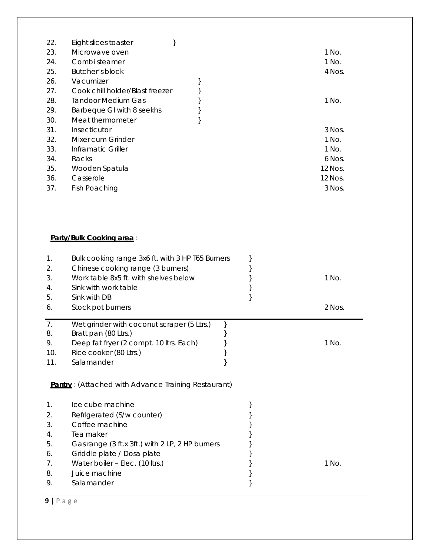| 22. | Eight slices toaster            |  |         |
|-----|---------------------------------|--|---------|
| 23. | Microwave oven                  |  | 1 No.   |
| 24. | Combi steamer                   |  | 1 No.   |
| 25. | Butcher's block                 |  | 4 Nos.  |
| 26. | Vacumizer                       |  |         |
| 27. | Cook chill holder/Blast freezer |  |         |
| 28. | <b>Tandoor Medium Gas</b>       |  | 1 No.   |
| 29. | Barbeque GI with 8 seekhs       |  |         |
| 30. | Meat thermometer                |  |         |
| 31. | Insecticutor                    |  | 3 Nos.  |
| 32. | Mixer cum Grinder               |  | 1 No.   |
| 33. | Inframatic Griller              |  | 1 No.   |
| 34. | Racks                           |  | 6 Nos.  |
| 35. | Wooden Spatula                  |  | 12 Nos. |
| 36. | Casserole                       |  | 12 Nos. |
| 37. | Fish Poaching                   |  | 3 Nos.  |
|     |                                 |  |         |

## **Party/Bulk Cooking area** :

| 1.<br>2.<br>3.<br>4.<br>5.<br>6. | Bulk cooking range 3x6 ft. with 3 HP T65 Burners<br>Chinese cooking range (3 burners)<br>Work table 8x5 ft. with shelves below<br>Sink with work table<br>Sink with DB<br>Stock pot burners |  | 1 No.<br>2 Nos. |
|----------------------------------|---------------------------------------------------------------------------------------------------------------------------------------------------------------------------------------------|--|-----------------|
| 7.<br>8.<br>9.<br>10.<br>11.     | Wet grinder with coconut scraper (5 Ltrs.)<br>Bratt pan (80 Ltrs.)<br>Deep fat fryer (2 compt. 10 ltrs. Each)<br>Rice cooker (80 Ltrs.)<br>Salamander                                       |  | 1 No.           |
|                                  | <b>Pantry</b> : (Attached with Advance Training Restaurant)                                                                                                                                 |  |                 |
| 1.                               | Ice cube machine                                                                                                                                                                            |  |                 |
| 2.<br>3.                         | Refrigerated (S/w counter)<br>Coffee machine                                                                                                                                                |  |                 |
| 4.                               | Tea maker                                                                                                                                                                                   |  |                 |
| 5.                               | Gas range (3 ft.x 3ft.) with 2 LP, 2 HP burners                                                                                                                                             |  |                 |
| 6.                               | Griddle plate / Dosa plate                                                                                                                                                                  |  |                 |
| 7.<br>8.                         | Water boiler - Elec. (10 ltrs.)<br>Juice machine                                                                                                                                            |  | 1 No.           |
| 9.                               | Salamander                                                                                                                                                                                  |  |                 |
|                                  |                                                                                                                                                                                             |  |                 |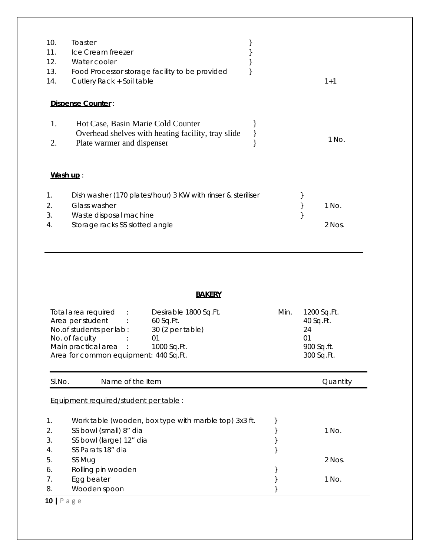| 10.<br>11.<br>12.<br>13.<br>14. | Toaster<br>Ice Cream freezer<br>Water cooler<br>Food Processor storage facility to be provided<br>Cutlery Rack + Soil table |  | $1 + 1$ |
|---------------------------------|-----------------------------------------------------------------------------------------------------------------------------|--|---------|
|                                 | Dispense Counter:                                                                                                           |  |         |
| 1.<br>2.                        | Hot Case, Basin Marie Cold Counter<br>Overhead shelves with heating facility, tray slide<br>Plate warmer and dispenser      |  | 1 No.   |
| Wash up:                        |                                                                                                                             |  |         |
| 1.<br>2.<br>3.                  | Dish washer (170 plates/hour) 3 KW with rinser & steriliser<br>Glass washer<br>Waste disposal machine                       |  | 1 No.   |
| 4.                              | Storage racks SS slotted angle                                                                                              |  | 2 Nos.  |

# **BAKERY**

| Total area required                   | <b>Section 19</b> | Desirable 1800 Sq.Ft. | Min. | 1200 Sq.Ft. |
|---------------------------------------|-------------------|-----------------------|------|-------------|
| Area per student                      |                   | $60$ Sq.Ft.           |      | 40 Sq.Ft.   |
| No.of students per lab:               |                   | 30 (2 per table)      |      | 24          |
| No. of faculty                        |                   |                       |      |             |
| Main practical area :                 |                   | 1000 Sq.Ft.           |      | 900 Sq.ft.  |
| Area for common equipment: 440 Sq.Ft. |                   |                       |      | 300 Sq.Ft.  |

| SI.No.         | Name of the Item                                      | Quantity |
|----------------|-------------------------------------------------------|----------|
|                | Equipment required/student per table:                 |          |
| 1 <sub>1</sub> | Work table (wooden, box type with marble top) 3x3 ft. |          |
| 2.             | SS bowl (small) 8" dia                                | 1 No.    |
| 3.             | SS bowl (large) 12" dia                               |          |
| 4.             | SS Parats 18" dia                                     |          |
| 5.             | SS Mug                                                | $2$ Nos. |
| 6.             | Rolling pin wooden                                    |          |
| 7.             | Egg beater                                            | 1 No.    |
| 8.             | Wooden spoon                                          |          |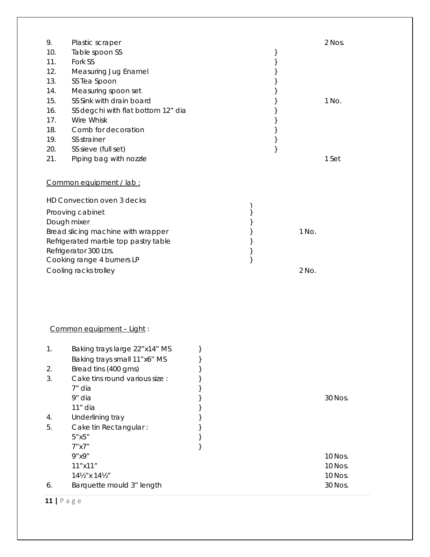| 9.  | Plastic scraper                      |   |       | 2 Nos. |
|-----|--------------------------------------|---|-------|--------|
| 10. | Table spoon SS                       |   |       |        |
| 11. | Fork SS                              |   |       |        |
| 12. | Measuring Jug Enamel                 |   |       |        |
| 13. | SS Tea Spoon                         |   |       |        |
| 14. | Measuring spoon set                  |   |       |        |
| 15. | SS Sink with drain board             |   |       | 1 No.  |
| 16. | SS degchi with flat bottom 12" dia   |   |       |        |
| 17. | Wire Whisk                           |   |       |        |
| 18. | Comb for decoration                  |   |       |        |
| 19. | SS strainer                          |   |       |        |
| 20. | SS sieve (full set)                  |   |       |        |
| 21. | Piping bag with nozzle               |   |       | 1 Set  |
|     |                                      |   |       |        |
|     | Common equipment / lab :             |   |       |        |
|     | HD Convection oven 3 decks           |   |       |        |
|     | Prooving cabinet                     | ļ |       |        |
|     | Dough mixer                          |   |       |        |
|     | Bread slicing machine with wrapper   |   | 1 No. |        |
|     | Refrigerated marble top pastry table |   |       |        |
|     | Refrigerator 300 Ltrs.               |   |       |        |
|     | Cooking range 4 burners LP           |   |       |        |
|     | Cooling racks trolley                |   | 2 No. |        |
|     |                                      |   |       |        |

# Common equipment – Light :

| 1. | Baking trays large 22"x14" MS         |         |
|----|---------------------------------------|---------|
|    | Baking trays small 11"x6" MS          |         |
| 2. | Bread tins (400 gms)                  |         |
| 3. | Cake tins round various size :        |         |
|    | 7″ dia                                |         |
|    | 9" dia                                | 30 Nos. |
|    | 11" dia                               |         |
| 4. | Underlining tray                      |         |
| 5. | Cake tin Rectangular:                 |         |
|    | 5"x5"                                 |         |
|    | 7"x7"                                 |         |
|    | 9''x9''                               | 10 Nos. |
|    | 11"x11"                               | 10 Nos. |
|    | $14\frac{1}{2}$ " x $14\frac{1}{2}$ " | 10 Nos. |
| 6. | Barquette mould 3" length             | 30 Nos. |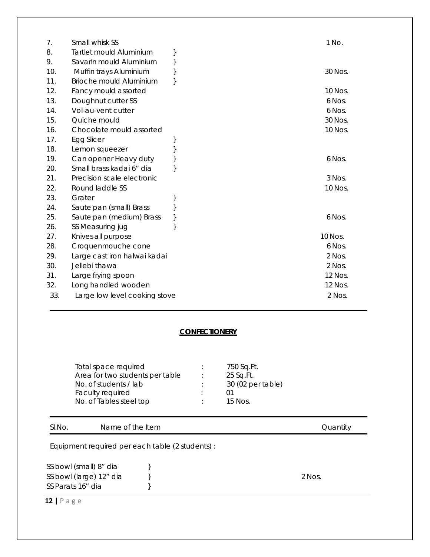| 7.  | Small whisk SS                 |  | 1 No.    |
|-----|--------------------------------|--|----------|
| 8.  | Tartlet mould Aluminium        |  |          |
| 9.  | Savarin mould Aluminium        |  |          |
| 10. | Muffin trays Aluminium         |  | 30 Nos.  |
| 11. | <b>Brioche mould Aluminium</b> |  |          |
| 12. | Fancy mould assorted           |  | 10 Nos.  |
| 13. | Doughnut cutter SS             |  | 6 Nos.   |
| 14. | Vol-au-vent cutter             |  | 6 Nos.   |
| 15. | Quiche mould                   |  | 30 Nos.  |
| 16. | Chocolate mould assorted       |  | 10 Nos.  |
| 17. | Egg Slicer                     |  |          |
| 18. | Lemon squeezer                 |  |          |
| 19. | Can opener Heavy duty          |  | 6 Nos.   |
| 20. | Small brass kadai 6" dia       |  |          |
| 21. | Precision scale electronic     |  | $3$ Nos. |
| 22. | Round laddle SS                |  | 10 Nos.  |
| 23. | Grater                         |  |          |
| 24. | Saute pan (small) Brass        |  |          |
| 25. | Saute pan (medium) Brass       |  | 6 Nos.   |
| 26. | SS Measuring jug               |  |          |
| 27. | Knives all purpose             |  | 10 Nos.  |
| 28. | Croquenmouche cone             |  | 6 Nos.   |
| 29. | Large cast iron halwai kadai   |  | 2 Nos.   |
| 30. | Jellebi thawa                  |  | 2 Nos.   |
| 31. | Large frying spoon             |  | 12 Nos.  |
| 32. | Long handled wooden            |  | 12 Nos.  |
| 33. | Large low level cooking stove  |  | 2 Nos.   |

## **CONFECTIONERY**

| Total space required            | 750 Sq.Ft.        |
|---------------------------------|-------------------|
| Area for two students per table | 25 Sq.Ft.         |
| No. of students / lab           | 30 (02 per table) |
| Faculty required                |                   |
| No. of Tables steel top         | 15 Nos.           |

## SI.No. Name of the Item **Signal Contract Contract Contract Contract Contract Contract Contract Contract Contract Contract Contract Contract Contract Contract Contract Contract Contract Contract Contract Contract Contract C**

Equipment required per each table (2 students) :

SS bowl (small) 8" dia  $\}$ SS bowl (large) 12" dia  $\qquad \qquad$  } SS Parats 16" dia  $\}$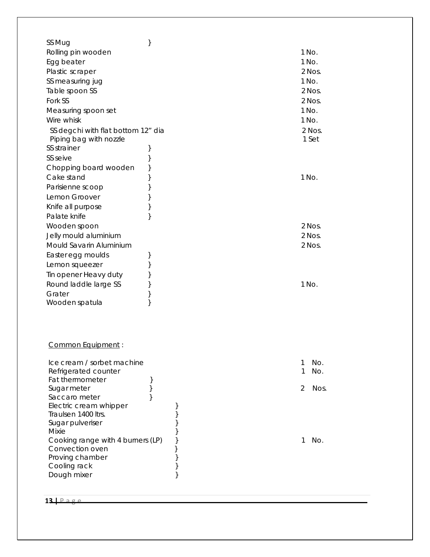| SS Mug                                        | } |   |       |        |
|-----------------------------------------------|---|---|-------|--------|
| Rolling pin wooden                            |   |   | 1 No. |        |
| Egg beater                                    |   |   | 1 No. |        |
| Plastic scraper                               |   |   |       | 2 Nos. |
| SS measuring jug                              |   |   | 1 No. |        |
| Table spoon SS                                |   |   |       | 2 Nos. |
| Fork SS                                       |   |   |       | 2 Nos. |
| Measuring spoon set                           |   |   | 1 No. |        |
| Wire whisk                                    |   |   | 1 No. |        |
| SS degchi with flat bottom 12" dia            |   |   |       | 2 Nos. |
| Piping bag with nozzle                        |   |   |       | 1 Set  |
| SS strainer                                   | } |   |       |        |
| SS seive                                      | } |   |       |        |
| Chopping board wooden                         | } |   |       |        |
| Cake stand                                    | } |   | 1 No. |        |
| Parisienne scoop                              | } |   |       |        |
| Lemon Groover                                 | } |   |       |        |
| Knife all purpose                             | } |   |       |        |
| Palate knife                                  | λ |   |       |        |
| Wooden spoon                                  |   |   |       | 2 Nos. |
| Jelly mould aluminium                         |   |   |       | 2 Nos. |
| Mould Savarin Aluminium                       |   |   |       | 2 Nos. |
| Easter egg moulds                             | } |   |       |        |
| Lemon squeezer                                | } |   |       |        |
| Tin opener Heavy duty                         | } |   |       |        |
| Round laddle large SS                         | } |   | 1 No. |        |
| Grater                                        | } |   |       |        |
| Wooden spatula                                | } |   |       |        |
|                                               |   |   |       |        |
|                                               |   |   |       |        |
|                                               |   |   |       |        |
| Common Equipment :                            |   |   |       |        |
| Ice cream / sorbet machine                    |   |   | 1     | No.    |
| Refrigerated counter                          |   |   | 1     | No.    |
| Fat thermometer                               | } |   |       |        |
| Sugar meter                                   | } |   | 2     | Nos.   |
| Saccaro meter                                 | ł |   |       |        |
| Electric cream whipper<br>Traulsen 1400 ltrs. |   |   |       |        |
| Sugar pulveriser                              |   |   |       |        |
| Mixie                                         |   |   |       |        |
| Cooking range with 4 burners (LP)             |   |   | 1     | No.    |
| Convection oven                               |   | } |       |        |
| Proving chamber                               |   |   |       |        |
| Cooling rack                                  |   |   |       |        |
| Dough mixer                                   |   |   |       |        |

**13 |** Page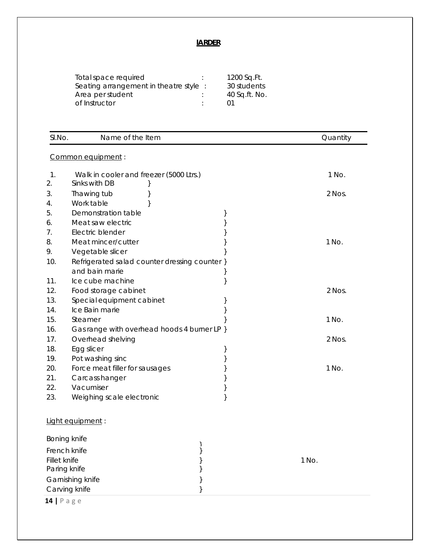# **lARDER**

| Total space required                  | 1200 Sq.Ft.   |
|---------------------------------------|---------------|
| Seating arrangement in theatre style: | 30 students   |
| Area per student                      | 40 Sq.ft. No. |
| of Instructor                         | በ1            |

| SI.No.       | Name of the Item                              |   | Quantity |
|--------------|-----------------------------------------------|---|----------|
|              | Common equipment :                            |   |          |
| 1.           | Walk in cooler and freezer (5000 Ltrs.)       |   | 1 No.    |
| 2.           | Sinks with DB                                 |   |          |
| 3.           | Thawing tub                                   |   | 2 Nos.   |
| 4.           | Work table                                    |   |          |
| 5.           | Demonstration table                           | } |          |
| 6.           | Meat saw electric                             |   |          |
| 7.           | Electric blender                              |   |          |
| 8.           | Meat mincer/cutter                            | ł | 1 No.    |
| 9.           | Vegetable slicer                              |   |          |
| 10.          | Refrigerated salad counter dressing counter } |   |          |
|              | and bain marie                                |   |          |
| 11.          | Ice cube machine                              |   |          |
| 12.          | Food storage cabinet                          |   | 2 Nos.   |
| 13.          | Special equipment cabinet                     |   |          |
| 14.          | Ice Bain marie                                |   |          |
| 15.          | Steamer                                       |   | 1 No.    |
| 16.          | Gas range with overhead hoods 4 burner LP }   |   |          |
| 17.          | Overhead shelving                             |   | 2 Nos.   |
| 18.          | Egg slicer                                    | } |          |
| 19.          | Pot washing sinc                              |   |          |
| 20.          | Force meat filler for sausages                |   | 1 No.    |
| 21.          | Carcass hanger                                |   |          |
| 22.          | Vacumiser                                     |   |          |
| 23.          | Weighing scale electronic                     | } |          |
|              | Light equipment:                              |   |          |
| Boning knife |                                               | ļ |          |
| French knife |                                               |   |          |
| Fillet knife |                                               |   | 1 No.    |
| Paring knife |                                               |   |          |
|              | Garnishing knife                              |   |          |
|              | Carving knife                                 |   |          |
| $14$   Page  |                                               |   |          |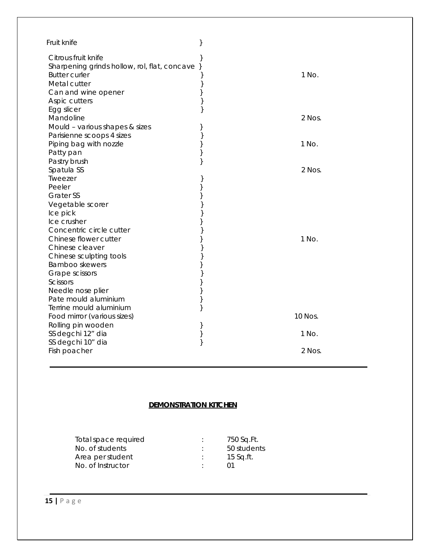| Fruit knife                                                                                   |                   |
|-----------------------------------------------------------------------------------------------|-------------------|
| Citrous fruit knife<br>Sharpening grinds hollow, rol, flat, concave }<br><b>Butter curler</b> | 1 No.             |
| Metal cutter<br>Can and wine opener                                                           | }<br>}            |
| Aspic cutters                                                                                 | }                 |
| Egg slicer                                                                                    | }                 |
| Mandoline                                                                                     | 2 Nos.            |
| Mould - various shapes & sizes                                                                | ł                 |
| Parisienne scoops 4 sizes                                                                     | }                 |
| Piping bag with nozzle                                                                        | $\big\}$<br>1 No. |
| Patty pan                                                                                     | }                 |
| Pastry brush                                                                                  | }                 |
| Spatula SS                                                                                    | 2 Nos.            |
| Tweezer                                                                                       |                   |
| Peeler                                                                                        | }                 |
| <b>Grater SS</b>                                                                              | }                 |
| Vegetable scorer                                                                              |                   |
| Ice pick                                                                                      |                   |
| Ice crusher                                                                                   | }                 |
| Concentric circle cutter                                                                      |                   |
| Chinese flower cutter                                                                         | 1 No.<br>}        |
| Chinese cleaver                                                                               |                   |
| Chinese sculpting tools                                                                       |                   |
| Bamboo skewers                                                                                |                   |
| Grape scissors                                                                                |                   |
| Scissors                                                                                      | }                 |
| Needle nose plier                                                                             | }                 |
| Pate mould aluminium                                                                          | }                 |
| Terrine mould aluminium                                                                       | }<br>10 Nos.      |
| Food mirror (various sizes)                                                                   |                   |
| Rolling pin wooden<br>SS degchi 12" dia                                                       | }<br>1 No.        |
| SS degchi 10" dia                                                                             | }<br>}            |
| Fish poacher                                                                                  | 2 Nos.            |

# **DEMONSTRATION KITCHEN**

| Total space required | 750 Sq.Ft.  |
|----------------------|-------------|
| No. of students      | 50 students |
| Area per student     | $15$ Sq.ft. |
| No. of Instructor    | (11)        |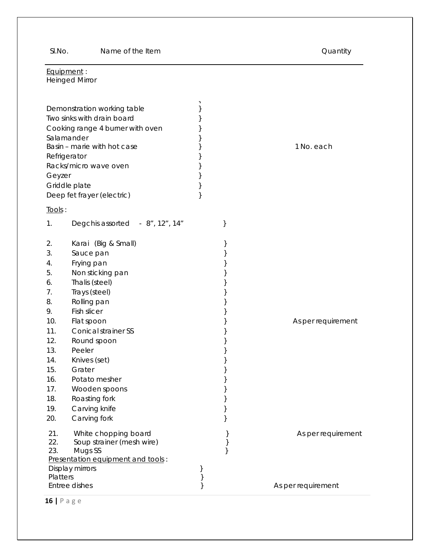SI.No. Name of the Item **SI.No.** 2012 11:00 Name of the Item and American control of the Item and American control of the Item and American control of the Item and American control of the Item and American control of the I

| Equipment:<br><b>Heinged Mirror</b> |                                                                                                                                            |   |           |                    |
|-------------------------------------|--------------------------------------------------------------------------------------------------------------------------------------------|---|-----------|--------------------|
|                                     |                                                                                                                                            |   |           |                    |
|                                     | Demonstration working table<br>Two sinks with drain board<br>Cooking range 4 burner with oven<br>Salamander<br>Basin - marie with hot case |   |           | 1 No. each         |
|                                     | Refrigerator                                                                                                                               |   |           |                    |
|                                     | Racks/micro wave oven                                                                                                                      |   |           |                    |
| Geyzer                              | Griddle plate                                                                                                                              |   |           |                    |
|                                     | Deep fet frayer (electric)                                                                                                                 | } |           |                    |
|                                     |                                                                                                                                            |   |           |                    |
| Tools:                              |                                                                                                                                            |   |           |                    |
| 1.                                  | Degchis assorted - 8", 12", 14"                                                                                                            |   | }         |                    |
| 2.                                  | Karai (Big & Small)                                                                                                                        |   |           |                    |
| 3.                                  | Sauce pan                                                                                                                                  |   |           |                    |
| 4.                                  | Frying pan                                                                                                                                 |   |           |                    |
| 5.                                  | Non sticking pan                                                                                                                           |   |           |                    |
| 6.                                  | Thalis (steel)                                                                                                                             |   |           |                    |
| 7.                                  | Trays (steel)                                                                                                                              |   |           |                    |
| 8.                                  | Rolling pan                                                                                                                                |   |           |                    |
| 9.                                  | Fish slicer                                                                                                                                |   |           |                    |
| 10.<br>11.                          | Flat spoon<br><b>Conical strainer SS</b>                                                                                                   |   |           | As per requirement |
| 12.                                 | Round spoon                                                                                                                                |   |           |                    |
| 13.                                 | Peeler                                                                                                                                     |   |           |                    |
| 14.                                 | Knives (set)                                                                                                                               |   |           |                    |
| 15.                                 | Grater                                                                                                                                     |   |           |                    |
| 16.                                 | Potato mesher                                                                                                                              |   |           |                    |
| 17.                                 | Wooden spoons                                                                                                                              |   |           |                    |
| 18.                                 | Roasting fork                                                                                                                              |   |           |                    |
| 19.                                 | Carving knife                                                                                                                              |   |           |                    |
| 20.                                 | Carving fork                                                                                                                               |   |           |                    |
| 21.<br>22.<br>23.                   | White chopping board<br>Soup strainer (mesh wire)<br>Mugs SS<br>Presentation equipment and tools:                                          |   | $\}$<br>λ | As per requirement |
|                                     | Display mirrors                                                                                                                            |   |           |                    |
| Platters                            |                                                                                                                                            |   |           |                    |
|                                     | Entree dishes                                                                                                                              |   |           | As per requirement |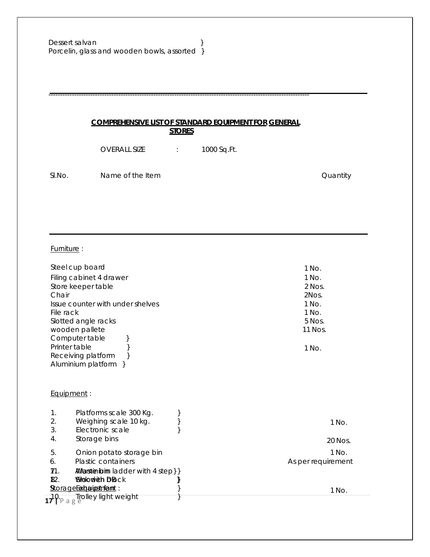### **COMPREHENSIVE LIST OF STANDARD EQUIPMENT FOR GENERAL STORES**

OVERALL SIZE : 1000 Sq.Ft.

----------------------------------------------------------------------------------------------------------------

SI.No. Name of the Item **SI.No.** 2012 2022 11:25

Furniture :

| Steel cup board<br>Filing cabinet 4 drawer<br>Store keeper table<br>Chair<br>Issue counter with under shelves<br>File rack<br>Slotted angle racks<br>wooden pallete<br>Computer table<br>Printer table<br>Receiving platform<br>Aluminium platform } | 1 No.<br>$1$ No.<br>2 Nos.<br>2Nos.<br>1 No.<br>1 No.<br>5 Nos.<br>11 Nos.<br>1 No. |
|------------------------------------------------------------------------------------------------------------------------------------------------------------------------------------------------------------------------------------------------------|-------------------------------------------------------------------------------------|
| Equipment:                                                                                                                                                                                                                                           |                                                                                     |
| 1.<br>Platforms scale 300 Kg.<br>2.<br>Weighing scale 10 kg.<br>3.<br>Electronic scale<br>Storage bins<br>4.                                                                                                                                         | 1 No.<br>20 Nos.                                                                    |
| 5.<br>Onion potato storage bin<br>Plastic containers<br>6.<br><b><i>AWarstieribin ladder with 4 step} }</i></b><br>71.<br><b>Sidodieh DBck</b><br>82.<br>∦<br><b>StorageExabutionframt:</b>                                                          | 1 No.<br>As per requirement<br>1 No.                                                |
| $17^{\circ}$ P a g $^{\circ}$ [rolley light weight                                                                                                                                                                                                   |                                                                                     |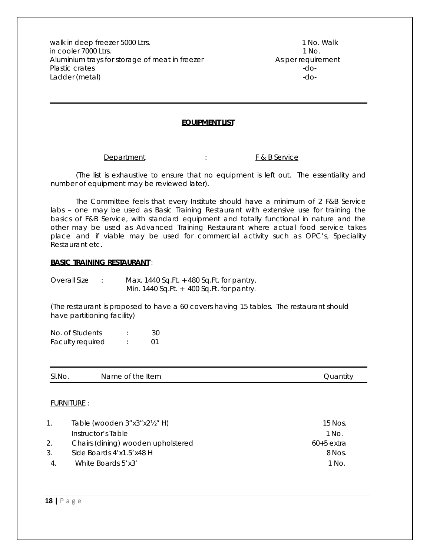walk in deep freezer 5000 Ltrs. 1 No. Walk in cooler 7000 Ltrs. 1 No. Aluminium trays for storage of meat in freezer As per requirement Plastic crates -do-Ladder (metal) and the contract of the contract of the contract of the contract of the contract of the contract of the contract of the contract of the contract of the contract of the contract of the contract of the contrac

#### **EQUIPMENT LIST**

Department : F & B Service

(The list is exhaustive to ensure that no equipment is left out. The essentiality and number of equipment may be reviewed later).

The Committee feels that every Institute should have a minimum of 2 F&B Service labs – one may be used as Basic Training Restaurant with extensive use for training the basics of F&B Service, with standard equipment and totally functional in nature and the other may be used as Advanced Training Restaurant where actual food service takes place and if viable may be used for commercial activity such as OPC's, Speciality Restaurant etc.

#### **BASIC TRAINING RESTAURANT** :

Overall Size : Max. 1440 Sq.Ft. + 480 Sq.Ft. for pantry. Min. 1440 Sq.Ft. + 400 Sq.Ft. for pantry.

(The restaurant is proposed to have a 60 covers having 15 tables. The restaurant should have partitioning facility)

No. of Students : 30 Faculty required : 01

| SI.No. | Name of the Item | Juantity |
|--------|------------------|----------|
|        |                  |          |

#### FURNITURE :

| $\mathbf{1}_{\cdot}$ | Table (wooden $3"x3"x2'z"$ H)      | 15 Nos.      |
|----------------------|------------------------------------|--------------|
|                      | Instructor's Table                 | 1 No.        |
| 2.                   | Chairs (dining) wooden upholstered | $60+5$ extra |
| 3.                   | Side Boards 4'x1.5'x48 H           | 8 Nos.       |
| 4.                   | White Boards 5'x3'                 | 1 No.        |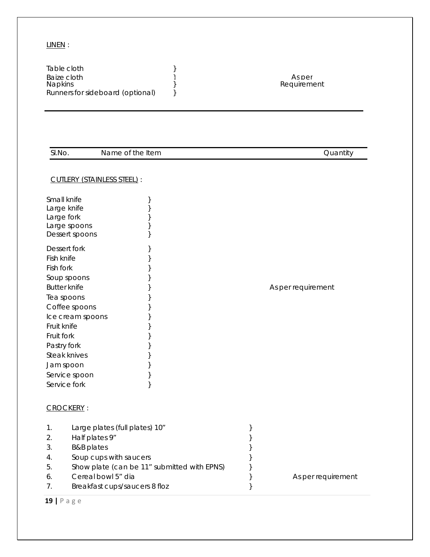#### LINEN :

| SI.No.                                                                                                                                                                                                                                     | Name of the Item                                                                                                                                                                                          |                  | Quantity           |
|--------------------------------------------------------------------------------------------------------------------------------------------------------------------------------------------------------------------------------------------|-----------------------------------------------------------------------------------------------------------------------------------------------------------------------------------------------------------|------------------|--------------------|
|                                                                                                                                                                                                                                            | CUTLERY (STAINLESS STEEL) :                                                                                                                                                                               |                  |                    |
| Small knife<br>Large knife<br>Large fork<br>Large spoons<br>Dessert spoons                                                                                                                                                                 | }<br>$\}$                                                                                                                                                                                                 |                  |                    |
| Dessert fork<br>Fish knife<br>Fish fork<br>Soup spoons<br><b>Butter knife</b><br>Tea spoons<br>Coffee spoons<br>Ice cream spoons<br>Fruit knife<br>Fruit fork<br>Pastry fork<br>Steak knives<br>Jam spoon<br>Service spoon<br>Service fork | $\{$<br>}<br>$\}$                                                                                                                                                                                         |                  | As per requirement |
| <b>CROCKERY:</b>                                                                                                                                                                                                                           |                                                                                                                                                                                                           |                  |                    |
| 1.<br>2.<br>3.<br>4.<br>5.<br>6.<br>7.                                                                                                                                                                                                     | Large plates (full plates) 10"<br>Half plates 9"<br><b>B&amp;B</b> plates<br>Soup cups with saucers<br>Show plate (can be 11" submitted with EPNS)<br>Cereal bowl 5" dia<br>Breakfast cups/saucers 8 floz | }<br>}<br>}<br>} | As per requirement |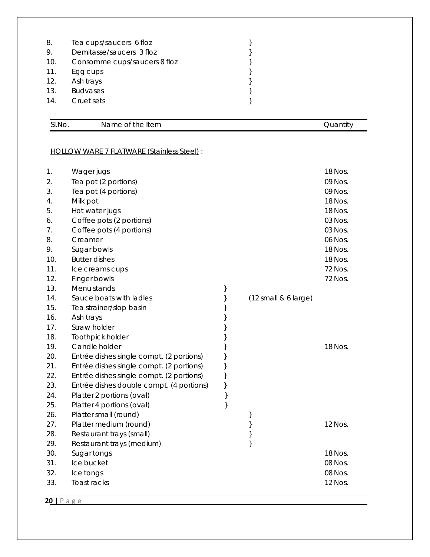| 8.  | Tea cups/saucers 6 floz      |  |
|-----|------------------------------|--|
| 9.  | Demitasse/saucers 3 floz     |  |
| 10. | Consomme cups/saucers 8 floz |  |
| 11. | Egg cups                     |  |
| 12. | Ash trays                    |  |
| 13. | <b>Budvases</b>              |  |
| 14. | Cruet sets                   |  |
|     |                              |  |

SI.No. Name of the Item Quantity

# HOLLOW WARE 7 FLATWARE (Stainless Steel) :

| 1.<br>2.<br>3.<br>4.<br>5.<br>6.<br>7.<br>8.<br>9.<br>10.<br>11.<br>12. | Wager jugs<br>Tea pot (2 portions)<br>Tea pot (4 portions)<br>Milk pot<br>Hot water jugs<br>Coffee pots (2 portions)<br>Coffee pots (4 portions)<br>Creamer<br>Sugar bowls<br><b>Butter dishes</b><br>Ice creams cups<br>Finger bowls |      |                                        | 18 Nos.<br>09 Nos.<br>09 Nos.<br>18 Nos.<br>18 Nos.<br>03 Nos.<br>03 Nos.<br>06 Nos.<br>18 Nos.<br>18 Nos.<br>72 Nos.<br>72 Nos. |
|-------------------------------------------------------------------------|---------------------------------------------------------------------------------------------------------------------------------------------------------------------------------------------------------------------------------------|------|----------------------------------------|----------------------------------------------------------------------------------------------------------------------------------|
| 13.                                                                     | Menu stands                                                                                                                                                                                                                           | }    |                                        |                                                                                                                                  |
| 14.                                                                     | Sauce boats with ladles                                                                                                                                                                                                               | }    | $(12 \text{ small } 86 \text{ large})$ |                                                                                                                                  |
| 15.                                                                     | Tea strainer/slop basin                                                                                                                                                                                                               | }    |                                        |                                                                                                                                  |
| 16.<br>17.                                                              | Ash trays<br>Straw holder                                                                                                                                                                                                             | }    |                                        |                                                                                                                                  |
| 18.                                                                     | Toothpick holder                                                                                                                                                                                                                      |      |                                        |                                                                                                                                  |
| 19.                                                                     | Candle holder                                                                                                                                                                                                                         |      |                                        | 18 Nos.                                                                                                                          |
| 20.                                                                     | Entrée dishes single compt. (2 portions)                                                                                                                                                                                              | }    |                                        |                                                                                                                                  |
| 21.                                                                     | Entrée dishes single compt. (2 portions)                                                                                                                                                                                              | }    |                                        |                                                                                                                                  |
| 22.                                                                     | Entrée dishes single compt. (2 portions)                                                                                                                                                                                              | }    |                                        |                                                                                                                                  |
| 23.                                                                     | Entrée dishes double compt. (4 portions)                                                                                                                                                                                              | }    |                                        |                                                                                                                                  |
| 24.                                                                     | Platter 2 portions (oval)                                                                                                                                                                                                             | $\}$ |                                        |                                                                                                                                  |
| 25.                                                                     | Platter 4 portions (oval)                                                                                                                                                                                                             | $\}$ |                                        |                                                                                                                                  |
| 26.                                                                     | Platter small (round)                                                                                                                                                                                                                 |      | }                                      |                                                                                                                                  |
| 27.                                                                     | Platter medium (round)                                                                                                                                                                                                                |      | $\}$                                   | 12 Nos.                                                                                                                          |
| 28.                                                                     | Restaurant trays (small)                                                                                                                                                                                                              |      | $\big\}$                               |                                                                                                                                  |
| 29.                                                                     | Restaurant trays (medium)                                                                                                                                                                                                             |      | $\}$                                   |                                                                                                                                  |
| 30.                                                                     | Sugar tongs                                                                                                                                                                                                                           |      |                                        | 18 Nos.                                                                                                                          |
| 31.                                                                     | Ice bucket                                                                                                                                                                                                                            |      |                                        | 08 Nos.                                                                                                                          |
| 32.                                                                     | Ice tongs                                                                                                                                                                                                                             |      |                                        | 08 Nos.                                                                                                                          |
| 33.                                                                     | Toast racks                                                                                                                                                                                                                           |      |                                        | 12 Nos.                                                                                                                          |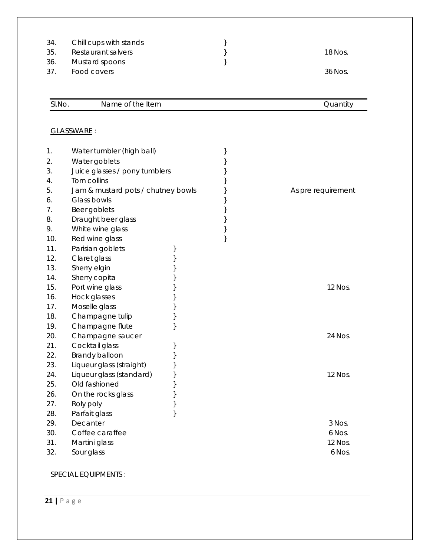| 34.<br>35.<br>36.<br>37. | Chill cups with stands<br>Restaurant salvers<br>Mustard spoons<br>Food covers | } | 18 Nos.<br>36 Nos. |
|--------------------------|-------------------------------------------------------------------------------|---|--------------------|
| SI.No.                   | Name of the Item                                                              |   | Quantity           |
|                          | GLASSWARE:                                                                    |   |                    |
| 1.                       | Water tumbler (high ball)                                                     | } |                    |
| 2.                       | Water goblets                                                                 |   |                    |
| 3.                       | Juice glasses / pony tumblers<br>Tom collins                                  |   |                    |
| 4.<br>5.                 | Jam & mustard pots / chutney bowls                                            |   | As pre requirement |
| 6.                       | Glass bowls                                                                   |   |                    |
| 7.                       | Beer goblets                                                                  |   |                    |
| 8.                       | Draught beer glass                                                            |   |                    |
| 9.                       | White wine glass                                                              |   |                    |
| 10.                      | Red wine glass                                                                |   |                    |
| 11.                      | Parisian goblets                                                              |   |                    |
| 12.                      | Claret glass                                                                  |   |                    |
| 13.                      | Sherry elgin                                                                  |   |                    |
| 14.                      | Sherry copita                                                                 |   |                    |
| 15.                      | Port wine glass                                                               |   | 12 Nos.            |
| 16.                      | Hock glasses                                                                  |   |                    |
| 17.                      | Moselle glass                                                                 |   |                    |
| 18.                      | Champagne tulip                                                               |   |                    |
| 19.                      | Champagne flute                                                               |   |                    |
| 20.                      | Champagne saucer                                                              |   | 24 Nos.            |
| 21.                      | Cocktail glass                                                                |   |                    |
| 22.<br>23.               | Brandy balloon<br>}<br>Liqueur glass (straight)                               |   |                    |
| 24.                      | Liqueur glass (standard)                                                      |   | 12 Nos.            |
| 25.                      | Old fashioned                                                                 |   |                    |
| 26.                      | On the rocks glass                                                            |   |                    |
| 27.                      | Roly poly                                                                     |   |                    |
| 28.                      | Parfait glass                                                                 |   |                    |
| 29.                      | Decanter                                                                      |   | 3 Nos.             |
| 30.                      | Coffee caraffee                                                               |   | 6 Nos.             |
| 31.                      | Martini glass                                                                 |   | 12 Nos.            |
| 32.                      | Sour glass                                                                    |   | 6 Nos.             |

# SPECIAL EQUIPMENTS :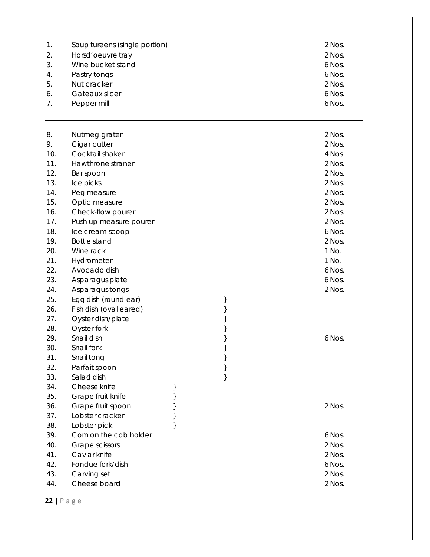| 1.<br>2.<br>3.<br>4.<br>5.<br>6.<br>7. | Soup tureens (single portion)<br>Horsd'oeuvre tray<br>Wine bucket stand<br>Pastry tongs<br>Nut cracker<br>Gateaux slicer<br>Pepper mill |          | 2 Nos.<br>2 Nos.<br>6 Nos.<br>6 Nos.<br>2 Nos.<br>6 Nos.<br>6 Nos. |
|----------------------------------------|-----------------------------------------------------------------------------------------------------------------------------------------|----------|--------------------------------------------------------------------|
| 8.                                     | Nutmeg grater                                                                                                                           |          | 2 Nos.                                                             |
| 9.                                     | Cigar cutter                                                                                                                            |          | 2 Nos.                                                             |
| 10.                                    | Cocktail shaker                                                                                                                         |          | 4 Nos                                                              |
| 11.                                    | Hawthrone straner                                                                                                                       |          | 2 Nos.                                                             |
| 12.                                    | Bar spoon                                                                                                                               |          | 2 Nos.                                                             |
| 13.                                    | Ice picks                                                                                                                               |          | 2 Nos.                                                             |
| 14.                                    | Peg measure                                                                                                                             |          | 2 Nos.                                                             |
| 15.                                    | Optic measure                                                                                                                           |          | 2 Nos.                                                             |
| 16.                                    | Check-flow pourer                                                                                                                       |          | 2 Nos.                                                             |
| 17.                                    | Push up measure pourer                                                                                                                  |          | 2 Nos.                                                             |
| 18.                                    | Ice cream scoop                                                                                                                         |          | 6 Nos.                                                             |
| 19.                                    | <b>Bottle stand</b>                                                                                                                     |          | 2 Nos.                                                             |
| 20.                                    | Wine rack                                                                                                                               |          | 1 No.                                                              |
| 21.                                    | Hydrometer                                                                                                                              |          | 1 No.                                                              |
| 22.                                    | Avocado dish                                                                                                                            |          | 6 Nos.                                                             |
| 23.                                    | Asparagus plate                                                                                                                         |          | 6 Nos.                                                             |
| 24.                                    | Asparagus tongs                                                                                                                         |          | 2 Nos.                                                             |
| 25.                                    | Egg dish (round ear)                                                                                                                    | }        |                                                                    |
| 26.                                    | Fish dish (oval eared)                                                                                                                  | $\}$     |                                                                    |
| 27.                                    | Oyster dish/plate                                                                                                                       | }        |                                                                    |
| 28.                                    | Oyster fork                                                                                                                             | $\}$     |                                                                    |
| 29.                                    | Snail dish                                                                                                                              | $\big\}$ | 6 Nos.                                                             |
| 30.                                    | Snail fork                                                                                                                              | $\}$     |                                                                    |
| 31.                                    | Snail tong                                                                                                                              | $\}$     |                                                                    |

36. Grape fruit spoon } <br>2 Nos. 37. Lobster cracker } 38. Lobster pick } 39. Corn on the cob holder 6 Nos. 40. Grape scissors 2 Nos. 41. Caviar knife 2 Nos. 42. Fondue fork/dish 6 Nos.

34. Cheese knife  $\}$ 35. Grape fruit knife  $\}$ 

32. Parfait spoon } 33. Salad dish }

43. Carving set 2 Nos.

44. Cheese board 2 Nos.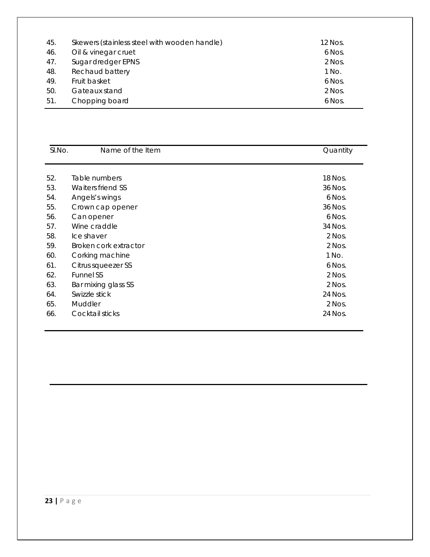| 45. | Skewers (stainless steel with wooden handle) | 12 Nos. |
|-----|----------------------------------------------|---------|
| 46. | Oil & vinegar cruet                          | 6 Nos.  |
| 47. | Sugar dredger EPNS                           | 2 Nos.  |
| 48. | Rechaud battery                              | 1 No.   |
| 49. | Fruit basket                                 | 6 Nos.  |
| 50. | Gateaux stand                                | 2 Nos.  |
| 51. | Chopping board                               | 6 Nos.  |

| SI.No. | Name of the Item      | Quantity |
|--------|-----------------------|----------|
|        |                       |          |
| 52.    | Table numbers         | 18 Nos.  |
| 53.    | Waiters friend SS     | 36 Nos.  |
| 54.    | Angels's wings        | 6 Nos.   |
| 55.    | Crown cap opener      | 36 Nos.  |
| 56.    | Can opener            | 6 Nos.   |
| 57.    | Wine craddle          | 34 Nos.  |
| 58.    | Ice shaver            | 2 Nos.   |
| 59.    | Broken cork extractor | 2 Nos.   |
| 60.    | Corking machine       | 1 No.    |
| 61.    | Citrus squeezer SS    | 6 Nos.   |
| 62.    | <b>Funnel SS</b>      | 2 Nos.   |
| 63.    | Bar mixing glass SS   | 2 Nos.   |
| 64.    | Swizzle stick         | 24 Nos.  |
| 65.    | Muddler               | 2 Nos.   |
| 66.    | Cocktail sticks       | 24 Nos.  |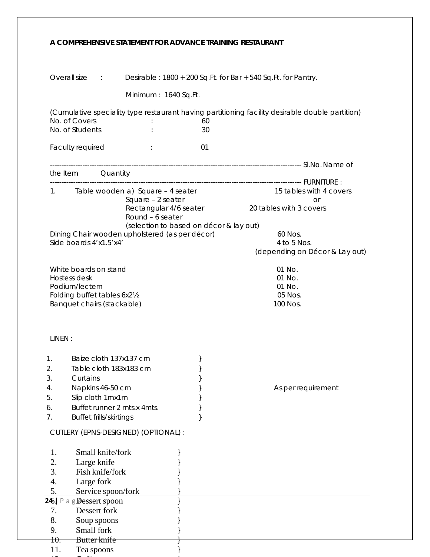### **A COMPREHENSIVE STATEMENT FOR ADVANCE TRAINING RESTAURANT**

| Overall size :                                              | Desirable: 1800 + 200 Sq. Ft. for Bar + 540 Sq. Ft. for Pantry.                                 |
|-------------------------------------------------------------|-------------------------------------------------------------------------------------------------|
| Minimum: 1640 Sq.Ft.                                        |                                                                                                 |
|                                                             | (Cumulative speciality type restaurant having partitioning facility desirable double partition) |
| No. of Covers                                               | 60                                                                                              |
| No. of Students                                             | 30                                                                                              |
| Faculty required<br>÷                                       | 01                                                                                              |
| the Item Quantity                                           |                                                                                                 |
|                                                             |                                                                                                 |
| Table wooden a) Square - 4 seater<br>1.                     | 15 tables with 4 covers                                                                         |
| Square - 2 seater                                           | <b>Or</b>                                                                                       |
| Rectangular 4/6 seater                                      | 20 tables with 3 covers                                                                         |
| Round - 6 seater<br>(selection to based on décor & lay out) |                                                                                                 |
| Dining Chair wooden upholstered (as per décor)              | 60 Nos.                                                                                         |
| Side boards 4'x1.5'x4'                                      | 4 to 5 Nos.                                                                                     |
|                                                             | (depending on Décor & Lay out)                                                                  |
|                                                             |                                                                                                 |
| White boards on stand                                       | 01 No.                                                                                          |
| Hostess desk<br>Podium/lectern                              | 01 No.<br>01 No.                                                                                |
| Folding buffet tables 6x21/2                                | 05 Nos.                                                                                         |
| Banquet chairs (stackable)                                  | 100 Nos.                                                                                        |
|                                                             |                                                                                                 |
| LINEN:                                                      |                                                                                                 |
|                                                             |                                                                                                 |
| Baize cloth 137x137 cm<br>$1_{\cdot}$<br>}                  |                                                                                                 |
| Table cloth 183x183 cm<br>2.                                |                                                                                                 |
| 3.<br><b>Curtains Curtains</b>                              |                                                                                                 |
| Napkins 46-50 cm<br>4.                                      | As per requirement                                                                              |
| Slip cloth 1mx1m<br>5.                                      |                                                                                                 |
| Buffet runner 2 mts.x 4mts.<br>6.                           |                                                                                                 |
| Buffet frills/skirtings<br>7.                               |                                                                                                 |
| CUTLERY (EPNS-DESIGNED) (OPTIONAL) :                        |                                                                                                 |
| Small knife/fork<br>1.                                      |                                                                                                 |
| 2.<br>Large knife                                           |                                                                                                 |
| 3.<br>Fish knife/fork                                       |                                                                                                 |
| 4.<br>Large fork                                            |                                                                                                 |
| 5.<br>Service spoon/fork                                    |                                                                                                 |
| 245   P a g Dessert spoon                                   |                                                                                                 |
| Dessert fork<br>7.                                          |                                                                                                 |
| 8.<br>Soup spoons                                           |                                                                                                 |
| 9.<br>Small fork                                            |                                                                                                 |
| <del>10.</del><br>Butter knife                              |                                                                                                 |
| 11.<br>Tea spoons                                           |                                                                                                 |

 $12$   $\alpha$   $\alpha$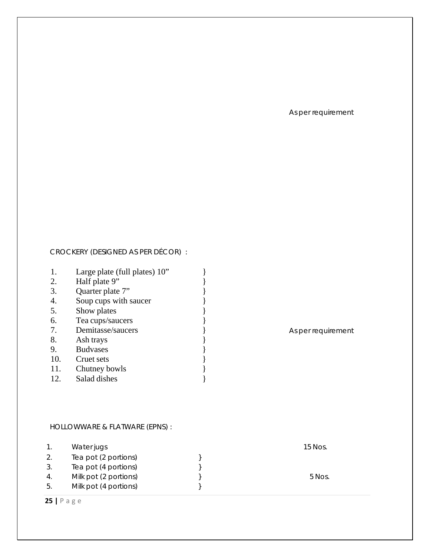As per requirement

# CROCKERY (DESIGNED AS PER DÉCOR) :

| 1.  | Large plate (full plates) 10" |  |
|-----|-------------------------------|--|
| 2.  | Half plate 9"                 |  |
| 3.  | Quarter plate 7"              |  |
| 4.  | Soup cups with saucer         |  |
| 5.  | Show plates                   |  |
| 6.  | Tea cups/saucers              |  |
| 7.  | Demitasse/saucers             |  |
| 8.  | Ash trays                     |  |
| 9.  | <b>Budvases</b>               |  |
| 10. | Cruet sets                    |  |
| 11. | Chutney bowls                 |  |
| 12. | Salad dishes                  |  |

As per requirement

# HOLLOWWARE & FLATWARE (EPNS) :

|     | Water jugs            | 15 Nos. |
|-----|-----------------------|---------|
|     | Tea pot (2 portions)  |         |
|     | Tea pot (4 portions)  |         |
| 4.  | Milk pot (2 portions) | 5 Nos.  |
| -5. | Milk pot (4 portions) |         |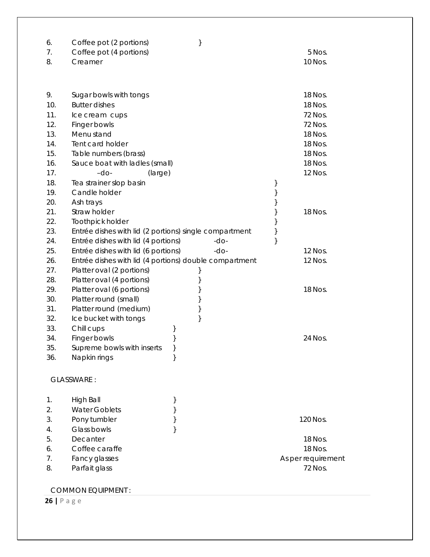| 6.<br>7.<br>8. | Coffee pot (2 portions)<br>Coffee pot (4 portions)<br>Creamer                                 | }        | 5 Nos.<br>10 Nos.  |  |
|----------------|-----------------------------------------------------------------------------------------------|----------|--------------------|--|
|                |                                                                                               |          |                    |  |
| 9.             | Sugar bowls with tongs                                                                        |          | 18 Nos.            |  |
| 10.            | <b>Butter dishes</b>                                                                          |          | 18 Nos.            |  |
| 11.            | Ice cream cups                                                                                |          | 72 Nos.            |  |
| 12.            | Finger bowls                                                                                  |          | 72 Nos.            |  |
| 13.            | Menu stand                                                                                    |          | 18 Nos.            |  |
| 14.            | Tent card holder                                                                              |          | 18 Nos.            |  |
| 15.            | Table numbers (brass)                                                                         |          | 18 Nos.            |  |
| 16.            | Sauce boat with ladles (small)                                                                |          | 18 Nos.            |  |
| 17.            | $-do-$<br>(large)                                                                             |          | 12 Nos.            |  |
| 18.            | Tea strainer slop basin                                                                       |          | }                  |  |
| 19.            | Candle holder                                                                                 |          | }                  |  |
| 20.<br>21.     | Ash trays<br>Straw holder                                                                     |          | }                  |  |
| 22.            |                                                                                               |          | }<br>18 Nos.       |  |
| 23.            | Toothpick holder                                                                              |          | }                  |  |
| 24.            | Entrée dishes with lid (2 portions) single compartment<br>Entrée dishes with lid (4 portions) | $-do-$   | }<br>}             |  |
| 25.            | Entrée dishes with lid (6 portions)                                                           | -do-     | 12 Nos.            |  |
| 26.            | Entrée dishes with lid (4 portions) double compartment                                        |          | 12 Nos.            |  |
| 27.            | Platter oval (2 portions)                                                                     | }        |                    |  |
| 28.            | Platter oval (4 portions)                                                                     | }        |                    |  |
| 29.            | Platter oval (6 portions)                                                                     | }        | 18 Nos.            |  |
| 30.            | Platter round (small)                                                                         | }        |                    |  |
| 31.            | Platter round (medium)                                                                        | }        |                    |  |
| 32.            | Ice bucket with tongs                                                                         | }        |                    |  |
| 33.            | Chill cups                                                                                    | }        |                    |  |
| 34.            | Finger bowls                                                                                  | }        | 24 Nos.            |  |
| 35.            | Supreme bowls with inserts                                                                    | }        |                    |  |
| 36.            | Napkin rings                                                                                  | }        |                    |  |
|                | GLASSWARE:                                                                                    |          |                    |  |
| 1.             | <b>High Ball</b>                                                                              | }        |                    |  |
| 2.             | <b>Water Goblets</b>                                                                          | }        |                    |  |
| 3.             | Pony tumbler                                                                                  | $\big\}$ | 120 Nos.           |  |
| 4.             | Glass bowls                                                                                   | }        |                    |  |
| 5.             | Decanter                                                                                      |          | 18 Nos.            |  |
| 6.             | Coffee caraffe                                                                                |          | 18 Nos.            |  |
| 7.             | Fancy glasses                                                                                 |          | As per requirement |  |
| 8.             | Parfait glass                                                                                 |          | 72 Nos.            |  |
|                |                                                                                               |          |                    |  |

COMMON EQUIPMENT :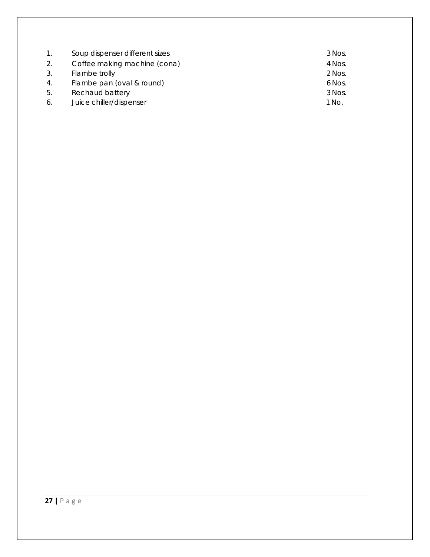| $\mathbf{1}$ . | Soup dispenser different sizes | 3 Nos. |
|----------------|--------------------------------|--------|
| 2.             | Coffee making machine (cona)   | 4 Nos. |
| 3.             | Flambe trolly                  | 2 Nos. |
| 4.             | Flambe pan (oval & round)      | 6 Nos. |
| 5.             | Rechaud battery                | 3 Nos. |
| 6.             | Juice chiller/dispenser        | 1 No.  |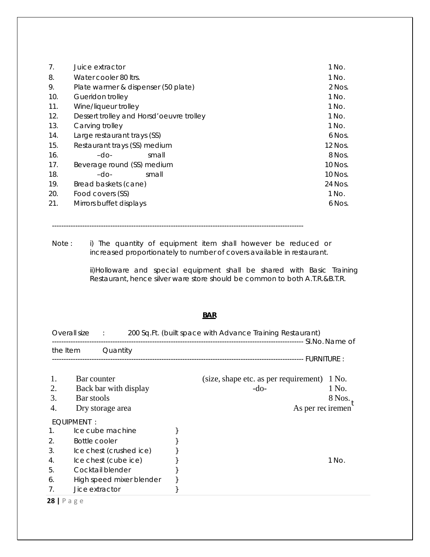| 7 <sub>1</sub> | Juice extractor                           | 1 No.   |
|----------------|-------------------------------------------|---------|
| 8.             | Water cooler 80 ltrs.                     | 1 No.   |
| 9.             | Plate warmer & dispenser (50 plate)       | 2 Nos.  |
| 10.            | Gueridon trolley                          | 1 No.   |
| 11.            | Wine/liqueur trolley                      | 1 No.   |
| 12.            | Dessert trolley and Horsd' oeuvre trolley | 1 No.   |
| 13.            | Carving trolley                           | 1 No.   |
| 14.            | Large restaurant trays (SS)               | 6 Nos.  |
| 15.            | Restaurant trays (SS) medium              | 12 Nos. |
| 16.            | $-dO$<br>small                            | 8 Nos.  |
| 17.            | Beverage round (SS) medium                | 10 Nos. |
| 18.            | $-dO$<br>small                            | 10 Nos. |
| 19.            | Bread baskets (cane)                      | 24 Nos. |
| 20.            | Food covers (SS)                          | 1 No.   |
| 21.            | Mirrors buffet displays                   | 6 Nos.  |

------------------------------------------------------------------------------------------------------------

Note: i) The quantity of equipment item shall however be reduced or increased proportionately to number of covers available in restaurant.

> ii)Holloware and special equipment shall be shared with Basic Training Restaurant, hence silver ware store should be common to both A.T.R.&B.T.R.

#### **BAR**

|                | Overall size :            |                                           | 200 Sq. Ft. (built space with Advance Training Restaurant)           |                            |
|----------------|---------------------------|-------------------------------------------|----------------------------------------------------------------------|----------------------------|
|                | the Item                  | Quantity                                  |                                                                      |                            |
|                |                           |                                           |                                                                      |                            |
| 2.<br>3.<br>4. | Bar counter<br>Bar stools | Back bar with display<br>Dry storage area | (size, shape etc. as per requirement)<br>$-do-$<br>As per rec iremen | 1 No.<br>1 No.<br>$8$ Nos. |
|                | EOUIPMENT:                |                                           |                                                                      |                            |
| 1.             |                           | Ice cube machine                          |                                                                      |                            |
| 2.             | Bottle cooler             |                                           |                                                                      |                            |
| 3.             |                           | Ice chest (crushed ice)                   |                                                                      |                            |
| 4.             |                           | Ice chest (cube ice)                      |                                                                      | 1 No.                      |
| 5.             |                           | Cocktail blender                          |                                                                      |                            |
| 6.             |                           | High speed mixer blender                  |                                                                      |                            |
| 7 <sub>1</sub> | Jice extractor            |                                           |                                                                      |                            |
| 28   $P$ a g e |                           |                                           |                                                                      |                            |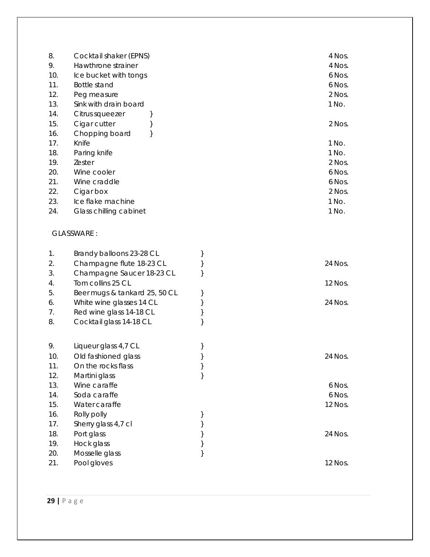| 4 Nos. |
|--------|
| 4 Nos. |
| 6 Nos. |
| 6 Nos. |
| 2 Nos. |
| 1 No.  |
|        |
| 2 Nos. |
|        |
| 1 No.  |
| 1 No.  |
| 2 Nos. |
| 6 Nos. |
| 6 Nos. |
| 2 Nos. |
| 1 No.  |
| 1 No.  |
|        |

# GLASSWARE :

| 1.  | Brandy balloons 23-28 CL      |         |
|-----|-------------------------------|---------|
| 2.  | Champagne flute 18-23 CL      | 24 Nos. |
| 3.  | Champagne Saucer 18-23 CL     |         |
| 4.  | Tom collins 25 CL             | 12 Nos. |
| 5.  | Beer mugs & tankard 25, 50 CL |         |
| 6.  | White wine glasses 14 CL      | 24 Nos. |
| 7.  | Red wine glass 14-18 CL       |         |
| 8.  | Cocktail glass 14-18 CL       |         |
| 9.  | Liqueur glass 4,7 CL          |         |
| 10. | Old fashioned glass           | 24 Nos. |
| 11. | On the rocks flass            |         |
| 12. | Martini glass                 |         |
| 13. | Wine caraffe                  | 6 Nos.  |
| 14. | Soda caraffe                  | 6 Nos.  |
| 15. | Water caraffe                 | 12 Nos. |
| 16. | Rolly polly                   |         |
| 17. | Sherry glass 4,7 cl           |         |
| 18. | Port glass                    | 24 Nos. |
| 19. | Hock glass                    |         |
| 20. | Mosselle glass                |         |
| 21. | Pool gloves                   | 12 Nos. |
|     |                               |         |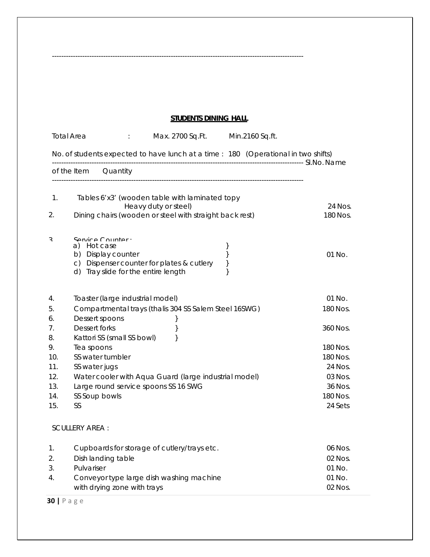# **STUDENTS DINING HALL**

------------------------------------------------------------------------------------------------------------

|                                                              | <b>Total Area</b>                                   | ÷                                                                                                    | Max. 2700 Sq.Ft.                                                                                                                                                      |                        | Min.2160 Sq.ft. |                                                                                           |
|--------------------------------------------------------------|-----------------------------------------------------|------------------------------------------------------------------------------------------------------|-----------------------------------------------------------------------------------------------------------------------------------------------------------------------|------------------------|-----------------|-------------------------------------------------------------------------------------------|
|                                                              |                                                     |                                                                                                      | No. of students expected to have lunch at a time : 180 (Operational in two shifts)                                                                                    |                        |                 |                                                                                           |
|                                                              | of the Item                                         | Quantity                                                                                             |                                                                                                                                                                       |                        |                 |                                                                                           |
| 1.<br>2.                                                     |                                                     |                                                                                                      | Tables 6'x3' (wooden table with laminated topy<br>Heavy duty or steel)<br>Dining chairs (wooden or steel with straight back rest)                                     |                        |                 | 24 Nos.<br>180 Nos.                                                                       |
| ς                                                            | a) Hot case                                         | Service Counter<br>b) Display counter<br>d) Tray slide for the entire length                         | c) Dispenser counter for plates & cutlery                                                                                                                             | }<br>$\}$<br>}<br>$\}$ |                 | 01 No.                                                                                    |
| 4.<br>5.<br>6.<br>7.<br>8.<br>9.<br>10.<br>11.<br>12.<br>13. | <b>Dessert forks</b><br>Tea spoons<br>SS water jugs | Toaster (large industrial model)<br>Dessert spoons<br>Kattori SS (small SS bowl)<br>SS water tumbler | Compartmental trays (thalis 304 SS Salem Steel 16SWG)<br>}<br>}<br>}<br>Water cooler with Aqua Guard (large industrial model)<br>Large round service spoons SS 16 SWG |                        |                 | 01 No.<br>180 Nos.<br>360 Nos.<br>180 Nos.<br>180 Nos.<br>24 Nos.<br>$03$ Nos.<br>36 Nos. |
| 14.<br>15.                                                   | SS<br><b>SCULLERY AREA:</b>                         | SS Soup bowls                                                                                        |                                                                                                                                                                       |                        |                 | 180 Nos.<br>24 Sets                                                                       |
| 1.<br>2.<br>3.<br>4.                                         | Pulvariser                                          | Dish landing table<br>with drying zone with trays                                                    | Cupboards for storage of cutlery/trays etc.<br>Conveyor type large dish washing machine                                                                               |                        |                 | 06 Nos.<br>$02$ Nos.<br>$01$ No.<br>01 No.<br>02 Nos.                                     |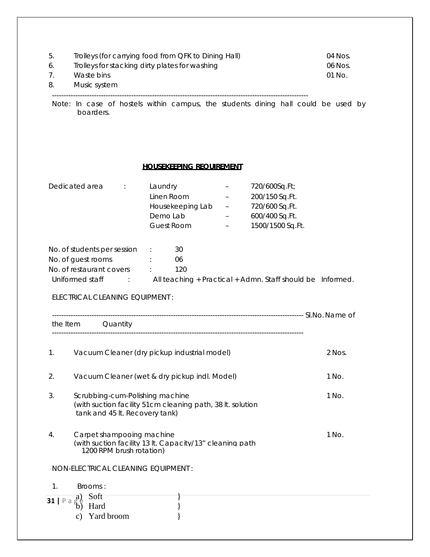| 5.<br>6.<br>7.<br>8. | Trolleys (for carrying food from QFK to Dining Hall)<br>Trolleys for stacking dirty plates for washing<br>Waste bins<br>Music system                                                                                                                                                                          |        |  |
|----------------------|---------------------------------------------------------------------------------------------------------------------------------------------------------------------------------------------------------------------------------------------------------------------------------------------------------------|--------|--|
|                      | Note: In case of hostels within campus, the students dining hall could be used by<br>boarders.                                                                                                                                                                                                                |        |  |
|                      | <b>HOUSEKEEPING REQUIREMENT</b>                                                                                                                                                                                                                                                                               |        |  |
|                      | Dedicated area<br>Laundry<br>720/600Sq.Ft;<br>$\sim 10^{11}$ MeV $\sim 10^{11}$<br>$\qquad \qquad -$<br>Linen Room<br>200/150 Sq.Ft.<br>720/600 Sq.Ft.<br>Housekeeping Lab<br>$\frac{1}{2}$ and $\frac{1}{2}$ and $\frac{1}{2}$<br>Demo Lab<br>600/400 Sq.Ft.<br>$-$<br><b>Guest Room</b><br>1500/1500 Sq.Ft. |        |  |
|                      | 30<br>No. of students per session :<br>No. of guest rooms<br>06<br>No. of restaurant covers :<br>120<br>Uniformed staff : All teaching + Practical + Admn. Staff should be Informed.<br>ELECTRICAL CLEANING EQUIPMENT :<br>the Item Quantity                                                                  |        |  |
| 1.                   | Vacuum Cleaner (dry pickup industrial model)                                                                                                                                                                                                                                                                  | 2 Nos. |  |
| 2.                   | Vacuum Cleaner (wet & dry pickup indl. Model)                                                                                                                                                                                                                                                                 | 1 No.  |  |
| 3.                   | Scrubbing-cum-Polishing machine<br>(with suction facility 51cm cleaning path, 38 lt. solution<br>tank and 45 lt. Recovery tank)                                                                                                                                                                               | 1 No.  |  |
| 4.                   | Carpet shampooing machine<br>(with suction facility 13 lt. Capacity/13" cleaning path<br>1200 RPM brush rotation)                                                                                                                                                                                             | 1 No.  |  |
|                      | NON-ELECTRICAL CLEANING EQUIPMENT :                                                                                                                                                                                                                                                                           |        |  |
| 1.                   | Brooms:<br>Soft                                                                                                                                                                                                                                                                                               |        |  |
| 31   P<br>a          | a)<br>Hard<br>Yard broom                                                                                                                                                                                                                                                                                      |        |  |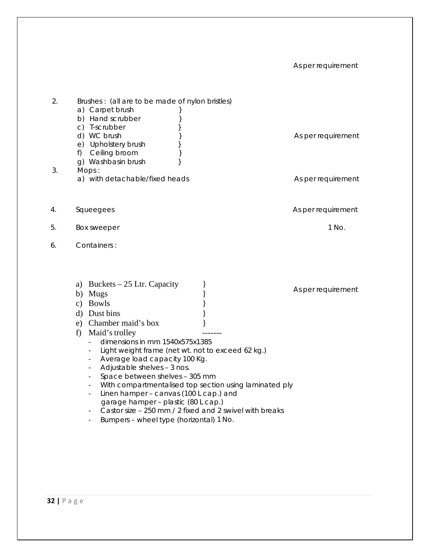## As per requirement

| 2.<br>3. | Brushes: (all are to be made of nylon bristles)<br>a) Carpet brush<br>ł<br>b) Hand scrubber<br>}<br>c) T-scrubber<br>d) WC brush<br>e) Upholstery brush<br>f) Ceiling broom<br>q) Washbasin brush<br>Mops:<br>a) with detachable/fixed heads                                                                                                                                                                                                                                                                                                                                                                                            | As per requirement<br>As per requirement |
|----------|-----------------------------------------------------------------------------------------------------------------------------------------------------------------------------------------------------------------------------------------------------------------------------------------------------------------------------------------------------------------------------------------------------------------------------------------------------------------------------------------------------------------------------------------------------------------------------------------------------------------------------------------|------------------------------------------|
| 4.       | Squeegees                                                                                                                                                                                                                                                                                                                                                                                                                                                                                                                                                                                                                               | As per requirement                       |
| 5.       | Box sweeper                                                                                                                                                                                                                                                                                                                                                                                                                                                                                                                                                                                                                             | 1 No.                                    |
| 6.       | Containers:<br>a) Buckets $-25$ Ltr. Capacity<br>b) Mugs<br>c) Bowls<br>d) Dust bins<br>e) Chamber maid's box<br>Maid's trolley<br>f)<br>dimensions in mm 1540x575x1385<br>Light weight frame (net wt. not to exceed 62 kg.)<br>Average load capacity 100 Kg.<br>Adjustable shelves - 3 nos.<br>Space between shelves - 305 mm<br>With compartmentalised top section using laminated ply<br>$\overline{\phantom{a}}$<br>Linen hamper - canvas (100 L cap.) and<br>$\overline{\phantom{a}}$<br>garage hamper - plastic (80 L cap.)<br>Castor size - 250 mm / 2 fixed and 2 swivel with breaks<br>Bumpers - wheel type (horizontal) 1 No. | As per requirement                       |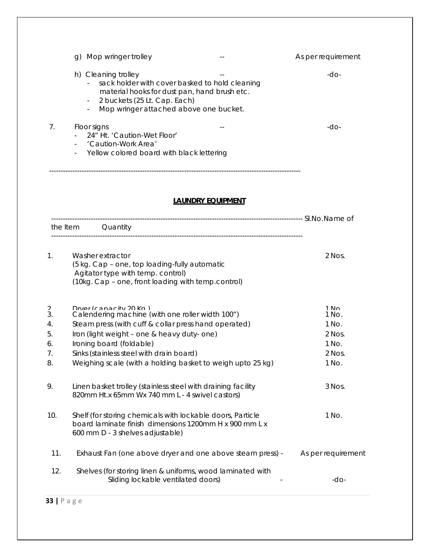|                                       | Mop wringer trolley<br>g)                                                                                                                                                                                                                                                                                               |                          | As per requirement                                             |
|---------------------------------------|-------------------------------------------------------------------------------------------------------------------------------------------------------------------------------------------------------------------------------------------------------------------------------------------------------------------------|--------------------------|----------------------------------------------------------------|
|                                       | h) Cleaning trolley<br>sack holder with cover basked to hold cleaning<br>material hooks for dust pan, hand brush etc.<br>2 buckets (25 Lt. Cap. Each)<br>$\sim 10$<br>Mop wringer attached above one bucket.<br>$\overline{\phantom{a}}$                                                                                |                          | $-dO-$                                                         |
| 7.                                    | Floor signs<br>24" Ht. 'Caution-Wet Floor'<br>'Caution-Work Area'<br>Yellow colored board with black lettering                                                                                                                                                                                                          |                          | $-dO-$                                                         |
|                                       |                                                                                                                                                                                                                                                                                                                         | <b>LAUNDRY EQUIPMENT</b> |                                                                |
| the Item                              | Quantity                                                                                                                                                                                                                                                                                                                |                          |                                                                |
| 1 <sub>1</sub>                        | Washer extractor<br>(5 kg. Cap - one, top loading-fully automatic<br>Agitator type with temp. control)<br>(10kg. Cap - one, front loading with temp.control)                                                                                                                                                            |                          | 2 Nos.                                                         |
| V<br>3.<br>4.<br>5.<br>6.<br>7.<br>8. | Drver (canacity 20 Kg)<br>Calendering machine (with one roller width 100")<br>Steam press (with cuff & collar press hand operated)<br>Iron (light weight - one & heavy duty- one)<br>Ironing board (foldable)<br>Sinks (stainless steel with drain board)<br>Weighing scale (with a holding basket to weigh upto 25 kg) |                          | $1$ No<br>1 No.<br>1 No.<br>2 Nos.<br>1 No.<br>2 Nos.<br>1 No. |
| 9.                                    | Linen basket trolley (stainless steel with draining facility<br>820mm Ht.x 65mm Wx 740 mm L - 4 swivel castors)                                                                                                                                                                                                         |                          | 3 Nos.                                                         |
| 10.                                   | Shelf (for storing chemicals with lockable doors, Particle<br>board laminate finish dimensions 1200mm H x 900 mm L x<br>600 mm D - 3 shelves adjustable)                                                                                                                                                                |                          | 1 No.                                                          |
| 11.                                   | Exhaust Fan (one above dryer and one above steam press) -                                                                                                                                                                                                                                                               |                          | As per requirement                                             |
| 12.                                   | Shelves (for storing linen & uniforms, wood laminated with<br>Sliding lockable ventilated doors)                                                                                                                                                                                                                        |                          | $-dO-$                                                         |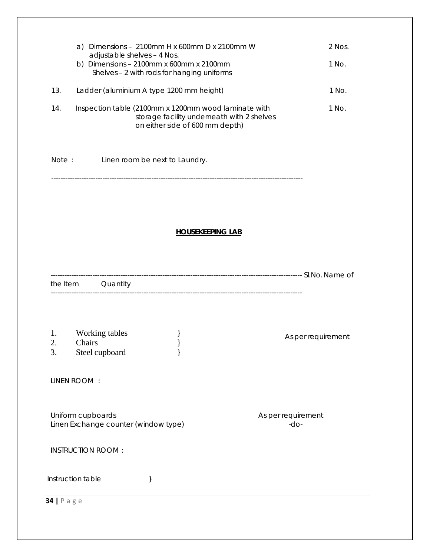|                | a) Dimensions - 2100mm H x 600mm D x 2100mm W<br>adjustable shelves - 4 Nos.                                                          | 2 Nos.                       |
|----------------|---------------------------------------------------------------------------------------------------------------------------------------|------------------------------|
|                | b) Dimensions - $2100$ mm x 600mm x 2100mm<br>Shelves - 2 with rods for hanging uniforms                                              | 1 No.                        |
| 13.            | Ladder (aluminium A type 1200 mm height)                                                                                              | 1 No.                        |
| 14.            | Inspection table (2100mm x 1200mm wood laminate with<br>storage facility underneath with 2 shelves<br>on either side of 600 mm depth) | 1 No.                        |
| Note:          | Linen room be next to Laundry.                                                                                                        |                              |
|                |                                                                                                                                       |                              |
|                |                                                                                                                                       |                              |
|                | <b>HOUSEKEEPING LAB</b>                                                                                                               |                              |
|                |                                                                                                                                       |                              |
|                | the Item Quantity                                                                                                                     |                              |
|                |                                                                                                                                       |                              |
| 1.<br>2.<br>3. | Working tables<br>Chairs<br>Steel cupboard<br>ſ                                                                                       | As per requirement           |
|                | LINEN ROOM :                                                                                                                          |                              |
|                | Uniform cupboards<br>Linen Exchange counter (window type)                                                                             | As per requirement<br>$-do-$ |
|                | <b>INSTRUCTION ROOM:</b>                                                                                                              |                              |
|                | Instruction table<br>}                                                                                                                |                              |
| $34$   Page    |                                                                                                                                       |                              |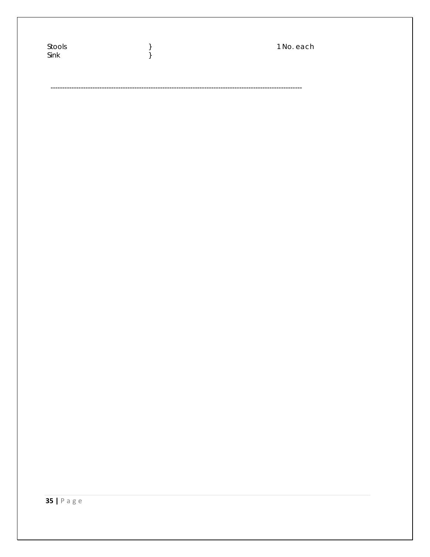| Stools<br>$\ensuremath{\mathsf{Sink}}$ | $\left.\begin{array}{c} \end{array}\right\}$ | 1 No. each |
|----------------------------------------|----------------------------------------------|------------|
|                                        |                                              |            |
|                                        |                                              |            |
|                                        |                                              |            |
|                                        |                                              |            |
|                                        |                                              |            |
|                                        |                                              |            |
|                                        |                                              |            |
|                                        |                                              |            |
|                                        |                                              |            |
|                                        |                                              |            |
|                                        |                                              |            |
|                                        |                                              |            |
|                                        |                                              |            |
|                                        |                                              |            |
|                                        |                                              |            |
|                                        |                                              |            |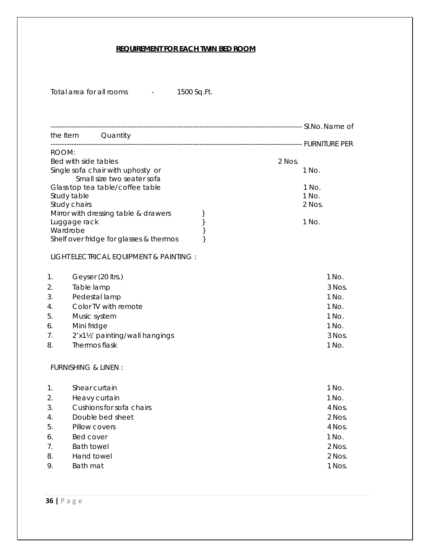## **REQUIREMENT FOR EACH TWIN BED ROOM**

| Total area for all rooms |  | 1500 Sq.Ft. |
|--------------------------|--|-------------|
|--------------------------|--|-------------|

| 1500 Sq.Ft. |  |
|-------------|--|
|-------------|--|

|                                                    |                                                                                                   | the Item Quantity                                                                                                                                                                                                                                      |                        |                                                                                       |
|----------------------------------------------------|---------------------------------------------------------------------------------------------------|--------------------------------------------------------------------------------------------------------------------------------------------------------------------------------------------------------------------------------------------------------|------------------------|---------------------------------------------------------------------------------------|
| ROOM:<br>1.<br>2.                                  | Bed with side tables<br>Study table<br>Study chairs<br>Luggage rack<br>Wardrobe<br>Table lamp     | Single sofa chair with uphosty or<br>Small size two seater sofa<br>Glass top tea table/coffee table<br>Mirror with dressing table & drawers<br>Shelf over fridge for glasses & thermos<br>LIGHT ELECTRICAL EQUIPMENT & PAINTING :<br>Geyser (20 ltrs.) | }<br>}<br>$\}$<br>$\}$ | 2 Nos.<br>1 No.<br>1 No.<br>1 No.<br>2 Nos.<br>1 No.<br>$1$ No.<br>3 Nos.             |
| 3.<br>4.<br>5.<br>6.<br>7.<br>8.                   | Music system<br>Mini fridge<br>Thermos flask<br>FURNISHING & LINEN:                               | Pedestal lamp<br>Color TV with remote<br>2'x11/2' painting/wall hangings                                                                                                                                                                               |                        | $1$ No.<br>1 No.<br>1 No.<br>1 No.<br>3 Nos.<br>1 No.                                 |
| 1.<br>2.<br>3.<br>4.<br>5.<br>6.<br>7.<br>8.<br>9. | Shear curtain<br>Pillow covers<br><b>Bed cover</b><br><b>Bath towel</b><br>Hand towel<br>Bath mat | Heavy curtain<br>Cushions for sofa chairs<br>Double bed sheet                                                                                                                                                                                          |                        | 1 No.<br>1 No.<br>4 Nos.<br>$2$ Nos.<br>4 Nos.<br>1 No.<br>2 Nos.<br>2 Nos.<br>1 Nos. |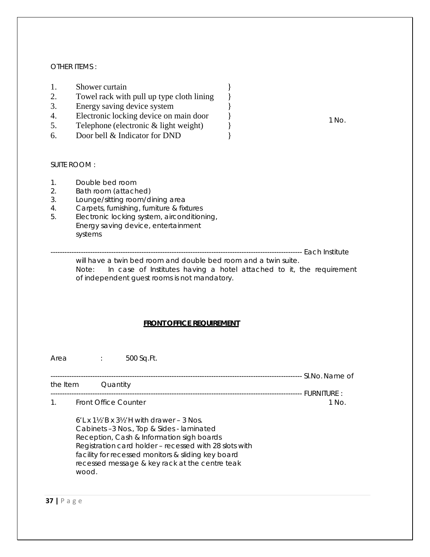### OTHER ITEMS :

- 1. Shower curtain  $\{$
- 2. Towel rack with pull up type cloth lining  $\}$
- 3. Energy saving device system  $\}$
- 4. Electronic locking device on main door  $\}$
- 5. Telephone (electronic & light weight) }
- 6. Door bell & Indicator for DND }

### SUITE ROOM :

- 1. Double bed room
- 2. Bath room (attached)
- 3. Lounge/sitting room/dining area
- 4. Carpets, furnishing, furniture & fixtures
- 5. Electronic locking system, airconditioning, Energy saving device, entertainment systems

------------------------------------------------------------------------------------------------------------ Each Institute

will have a twin bed room and double bed room and a twin suite. Note: In case of Institutes having a hotel attached to it, the requirement of independent guest rooms is not mandatory.

#### **FRONT OFFICE REQUIREMENT**

Area : 500 Sq.Ft.

------------------------------------------------------------------------------------------------------------ Sl.No. Name of the Item Quantity ------------------------------------------------------------------------------------------------------------ FURNITURE :

1. Front Office Counter 1 No.

6'L x 1½'B x 3½'H with drawer – 3 Nos. Cabinets –3 Nos., Top & Sides - laminated Reception, Cash & Information sigh boards Registration card holder – recessed with 28 slots with facility for recessed monitors & sliding key board recessed message & key rack at the centre teak wood.

1 No.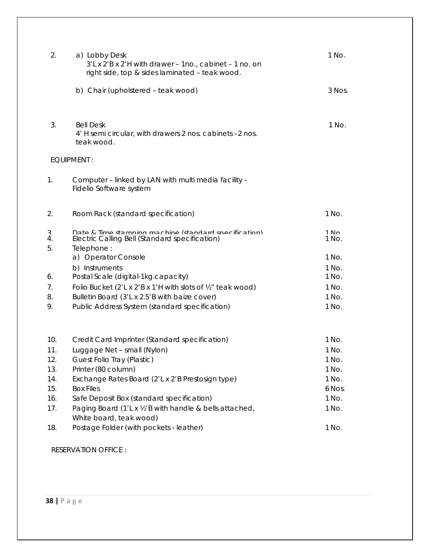| 2.            | a) Lobby Desk<br>$3'$ L x $2'B$ x $2'H$ with drawer - 1no., cabinet - 1 no. on<br>right side, top & sides laminated - teak wood. | 1 No.           |
|---------------|----------------------------------------------------------------------------------------------------------------------------------|-----------------|
|               | b) Chair (upholstered - teak wood)                                                                                               | 3 Nos.          |
| 3.            | <b>Bell Desk</b><br>4' H semi circular, with drawers 2 nos. cabinets -2 nos.<br>teak wood.                                       | 1 No.           |
|               | EQUIPMENT:                                                                                                                       |                 |
| 1.            | Computer - linked by LAN with multi media facility -<br>Fidelio Software system                                                  |                 |
| 2.            | Room Rack (standard specification)                                                                                               | 1 No.           |
| ζ<br>4.<br>5. | Date & Time stamning machine (standard specification)<br>Electric Calling Bell (Standard specification)<br>Telephone:            | $1$ No<br>1 No. |
|               | a) Operator Console                                                                                                              | 1 No.           |
| 6.            | b) Instruments<br>Postal Scale (digital-1kg.capacity)                                                                            | 1 No.<br>1 No.  |
| 7.            | Folio Bucket (2'L x 2'B x 1'H with slots of 1/2" teak wood)                                                                      | 1 No.           |
| 8.            | Bulletin Board (3'L x 2.5'B with baize cover)                                                                                    | 1 No.           |
| 9.            | Public Address System (standard specification)                                                                                   | 1 No.           |
| 10.           | Credit Card Imprinter (Standard specification)                                                                                   | 1 No.           |
| 11.           | Luggage Net - small (Nylon)                                                                                                      | 1 No.           |
| 12.           | Guest Folio Tray (Plastic)                                                                                                       | 1 No.           |
| 13.           | Printer (80 column)                                                                                                              | 1 No.           |
| 14.           | Exchange Rates Board (2'L x 2'B Prestosign type)                                                                                 | 1 No.           |
| 15.           | <b>Box Files</b>                                                                                                                 | 6 Nos.          |
| 16.           | Safe Deposit Box (standard specification)                                                                                        | 1 No.           |
| 17.           | Paging Board (1'L x 1/2'B with handle & bells attached,<br>White board, teak wood)                                               | 1 No.           |
| 18.           | Postage Folder (with pockets - leather)                                                                                          | 1 No.           |

RESERVATION OFFICE :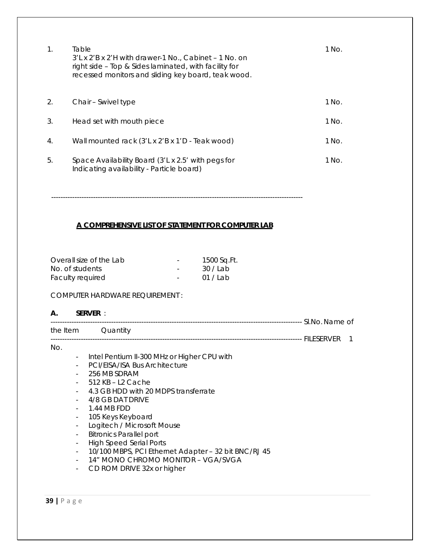| $\mathbf 1$ .    | Table<br>3'L x 2'B x 2'H with drawer-1 No., Cabinet - 1 No. on<br>right side – Top & Sides laminated, with facility for<br>recessed monitors and sliding key board, teak wood. | 1 No. |
|------------------|--------------------------------------------------------------------------------------------------------------------------------------------------------------------------------|-------|
| 2.               | Chair – Swivel type                                                                                                                                                            | 1 No. |
| 3.               | Head set with mouth piece                                                                                                                                                      | 1 No. |
| $\overline{4}$ . | Wall mounted rack (3'L x 2'B x 1'D - Teak wood)                                                                                                                                | 1 No. |
| 5.               | Space Availability Board (3'L x 2.5' with pegs for<br>Indicating availability - Particle board)                                                                                | 1 No. |

------------------------------------------------------------------------------------------------------------

## **A COMPREHENSIVE LIST OF STATEMENT FOR COMPUTER LAB**

| Overall size of the Lab | $\overline{\phantom{a}}$ | 1500 Sq.Ft. |
|-------------------------|--------------------------|-------------|
| No. of students         | $\overline{\phantom{a}}$ | 30/Lab      |
| Faculty required        | $\sim$ 100 $\mu$         | 01 / Lab    |

# COMPUTER HARDWARE REQUIREMENT :

### **A. SERVER** :

|                          | the Item Quantity                                    |
|--------------------------|------------------------------------------------------|
| No.                      |                                                      |
| $\overline{\phantom{a}}$ | Intel Pentium II-300 MHz or Higher CPU with          |
| $\overline{\phantom{a}}$ | PCI/EISA/ISA Bus Architecture                        |
|                          | 256 MB SDRAM                                         |
|                          | $512$ KB $-$ L2 Cache                                |
|                          | 4.3 GB HDD with 20 MDPS transferrate                 |
|                          | 4/8 GB DAT DRIVE                                     |
| $\overline{\phantom{a}}$ | 1.44 MB FDD                                          |
| $\overline{\phantom{a}}$ | 105 Keys Keyboard                                    |
| $\overline{\phantom{a}}$ | Logitech / Microsoft Mouse                           |
| $\overline{\phantom{a}}$ | <b>Bitronics Parallel port</b>                       |
| $\overline{\phantom{a}}$ | <b>High Speed Serial Ports</b>                       |
| $\overline{\phantom{a}}$ | 10/100 MBPS, PCI Ethernet Adapter - 32 bit BNC/RJ 45 |
| $\overline{\phantom{a}}$ | 14" MONO CHROMO MONITOR - VGA/SVGA                   |
|                          | CD ROM DRIVE 32x or higher                           |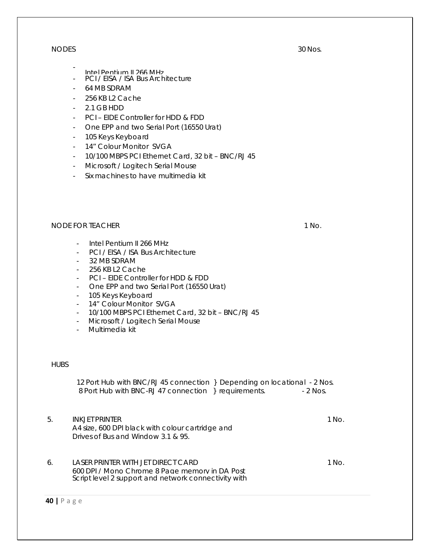#### NODES

- Intel Pentium II 266 MHz
- PCI / EISA / ISA Bus Architecture
- 64 MB SDRAM
- 256 KB L2 Cache
- 2.1 GB HDD
- PCI EIDE Controller for HDD & FDD
- One EPP and two Serial Port (16550 Urat)
- 105 Keys Keyboard
- 14" Colour Monitor SVGA
- 10/100 MBPS PCI Ethernet Card, 32 bit BNC/RJ 45
- Microsoft / Logitech Serial Mouse
- Six machines to have multimedia kit

## NODE FOR TEACHER 1 No. 1 No.

- Intel Pentium II 266 MHz
- PCI / EISA / ISA Bus Architecture
- 32 MB SDRAM
- 256 KB L2 Cache
- PCI EIDE Controller for HDD & FDD
- One EPP and two Serial Port (16550 Urat)
- 105 Keys Keyboard
- 14" Colour Monitor SVGA
- 10/100 MBPS PCI Ethernet Card, 32 bit BNC/RJ 45
- Microsoft / Logitech Serial Mouse
- Multimedia kit

### **HUBS**

12 Port Hub with BNC/RJ 45 connection } Depending on locational - 2 Nos. 8 Port Hub with BNC-RJ 47 connection } requirements. - 2 Nos.

- 5. INKJET PRINTER A4 size, 600 DPI black with colour cartridge and Drives of Bus and Window 3.1 & 95.
- 6. LASER PRINTER WITH JET DIRECT CARD 600 DPI / Mono Chrome 8 Page memory in DA Post Script level 2 support and network connectivity with

**40 |** Page

1 No.

1 No.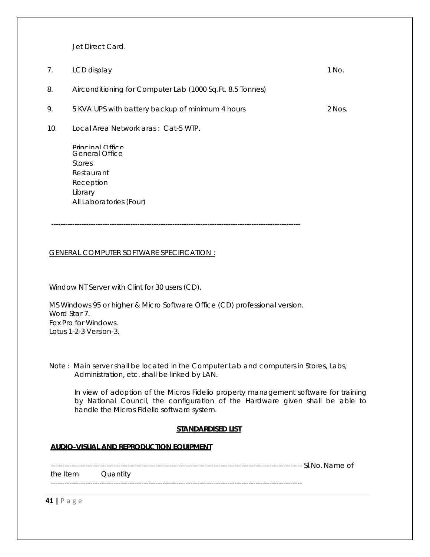Jet Direct Card.

| 7.  | LCD display                                                                                                                 | 1 No.  |
|-----|-----------------------------------------------------------------------------------------------------------------------------|--------|
| 8.  | Airconditioning for Computer Lab (1000 Sq.Ft. 8.5 Tonnes)                                                                   |        |
| 9.  | 5 KVA UPS with battery backup of minimum 4 hours                                                                            | 2 Nos. |
| 10. | Local Area Network aras: Cat-5 WTP.                                                                                         |        |
|     | Princinal Office<br><b>General Office</b><br><b>Stores</b><br>Restaurant<br>Reception<br>Library<br>All Laboratories (Four) |        |
|     |                                                                                                                             |        |

GENERAL COMPUTER SOFTWARE SPECIFICATION :

Window NT Server with Clint for 30 users (CD).

MS Windows 95 or higher & Micro Software Office (CD) professional version. Word Star 7. Fox Pro for Windows. Lotus 1-2-3 Version-3.

Note : Main server shall be located in the Computer Lab and computers in Stores, Labs, Administration, etc. shall be linked by LAN.

In view of adoption of the Micros Fidelio property management software for training by National Council, the configuration of the Hardware given shall be able to handle the Micros Fidelio software system.

#### **STANDARDISED LIST**

#### **AUDIO-VISUAL AND REPRODUCTION EQUIPMENT**

------------------------------------------------------------------------------------------------------------ Sl.No. Name of

the Item Quantity ------------------------------------------------------------------------------------------------------------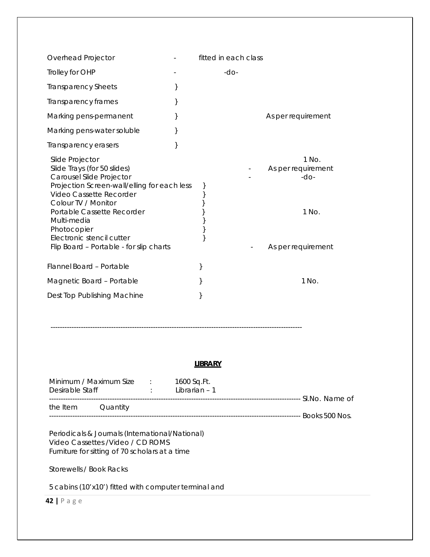| Overhead Projector                                                                                                                                                                                                                                                                                              | fitted in each class |                                                                      |
|-----------------------------------------------------------------------------------------------------------------------------------------------------------------------------------------------------------------------------------------------------------------------------------------------------------------|----------------------|----------------------------------------------------------------------|
| Trolley for OHP                                                                                                                                                                                                                                                                                                 | $-dO-$               |                                                                      |
| <b>Transparency Sheets</b>                                                                                                                                                                                                                                                                                      |                      |                                                                      |
| Transparency frames                                                                                                                                                                                                                                                                                             |                      |                                                                      |
| Marking pens-permanent                                                                                                                                                                                                                                                                                          |                      | As per requirement                                                   |
| Marking pens-water soluble                                                                                                                                                                                                                                                                                      |                      |                                                                      |
| Transparency erasers                                                                                                                                                                                                                                                                                            |                      |                                                                      |
| Slide Projector<br>Slide Trays (for 50 slides)<br>Carousel Slide Projector<br>Projection Screen-wall/elling for each less<br>Video Cassette Recorder<br>Colour TV / Monitor<br>Portable Cassette Recorder<br>Multi-media<br>Photocopier<br>Electronic stencil cutter<br>Flip Board - Portable - for slip charts |                      | 1 No.<br>As per requirement<br>$-dO-$<br>1 No.<br>As per requirement |
| Flannel Board - Portable                                                                                                                                                                                                                                                                                        |                      |                                                                      |
| Magnetic Board - Portable                                                                                                                                                                                                                                                                                       |                      | 1 No.                                                                |
| Dest Top Publishing Machine                                                                                                                                                                                                                                                                                     |                      |                                                                      |

------------------------------------------------------------------------------------------------------------

## **LIBRARY**

| Minimum / Maximum Size<br>Desirable Staff |          | 1600 Sq.Ft.<br>Librarian - 1 |                   |
|-------------------------------------------|----------|------------------------------|-------------------|
| the Item                                  | Quantity |                              | -- SI.No. Name of |
|                                           |          |                              | - Books 500 Nos.  |

Periodicals & Journals (International/National) Video Cassettes /Video / CD ROMS Furniture for sitting of 70 scholars at a time

Storewells / Book Racks

5 cabins (10'x10') fitted with computer terminal and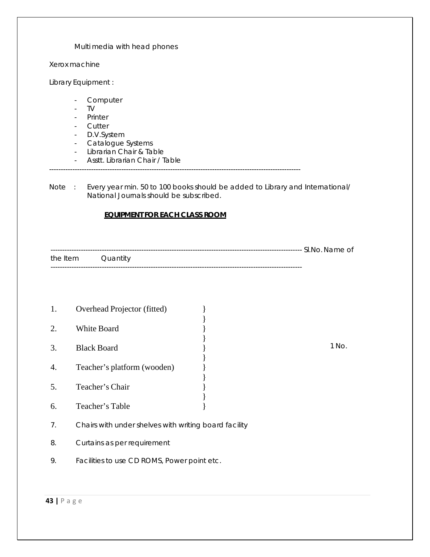Multi media with head phones

Xerox machine

Library Equipment :

- Computer
- TV
- Printer
- Cutter
- D.V.System
- Catalogue Systems
- Librarian Chair & Table
- Asstt. Librarian Chair / Table
- ------------------------------------------------------------------------------------------------------------

Note : Every year min. 50 to 100 books should be added to Library and International/ National Journals should be subscribed.

### **EQUIPMENT FOR EACH CLASS ROOM**

------------------------------------------------------------------------------------------------------------ Sl.No. Name of the Item Quantity ------------------------------------------------------------------------------------------------------------

- 1. Overhead Projector (fitted) } 2. White Board } } 3. Black Board } 4. Teacher's platform (wooden) } } 5. Teacher's Chair } }
- 7. Chairs with under shelves with writing board facility

6. Teacher's Table }

- 8. Curtains as per requirement
- 9. Facilities to use CD ROMS, Power point etc.

1 No.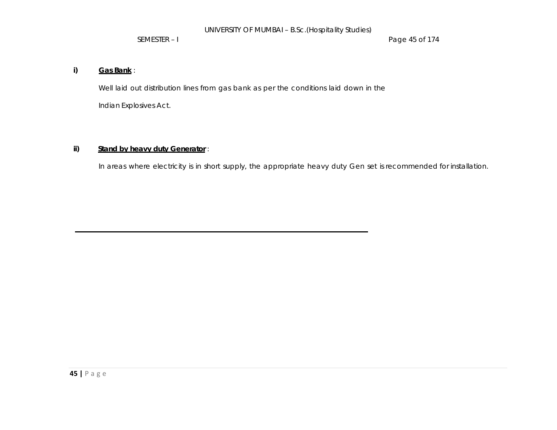SEMESTER – I Page 45 of 174

## **i) Gas Bank** :

Well laid out distribution lines from gas bank as per the conditions laid down in the Indian Explosives Act.

## **ii) Stand by heavy duty Generator** :

In areas where electricity is in short supply, the appropriate heavy duty Gen set is recommended for installation.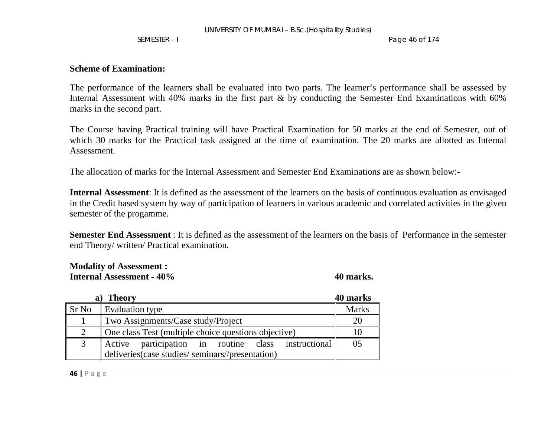SEMESTER – I Page 46 of 174

## **Scheme of Examination:**

The performance of the learners shall be evaluated into two parts. The learner's performance shall be assessed by Internal Assessment with 40% marks in the first part & by conducting the Semester End Examinations with 60% marks in the second part.

The Course having Practical training will have Practical Examination for 50 marks at the end of Semester, out of which 30 marks for the Practical task assigned at the time of examination. The 20 marks are allotted as Internal Assessment.

The allocation of marks for the Internal Assessment and Semester End Examinations are as shown below:-

**Internal Assessment**: It is defined as the assessment of the learners on the basis of continuous evaluation as envisaged in the Credit based system by way of participation of learners in various academic and correlated activities in the given semester of the progamme.

**Semester End Assessment** : It is defined as the assessment of the learners on the basis of Performance in the semester end Theory/ written/ Practical examination.

## **Modality of Assessment : Internal Assessment - 40%**

**40 marks.** 

|       | <b>Theory</b>                                        | 40 marks     |
|-------|------------------------------------------------------|--------------|
| Sr No | Evaluation type                                      | <b>Marks</b> |
|       | Two Assignments/Case study/Project                   |              |
|       | One class Test (multiple choice questions objective) |              |
|       | Active participation in routine class instructional  | 05           |
|       | deliveries (case studies/seminars//presentation)     |              |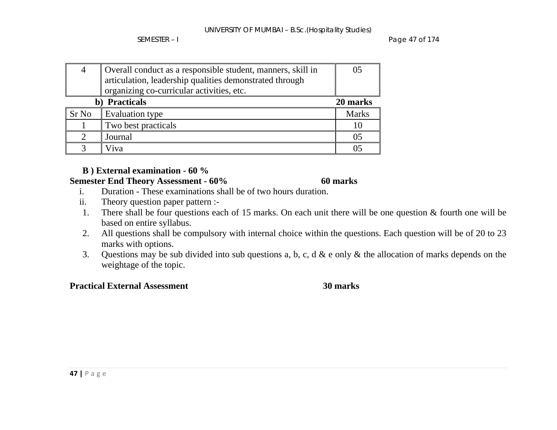SEMESTER – I Page 47 of 174

| 4     | Overall conduct as a responsible student, manners, skill in | 0 <sub>5</sub> |
|-------|-------------------------------------------------------------|----------------|
|       | articulation, leadership qualities demonstrated through     |                |
|       | organizing co-curricular activities, etc.                   |                |
|       | b) Practicals                                               | 20 marks       |
| Sr No | Evaluation type                                             | <b>Marks</b>   |
|       | Two best practicals                                         |                |
|       | Journal                                                     | 05             |
|       | Viva                                                        | 05             |

# **B ) External examination - 60 %**

## **Semester End Theory Assessment - 60% 60 marks**

- i.Duration - These examinations shall be of two hours duration.
- ii.Theory question paper pattern :-
- 1. There shall be four questions each of 15 marks. On each unit there will be one question & fourth one will be based on entire syllabus.
- 2. All questions shall be compulsory with internal choice within the questions. Each question will be of 20 to 23 marks with options.
- 3. Questions may be sub divided into sub questions a, b, c, d & e only & the allocation of marks depends on the weightage of the topic.

# **Practical External Assessment** 30 marks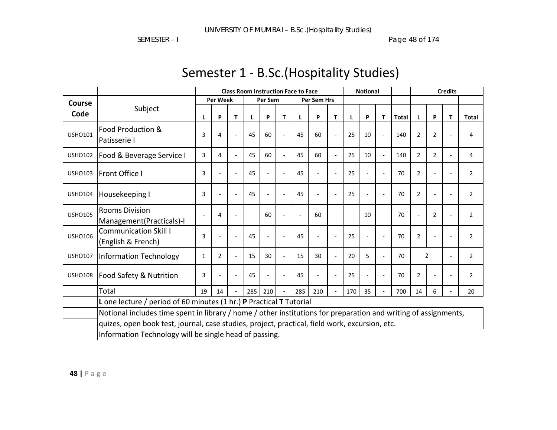SEMESTER – I Page 48 of 174

|                |                                                                                                                                                          | <b>Class Room Instruction Face to Face</b> |                 |   |     |         |                | <b>Notional</b> |             |                          |     | <b>Credits</b>           |                |              |                |                |   |                |
|----------------|----------------------------------------------------------------------------------------------------------------------------------------------------------|--------------------------------------------|-----------------|---|-----|---------|----------------|-----------------|-------------|--------------------------|-----|--------------------------|----------------|--------------|----------------|----------------|---|----------------|
| Course         |                                                                                                                                                          |                                            | <b>Per Week</b> |   |     | Per Sem |                |                 | Per Sem Hrs |                          |     |                          |                |              |                |                |   |                |
| Code           | Subject                                                                                                                                                  | L                                          | P               | т |     | P       | T              | L               | P           | T                        |     | P                        | T.             | <b>Total</b> | L              | P              | T | <b>Total</b>   |
| <b>USHO101</b> | Food Production &<br>Patisserie I                                                                                                                        | 3                                          | 4               |   | 45  | 60      | $\overline{a}$ | 45              | 60          | $\blacksquare$           | 25  | 10                       | $\overline{a}$ | 140          | $\overline{2}$ | $\overline{2}$ |   | 4              |
| <b>USHO102</b> | Food & Beverage Service I                                                                                                                                | 3                                          | 4               |   | 45  | 60      |                | 45              | 60          | ÷,                       | 25  | 10                       |                | 140          | $\overline{2}$ | $\overline{2}$ |   | 4              |
| <b>USHO103</b> | <b>Front Office I</b>                                                                                                                                    | 3                                          |                 |   | 45  |         |                | 45              |             | $\overline{a}$           | 25  |                          |                | 70           | $\overline{2}$ |                |   | 2              |
| <b>USHO104</b> | Housekeeping I                                                                                                                                           | 3                                          |                 |   | 45  |         |                | 45              |             | $\overline{\phantom{a}}$ | 25  |                          |                | 70           | $\overline{2}$ |                |   | $\overline{2}$ |
| <b>USHO105</b> | <b>Rooms Division</b><br>Management(Practicals)-I                                                                                                        |                                            | 4               |   |     | 60      | $\overline{a}$ | $\overline{a}$  | 60          |                          |     | 10                       |                | 70           | ÷,             | $\overline{2}$ |   | $\overline{2}$ |
| <b>USHO106</b> | <b>Communication Skill I</b><br>(English & French)                                                                                                       | 3                                          |                 |   | 45  |         |                | 45              |             | ä,                       | 25  | $\overline{\phantom{a}}$ |                | 70           | 2              |                |   | $\overline{2}$ |
| <b>USHO107</b> | <b>Information Technology</b>                                                                                                                            | 1                                          | $\overline{2}$  |   | 15  | 30      | $\overline{a}$ | 15              | 30          | $\blacksquare$           | 20  | 5                        |                | 70           |                | $\overline{2}$ |   | 2              |
| <b>USHO108</b> | Food Safety & Nutrition                                                                                                                                  | 3                                          |                 |   | 45  |         |                | 45              |             | $\overline{\phantom{a}}$ | 25  |                          |                | 70           | $\overline{2}$ |                |   | $\overline{2}$ |
|                | Total                                                                                                                                                    | 19                                         | 14              |   | 285 | 210     | $\sim$         | 285             | 210         | $\blacksquare$           | 170 | 35                       |                | 700          | 14             | 6              |   | 20             |
|                | L one lecture / period of 60 minutes (1 hr.) P Practical T Tutorial                                                                                      |                                            |                 |   |     |         |                |                 |             |                          |     |                          |                |              |                |                |   |                |
|                | Notional includes time spent in library / home / other institutions for preparation and writing of assignments,                                          |                                            |                 |   |     |         |                |                 |             |                          |     |                          |                |              |                |                |   |                |
|                | quizes, open book test, journal, case studies, project, practical, field work, excursion, etc.<br>Information Technology will be single head of passing. |                                            |                 |   |     |         |                |                 |             |                          |     |                          |                |              |                |                |   |                |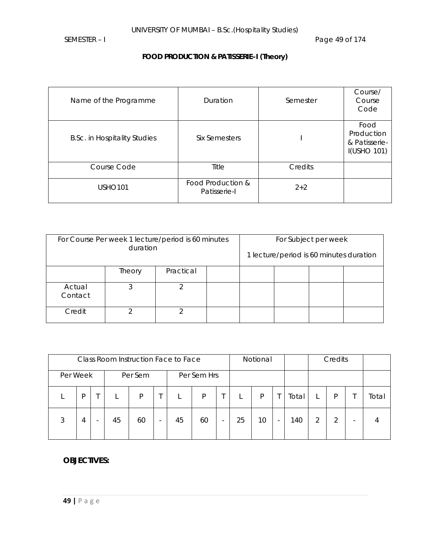# **FOOD PRODUCTION & PATISSERIE–I (Theory)**

| Name of the Programme               | Duration                          | Semester | Course/<br>Course<br>Code                                 |
|-------------------------------------|-----------------------------------|----------|-----------------------------------------------------------|
| <b>B.Sc. in Hospitality Studies</b> | Six Semesters                     |          | Food<br>Production<br>& Patisserie-<br><b>I(USHO 101)</b> |
| Course Code                         | Title                             | Credits  |                                                           |
| <b>USHO101</b>                      | Food Production &<br>Patisserie-I | $2+2$    |                                                           |

| For Course Per week 1 lecture/period is 60 minutes<br>duration |        |           | For Subject per week |  |                                         |  |  |
|----------------------------------------------------------------|--------|-----------|----------------------|--|-----------------------------------------|--|--|
|                                                                |        |           |                      |  | 1 lecture/period is 60 minutes duration |  |  |
|                                                                | Theory | Practical |                      |  |                                         |  |  |
| Actual<br>Contact                                              | ာ      |           |                      |  |                                         |  |  |
| Credit                                                         |        |           |                      |  |                                         |  |  |

|          |   | Class Room Instruction Face to Face |         |                          |    |             |   |    | Notional |                          |       |   | Credits |       |
|----------|---|-------------------------------------|---------|--------------------------|----|-------------|---|----|----------|--------------------------|-------|---|---------|-------|
| Per Week |   |                                     | Per Sem |                          |    | Per Sem Hrs |   |    |          |                          |       |   |         |       |
|          | D |                                     | P       |                          |    | P           |   |    | P        |                          | Total |   | P       | Total |
| 3        | 4 | 45                                  | 60      | $\overline{\phantom{a}}$ | 45 | 60          | ۰ | 25 | 10       | $\overline{\phantom{a}}$ | 140   | っ | ာ       |       |

## **OBJECTIVES:**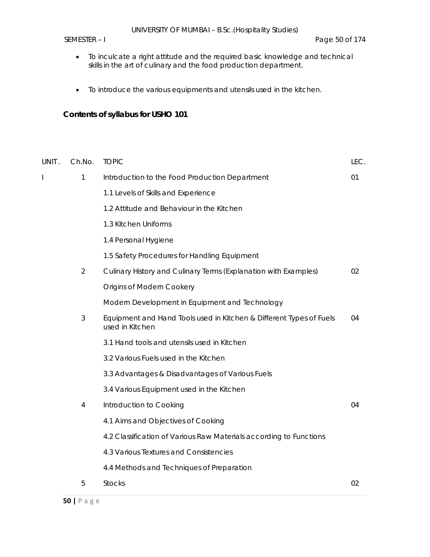- To inculcate a right attitude and the required basic knowledge and technical skills in the art of culinary and the food production department.
- To introduce the various equipments and utensils used in the kitchen.

# **Contents of syllabus for USHO 101**

| UNIT. | Ch.No.         | <b>TOPIC</b>                                                                           | LEC. |
|-------|----------------|----------------------------------------------------------------------------------------|------|
| T     | $\mathbf{1}$   | Introduction to the Food Production Department                                         | 01   |
|       |                | 1.1 Levels of Skills and Experience                                                    |      |
|       |                | 1.2 Attitude and Behaviour in the Kitchen                                              |      |
|       |                | 1.3 Kitchen Uniforms                                                                   |      |
|       |                | 1.4 Personal Hygiene                                                                   |      |
|       |                | 1.5 Safety Procedures for Handling Equipment                                           |      |
|       | $\overline{2}$ | Culinary History and Culinary Terms (Explanation with Examples)                        | 02   |
|       |                | Origins of Modern Cookery                                                              |      |
|       |                | Modern Development in Equipment and Technology                                         |      |
|       | 3              | Equipment and Hand Tools used in Kitchen & Different Types of Fuels<br>used in Kitchen | 04   |
|       |                | 3.1 Hand tools and utensils used in Kitchen                                            |      |
|       |                | 3.2 Various Fuels used in the Kitchen                                                  |      |
|       |                | 3.3 Advantages & Disadvantages of Various Fuels                                        |      |
|       |                | 3.4 Various Equipment used in the Kitchen                                              |      |
|       | 4              | Introduction to Cooking                                                                | 04   |
|       |                | 4.1 Aims and Objectives of Cooking                                                     |      |
|       |                | 4.2 Classification of Various Raw Materials according to Functions                     |      |
|       |                | 4.3 Various Textures and Consistencies                                                 |      |
|       |                | 4.4 Methods and Techniques of Preparation                                              |      |
|       | 5              | <b>Stocks</b>                                                                          | 02   |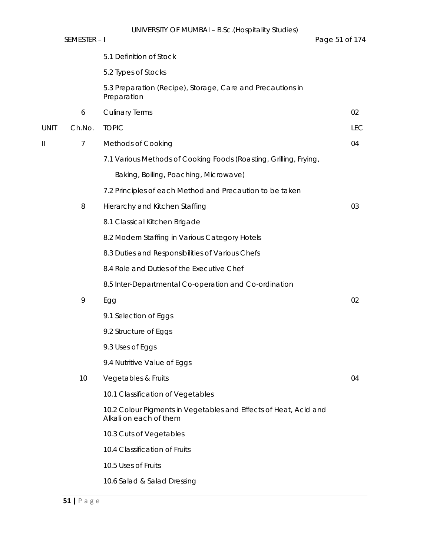|             | SEMESTER-I     | UNIVERSITY OF MUMBAI - B.Sc. (Hospitality Studies)                                         | Page 51 of 174 |
|-------------|----------------|--------------------------------------------------------------------------------------------|----------------|
|             |                | 5.1 Definition of Stock                                                                    |                |
|             |                | 5.2 Types of Stocks                                                                        |                |
|             |                | 5.3 Preparation (Recipe), Storage, Care and Precautions in<br>Preparation                  |                |
|             | 6              | <b>Culinary Terms</b>                                                                      | 02             |
| <b>UNIT</b> | Ch.No.         | <b>TOPIC</b>                                                                               | <b>LEC</b>     |
| II          | $\overline{7}$ | <b>Methods of Cooking</b>                                                                  | 04             |
|             |                | 7.1 Various Methods of Cooking Foods (Roasting, Grilling, Frying,                          |                |
|             |                | Baking, Boiling, Poaching, Microwave)                                                      |                |
|             |                | 7.2 Principles of each Method and Precaution to be taken                                   |                |
|             | 8              | Hierarchy and Kitchen Staffing                                                             | 03             |
|             |                | 8.1 Classical Kitchen Brigade                                                              |                |
|             |                | 8.2 Modern Staffing in Various Category Hotels                                             |                |
|             |                | 8.3 Duties and Responsibilities of Various Chefs                                           |                |
|             |                | 8.4 Role and Duties of the Executive Chef                                                  |                |
|             |                | 8.5 Inter-Departmental Co-operation and Co-ordination                                      |                |
|             | 9              | Egg                                                                                        | 02             |
|             |                | 9.1 Selection of Eggs                                                                      |                |
|             |                | 9.2 Structure of Eggs                                                                      |                |
|             |                | 9.3 Uses of Eggs                                                                           |                |
|             |                | 9.4 Nutritive Value of Eggs                                                                |                |
|             | 10             | Vegetables & Fruits                                                                        | 04             |
|             |                | 10.1 Classification of Vegetables                                                          |                |
|             |                | 10.2 Colour Pigments in Vegetables and Effects of Heat, Acid and<br>Alkali on each of them |                |
|             |                | 10.3 Cuts of Vegetables                                                                    |                |
|             |                | 10.4 Classification of Fruits                                                              |                |
|             |                | 10.5 Uses of Fruits                                                                        |                |
|             |                | 10.6 Salad & Salad Dressing                                                                |                |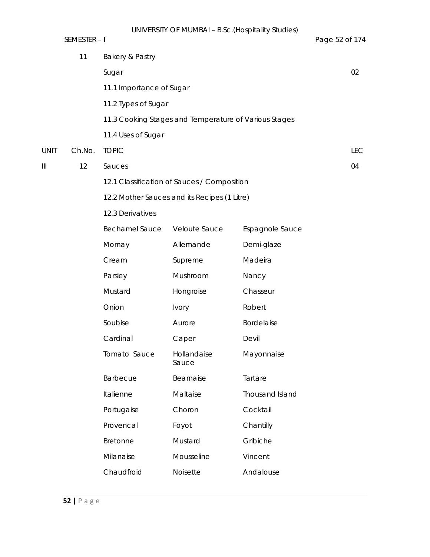|             | SEMESTER-I |                          | UNIVERSITY OF MUNIDAL - B.SC. (HOSPITALLY STUDIES)    |                 | Page 52 of 174 |
|-------------|------------|--------------------------|-------------------------------------------------------|-----------------|----------------|
|             | 11         | Bakery & Pastry          |                                                       |                 |                |
|             |            | Sugar                    |                                                       |                 | 02             |
|             |            | 11.1 Importance of Sugar |                                                       |                 |                |
|             |            | 11.2 Types of Sugar      |                                                       |                 |                |
|             |            |                          | 11.3 Cooking Stages and Temperature of Various Stages |                 |                |
|             |            | 11.4 Uses of Sugar       |                                                       |                 |                |
| <b>UNIT</b> | Ch.No.     | <b>TOPIC</b>             |                                                       |                 | <b>LEC</b>     |
| Ш           | 12         | Sauces                   |                                                       |                 | 04             |
|             |            |                          | 12.1 Classification of Sauces / Composition           |                 |                |
|             |            |                          | 12.2 Mother Sauces and its Recipes (1 Litre)          |                 |                |
|             |            | 12.3 Derivatives         |                                                       |                 |                |
|             |            | <b>Bechamel Sauce</b>    | Veloute Sauce                                         | Espagnole Sauce |                |
|             |            | Mornay                   | Allemande                                             | Demi-glaze      |                |
|             |            | Cream                    | Supreme                                               | Madeira         |                |
|             |            | Parsley                  | Mushroom                                              | Nancy           |                |
|             |            | Mustard                  | Hongroise                                             | Chasseur        |                |
|             |            | Onion                    | <b>Ivory</b>                                          | Robert          |                |
|             |            | Soubise                  | Aurore                                                | Bordelaise      |                |
|             |            | Cardinal                 | Caper                                                 | Devil           |                |
|             |            | Tomato Sauce             | Hollandaise<br>Sauce                                  | Mayonnaise      |                |
|             |            | Barbecue                 | Bearnaise                                             | Tartare         |                |
|             |            | Italienne                | Maltaise                                              | Thousand Island |                |
|             |            | Portugaise               | Choron                                                | Cocktail        |                |
|             |            | Provencal                | Foyot                                                 | Chantilly       |                |
|             |            | Bretonne                 | Mustard                                               | Gribiche        |                |
|             |            | Milanaise                | Mousseline                                            | Vincent         |                |
|             |            | Chaudfroid               | Noisette                                              | Andalouse       |                |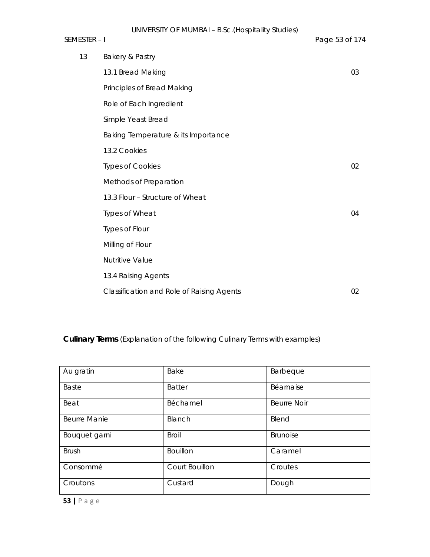# SEMESTER – I Page 53 of 174 of 174 of 174 of 174 of 174 of 174 of 174 of 174 of 174 of 174 of 174 of 174 of 174 of 174 of 174 of 174 of 174 of 174 of 174 of 174 of 174 of 174 of 174 of 174 of 174 of 174 of 174 of 174 of 17

| Page 53 of 174 |  |  |
|----------------|--|--|
|                |  |  |

| 13 | Bakery & Pastry                           |    |
|----|-------------------------------------------|----|
|    | 13.1 Bread Making                         | 03 |
|    | Principles of Bread Making                |    |
|    | Role of Each Ingredient                   |    |
|    | Simple Yeast Bread                        |    |
|    | Baking Temperature & its Importance       |    |
|    | 13.2 Cookies                              |    |
|    | <b>Types of Cookies</b>                   | 02 |
|    | Methods of Preparation                    |    |
|    | 13.3 Flour - Structure of Wheat           |    |
|    | Types of Wheat                            | 04 |
|    | Types of Flour                            |    |
|    | Milling of Flour                          |    |
|    | <b>Nutritive Value</b>                    |    |
|    | 13.4 Raising Agents                       |    |
|    | Classification and Role of Raising Agents | 02 |

**Culinary Terms** (Explanation of the following Culinary Terms with examples)

| Au gratin           | Bake            | Barbeque           |
|---------------------|-----------------|--------------------|
| <b>Baste</b>        | <b>Batter</b>   | Béarnaise          |
| Beat                | Béchamel        | <b>Beurre Noir</b> |
| <b>Beurre Manie</b> | Blanch          | Blend              |
| Bouquet garni       | <b>Broil</b>    | <b>Brunoise</b>    |
| <b>Brush</b>        | <b>Bouillon</b> | Caramel            |
| Consommé            | Court Bouillon  | Croutes            |
| Croutons            | Custard         | Dough              |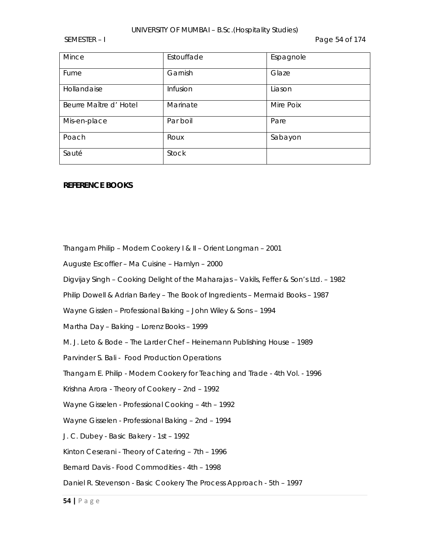### UNIVERSITY OF MUMBAI – B.Sc.(Hospitality Studies)

SEMESTER – I Page 54 of 174

| Mince                  | Estouffade   | Espagnole |
|------------------------|--------------|-----------|
| Fume                   | Garnish      | Glaze     |
| Hollandaise            | Infusion     | Liason    |
| Beurre Maître d' Hotel | Marinate     | Mire Poix |
| Mis-en-place           | Par boil     | Pare      |
| Poach                  | Roux         | Sabayon   |
| Sauté                  | <b>Stock</b> |           |

### **REFERENCE BOOKS**

Thangam Philip – Modern Cookery I & II – Orient Longman – 2001

Auguste Escoffier – Ma Cuisine – Hamlyn – 2000

Digvijay Singh – Cooking Delight of the Maharajas – Vakils, Feffer & Son's Ltd. – 1982

Philip Dowell & Adrian Barley – The Book of Ingredients – Mermaid Books – 1987

Wayne Gisslen – Professional Baking – John Wiley & Sons – 1994

Martha Day – Baking – Lorenz Books – 1999

M. J. Leto & Bode – The Larder Chef – Heinemann Publishing House – 1989

Parvinder S. Bali - Food Production Operations

Thangam E. Philip - Modern Cookery for Teaching and Trade - 4th Vol. - 1996

Krishna Arora - Theory of Cookery – 2nd – 1992

Wayne Gisselen - Professional Cooking – 4th – 1992

Wayne Gisselen - Professional Baking – 2nd – 1994

J. C. Dubey - Basic Bakery - 1st – 1992

Kinton Ceserani - Theory of Catering – 7th – 1996

Bernard Davis - Food Commodities - 4th – 1998

Daniel R. Stevenson - Basic Cookery The Process Approach - 5th – 1997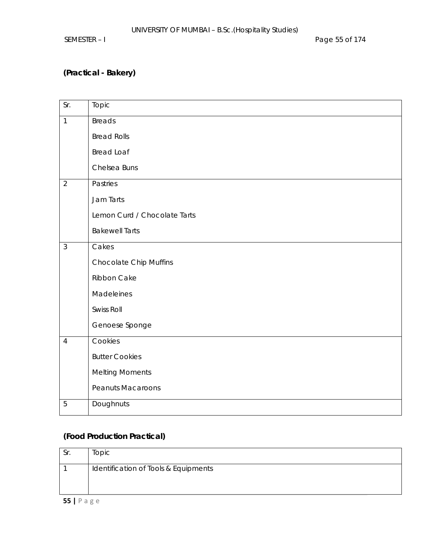SEMESTER – I Page 55 of 174

# **(Practical - Bakery)**

| Sr.            | Topic                         |
|----------------|-------------------------------|
| $\mathbf{1}$   | <b>Breads</b>                 |
|                | <b>Bread Rolls</b>            |
|                | <b>Bread Loaf</b>             |
|                | Chelsea Buns                  |
| $\overline{2}$ | Pastries                      |
|                | Jam Tarts                     |
|                | Lemon Curd / Chocolate Tarts  |
|                | <b>Bakewell Tarts</b>         |
| $\mathfrak{Z}$ | Cakes                         |
|                | <b>Chocolate Chip Muffins</b> |
|                | Ribbon Cake                   |
|                | Madeleines                    |
|                | Swiss Roll                    |
|                | Genoese Sponge                |
| $\overline{4}$ | Cookies                       |
|                | <b>Butter Cookies</b>         |
|                | <b>Melting Moments</b>        |
|                | <b>Peanuts Macaroons</b>      |
| 5              | Doughnuts                     |

# **(Food Production Practical)**

| Sr. | Topic                                |
|-----|--------------------------------------|
|     | Identification of Tools & Equipments |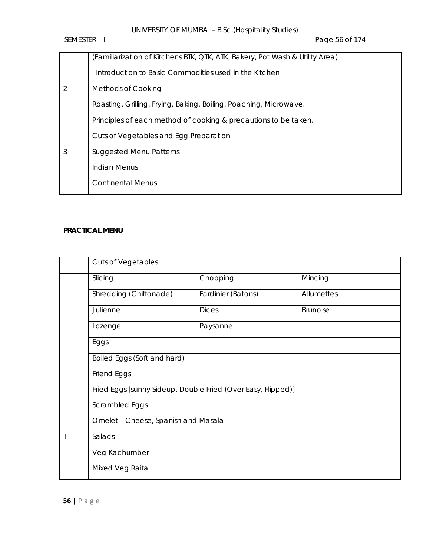SEMESTER – I Page 56 of 174

|                | (Familiarization of Kitchens BTK, QTK, ATK, Bakery, Pot Wash & Utility Area) |
|----------------|------------------------------------------------------------------------------|
|                | Introduction to Basic Commodities used in the Kitchen                        |
| $\overline{2}$ | <b>Methods of Cooking</b>                                                    |
|                | Roasting, Grilling, Frying, Baking, Boiling, Poaching, Microwave.            |
|                | Principles of each method of cooking & precautions to be taken.              |
|                | Cuts of Vegetables and Egg Preparation                                       |
| 3              | <b>Suggested Menu Patterns</b>                                               |
|                | Indian Menus                                                                 |
|                | <b>Continental Menus</b>                                                     |

# **PRACTICAL MENU**

|                                       | <b>Cuts of Vegetables</b>                                    |                    |            |  |  |  |
|---------------------------------------|--------------------------------------------------------------|--------------------|------------|--|--|--|
|                                       | Slicing                                                      | Chopping           | Mincing    |  |  |  |
|                                       | Shredding (Chiffonade)                                       | Fardinier (Batons) | Allumettes |  |  |  |
|                                       | Julienne                                                     | <b>Dices</b>       | Brunoise   |  |  |  |
|                                       | Lozenge                                                      | Paysanne           |            |  |  |  |
|                                       | Eggs                                                         |                    |            |  |  |  |
|                                       | Boiled Eggs (Soft and hard)                                  |                    |            |  |  |  |
|                                       | Friend Eggs                                                  |                    |            |  |  |  |
|                                       | Fried Eggs [sunny Sideup, Double Fried (Over Easy, Flipped)] |                    |            |  |  |  |
|                                       | Scrambled Eggs                                               |                    |            |  |  |  |
|                                       | Omelet - Cheese, Spanish and Masala                          |                    |            |  |  |  |
| $\begin{array}{c} \hline \end{array}$ | Salads                                                       |                    |            |  |  |  |
|                                       | Veg Kachumber                                                |                    |            |  |  |  |
|                                       | Mixed Veg Raita                                              |                    |            |  |  |  |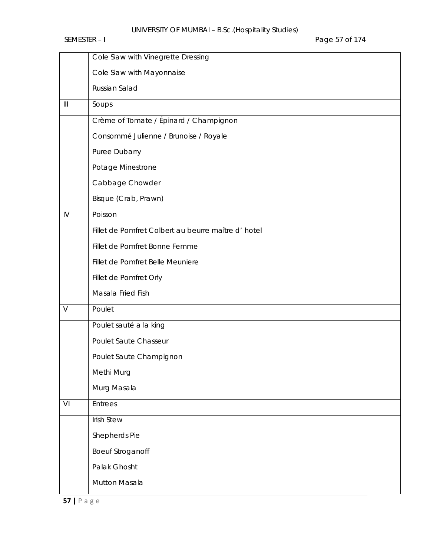|                | Cole Slaw with Vinegrette Dressing                 |
|----------------|----------------------------------------------------|
|                | Cole Slaw with Mayonnaise                          |
|                | Russian Salad                                      |
| $\mathbf{III}$ | Soups                                              |
|                | Crème of Tomate / Épinard / Champignon             |
|                | Consommé Julienne / Brunoise / Royale              |
|                | Puree Dubarry                                      |
|                | Potage Minestrone                                  |
|                | Cabbage Chowder                                    |
|                | Bisque (Crab, Prawn)                               |
| $\mathsf{IV}$  | Poisson                                            |
|                | Fillet de Pomfret Colbert au beurre maître d'hotel |
|                | Fillet de Pomfret Bonne Femme                      |
|                | Fillet de Pomfret Belle Meuniere                   |
|                | Fillet de Pomfret Orly                             |
|                | Masala Fried Fish                                  |
| $\vee$         | Poulet                                             |
|                | Poulet sauté a la king                             |
|                | Poulet Saute Chasseur                              |
|                | Poulet Saute Champignon                            |
|                | Methi Murg                                         |
|                | Murg Masala                                        |
| VI             | <b>Entrees</b>                                     |
|                | <b>Irish Stew</b>                                  |
|                | Shepherds Pie                                      |
|                | <b>Boeuf Stroganoff</b>                            |
|                | Palak Ghosht                                       |
|                | Mutton Masala                                      |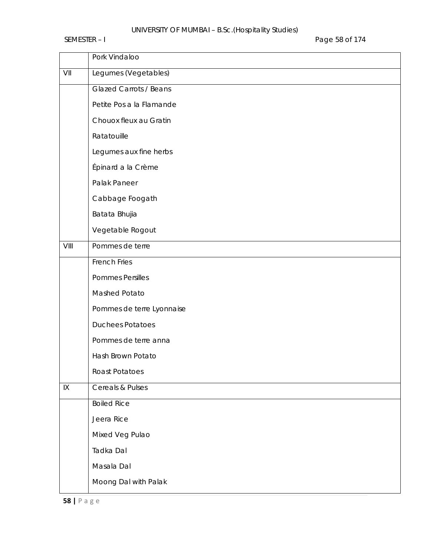# UNIVERSITY OF MUMBAI – B.Sc.(Hospitality Studies)

SEMESTER – I Page 58 of 174

|      | Pork Vindaloo                 |
|------|-------------------------------|
| VII  | Legumes (Vegetables)          |
|      | <b>Glazed Carrots / Beans</b> |
|      | Petite Pos a la Flamande      |
|      | Chouox fleux au Gratin        |
|      | Ratatouille                   |
|      | Legumes aux fine herbs        |
|      | Épinard a la Crème            |
|      | Palak Paneer                  |
|      | Cabbage Foogath               |
|      | Batata Bhujia                 |
|      | Vegetable Rogout              |
| VIII | Pommes de terre               |
|      | <b>French Fries</b>           |
|      | <b>Pommes Persilles</b>       |
|      | Mashed Potato                 |
|      | Pommes de terre Lyonnaise     |
|      | <b>Duchees Potatoes</b>       |
|      | Pommes de terre anna          |
|      | Hash Brown Potato             |
|      | Roast Potatoes                |
| IX   | Cereals & Pulses              |
|      | <b>Boiled Rice</b>            |
|      | Jeera Rice                    |
|      | Mixed Veg Pulao               |
|      | Tadka Dal                     |
|      | Masala Dal                    |
|      | Moong Dal with Palak          |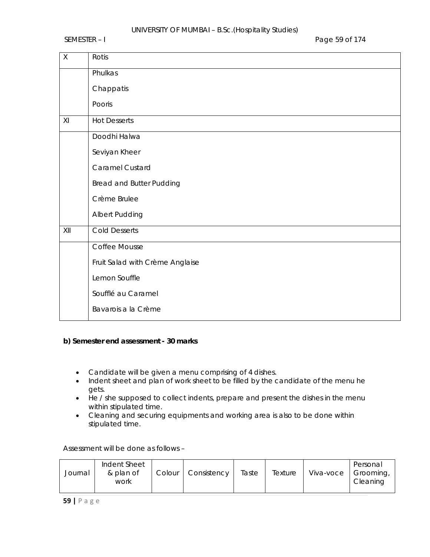SEMESTER – I Page 59 of 174

| $\mathsf X$ | Rotis                           |
|-------------|---------------------------------|
|             | Phulkas                         |
|             | Chappatis                       |
|             | Pooris                          |
| XI          | <b>Hot Desserts</b>             |
|             | Doodhi Halwa                    |
|             | Seviyan Kheer                   |
|             | Caramel Custard                 |
|             | <b>Bread and Butter Pudding</b> |
|             | Crème Brulee                    |
|             | Albert Pudding                  |
| XII         | <b>Cold Desserts</b>            |
|             | Coffee Mousse                   |
|             | Fruit Salad with Crème Anglaise |
|             | Lemon Souffle                   |
|             | Soufflé au Caramel              |
|             | Bavarois a la Crème             |

## **b) Semester end assessment - 30 marks**

- Candidate will be given a menu comprising of 4 dishes.
- Indent sheet and plan of work sheet to be filled by the candidate of the menu he gets.
- He / she supposed to collect indents, prepare and present the dishes in the menu within stipulated time.
- Cleaning and securing equipments and working area is also to be done within stipulated time.

Assessment will be done as follows –

| Journal | Indent Sheet<br>& plan of<br>work | Colour | Consistency | Taste | Texture | Viva-voce | Personal<br>Grooming,<br>Cleaning |
|---------|-----------------------------------|--------|-------------|-------|---------|-----------|-----------------------------------|
|         |                                   |        |             |       |         |           |                                   |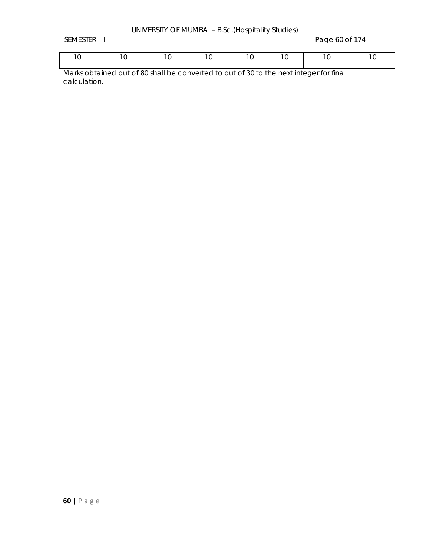SEMESTER – I Page 60 of 174

|  | 10   10   10   10   10   10 |  |  |
|--|-----------------------------|--|--|
|  |                             |  |  |

Marks obtained out of 80 shall be converted to out of 30 to the next integer for final calculation.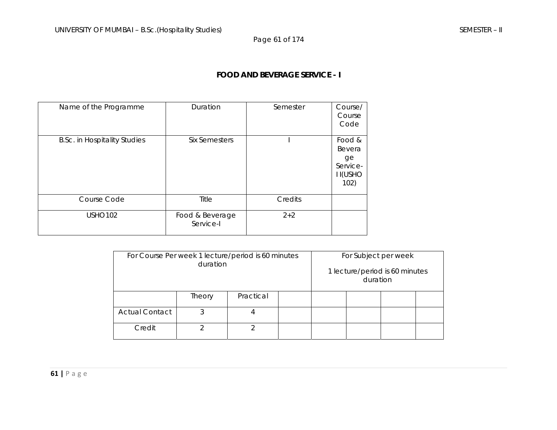Page 61 of 174

## **FOOD AND BEVERAGE SERVICE - I**

| Name of the Programme               | Duration                     | Semester | Course/<br>Course<br>Code                                    |
|-------------------------------------|------------------------------|----------|--------------------------------------------------------------|
| <b>B.Sc. in Hospitality Studies</b> | Six Semesters                |          | Food &<br>Bevera<br>ge<br>Service-<br><b>II(USHO</b><br>102) |
| Course Code                         | Title                        | Credits  |                                                              |
| <b>USHO102</b>                      | Food & Beverage<br>Service-I | $2 + 2$  |                                                              |

| For Course Per week 1 lecture/period is 60 minutes<br>duration |        |           |  |  | For Subject per week<br>duration | 1 lecture/period is 60 minutes |  |
|----------------------------------------------------------------|--------|-----------|--|--|----------------------------------|--------------------------------|--|
|                                                                | Theory | Practical |  |  |                                  |                                |  |
| <b>Actual Contact</b>                                          | 3      |           |  |  |                                  |                                |  |
| Credit                                                         |        |           |  |  |                                  |                                |  |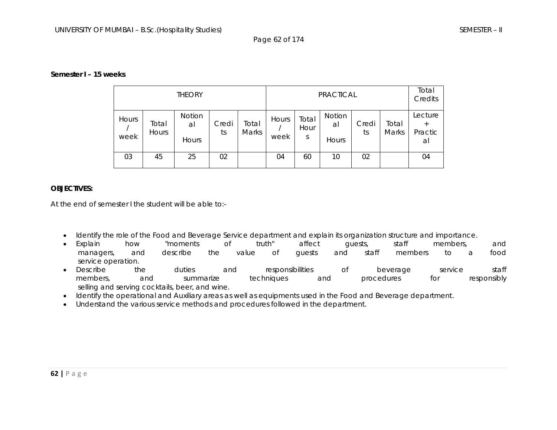#### **Semester I – 15 weeks**

| <b>THEORY</b> |                       |                       |             | <b>PRACTICAL</b> |               |                    |                       |             | Total<br>Credits |                                    |
|---------------|-----------------------|-----------------------|-------------|------------------|---------------|--------------------|-----------------------|-------------|------------------|------------------------------------|
| Hours<br>week | Total<br><b>Hours</b> | Notion<br>al<br>Hours | Credi<br>ts | Total<br>Marks   | Hours<br>week | Total<br>Hour<br>S | Notion<br>al<br>Hours | Credi<br>ts | Total<br>Marks   | Lecture<br>$^{+}$<br>Practic<br>al |
| 03            | 45                    | 25                    | 02          |                  | 04            | 60                 | 10                    | 02          |                  | 04                                 |

### **OBJECTIVES:**

At the end of semester I the student will be able to:-

- •Identify the role of the Food and Beverage Service department and explain its organization structure and importance.
- $\bullet$  Explain how "moments of truth" affect guests, staff members, and managers, and describe the value of guests and staff members to a food service operation.
- Describe the duties and responsibilities of beverage service staff members, and summarize techniques and procedures for responsibly selling and serving cocktails, beer, and wine.
- Identify the operational and Auxiliary areas as well as equipments used in the Food and Beverage department.
- •Understand the various service methods and procedures followed in the department.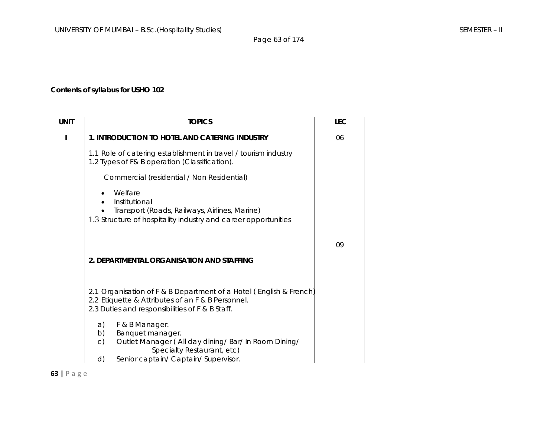Page 63 of 174

# **Contents of syllabus for USHO 102**

| <b>UNIT</b> | <b>TOPICS</b>                                                                                                                                                                                      | <b>LEC</b> |
|-------------|----------------------------------------------------------------------------------------------------------------------------------------------------------------------------------------------------|------------|
|             | 1. INTRODUCTION TO HOTEL AND CATERING INDUSTRY                                                                                                                                                     | 06         |
|             | 1.1 Role of catering establishment in travel / tourism industry<br>1.2 Types of F& B operation (Classification).                                                                                   |            |
|             | Commercial (residential / Non Residential)                                                                                                                                                         |            |
|             | Welfare<br>Institutional<br>Transport (Roads, Railways, Airlines, Marine)<br>1.3 Structure of hospitality industry and career opportunities                                                        |            |
|             |                                                                                                                                                                                                    |            |
|             |                                                                                                                                                                                                    | 09         |
|             | 2. DEPARTMENTAL ORGANISATION AND STAFFING                                                                                                                                                          |            |
|             |                                                                                                                                                                                                    |            |
|             | 2.1 Organisation of F & B Department of a Hotel (English & French)<br>2.2 Etiquette & Attributes of an F & B Personnel.<br>2.3 Duties and responsibilities of F & B Staff.                         |            |
|             | F & B Manager.<br>a)<br>Banquet manager.<br>b)<br>Outlet Manager (All day dining/ Bar/ In Room Dining/<br>$\mathsf{C}$<br>Specialty Restaurant, etc)<br>Senior captain/ Captain/ Supervisor.<br>d) |            |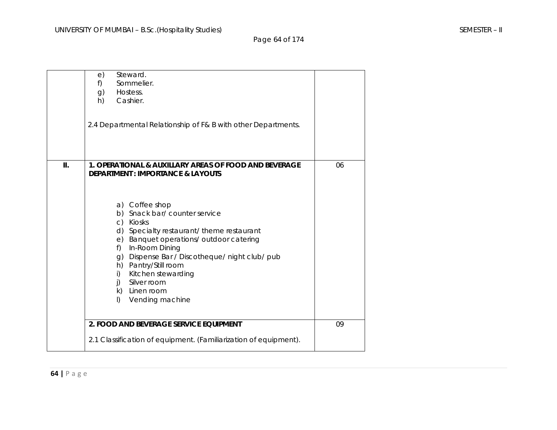Page 64 of 174

|     | Steward.<br>e)<br>Sommelier.<br>f)<br>Hostess.<br>g)<br>Cashier.<br>h)<br>2.4 Departmental Relationship of F& B with other Departments.                                                                                                                                                                                                                                                                                                                                     |    |
|-----|-----------------------------------------------------------------------------------------------------------------------------------------------------------------------------------------------------------------------------------------------------------------------------------------------------------------------------------------------------------------------------------------------------------------------------------------------------------------------------|----|
| II. | 1. OPERATIONAL & AUXILLARY AREAS OF FOOD AND BEVERAGE<br><b>DEPARTMENT: IMPORTANCE &amp; LAYOUTS</b><br>a) Coffee shop<br>b) Snack bar/ counter service<br>c) Kiosks<br>d) Specialty restaurant/theme restaurant<br>e) Banquet operations/outdoor catering<br>In-Room Dining<br>$f$ )<br>g) Dispense Bar / Discotheque/ night club/ pub<br>h) Pantry/Still room<br>Kitchen stewarding<br>i)<br>Silver room<br>$\mathsf{I}$<br>k) Linen room<br>Vending machine<br>$\vert$ ) | 06 |
|     | 2. FOOD AND BEVERAGE SERVICE EQUIPMENT<br>2.1 Classification of equipment. (Familiarization of equipment).                                                                                                                                                                                                                                                                                                                                                                  | 09 |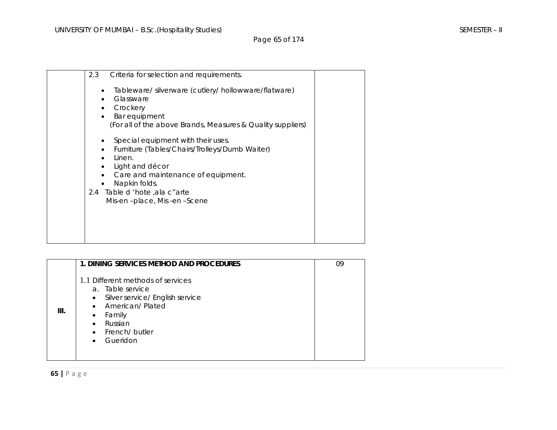Page 65 of 174

| 2.3 | Criteria for selection and requirements.                                                                                                                                                                                                  |  |
|-----|-------------------------------------------------------------------------------------------------------------------------------------------------------------------------------------------------------------------------------------------|--|
|     | Tableware/silverware (cutlery/hollowware/flatware)<br>Glassware<br>Crockery<br>Bar equipment<br>(For all of the above Brands, Measures & Quality suppliers)                                                                               |  |
|     | Special equipment with their uses.<br>Furniture (Tables/Chairs/Trolleys/Dumb Waiter)<br>Linen.<br>Light and décor<br>Care and maintenance of equipment.<br>Napkin folds.<br>2.4 Table d 'hote , ala c" arte<br>Mis-en-place, Mis-en-Scene |  |

|      | 1. DINING SERVICES METHOD AND PROCEDURES                                                                                                                                                                 | 09 |
|------|----------------------------------------------------------------------------------------------------------------------------------------------------------------------------------------------------------|----|
| III. | 1.1 Different methods of services<br>a. Table service<br>Silver service/ English service<br>$\bullet$<br>• American/Plated<br>Family<br>$\bullet$<br>Russian<br>$\bullet$<br>• French/butler<br>Gueridon |    |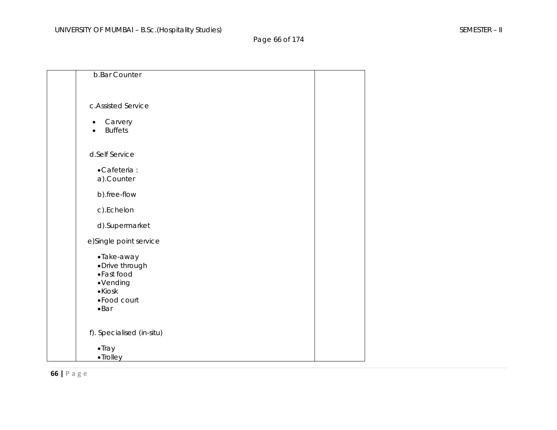Page 66 of 174

| b.Bar Counter               |  |
|-----------------------------|--|
|                             |  |
|                             |  |
| c.Assisted Service          |  |
|                             |  |
| Carvery<br><b>Buffets</b>   |  |
|                             |  |
|                             |  |
| d.Self Service              |  |
| • Cafeteria :               |  |
| a).Counter                  |  |
| b).free-flow                |  |
| c).Echelon                  |  |
| d).Supermarket              |  |
| e)Single point service      |  |
| ·Take-away                  |  |
| ·Drive through              |  |
| •Fast food                  |  |
| ·Vending<br>$\bullet$ Kiosk |  |
| • Food court                |  |
| $\bullet$ Bar               |  |
|                             |  |
| f). Specialised (in-situ)   |  |
| $\bullet$ Tray              |  |
| •Trolley                    |  |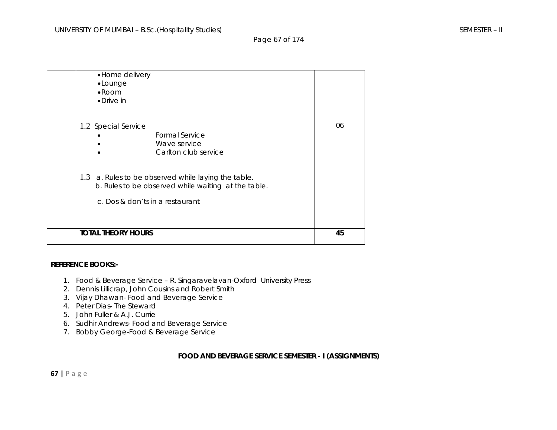Page 67 of 174

| • Home delivery<br>•Lounge<br>$\bullet$ Room<br>$\bullet$ Drive in                                                                               |    |
|--------------------------------------------------------------------------------------------------------------------------------------------------|----|
| 1.2 Special Service<br>Formal Service<br>Wave service<br>Carlton club service                                                                    | 06 |
| 1.3<br>a. Rules to be observed while laying the table.<br>b. Rules to be observed while waiting at the table.<br>c. Dos & don'ts in a restaurant |    |
| <b>TOTAL THEORY HOURS</b>                                                                                                                        | 45 |

#### **REFERENCE BOOKS:-**

- 1. Food & Beverage Service R. Singaravelavan-Oxford University Press
- 2. Dennis Lillicrap, John Cousins and Robert Smith
- 3. Vijay Dhawan- Food and Beverage Service
- 4. Peter Dias- The Steward
- 5. John Fuller & A.J. Currie
- 6. Sudhir Andrews- Food and Beverage Service
- 7. Bobby George-Food & Beverage Service

### **FOOD AND BEVERAGE SERVICE SEMESTER - I (ASSIGNMENTS)**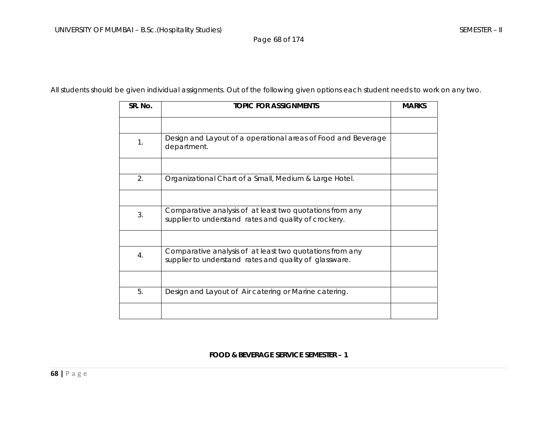Page 68 of 174

All students should be given individual assignments. Out of the following given options each student needs to work on any two.

| SR. No. | <b>TOPIC FOR ASSIGNMENTS</b>                                                                                       | <b>MARKS</b> |
|---------|--------------------------------------------------------------------------------------------------------------------|--------------|
|         |                                                                                                                    |              |
| 1.      | Design and Layout of a operational areas of Food and Beverage<br>department.                                       |              |
|         |                                                                                                                    |              |
| 2.      | Organizational Chart of a Small, Medium & Large Hotel.                                                             |              |
|         |                                                                                                                    |              |
| 3.      | Comparative analysis of at least two quotations from any<br>supplier to understand rates and quality of crockery.  |              |
|         |                                                                                                                    |              |
| 4.      | Comparative analysis of at least two quotations from any<br>supplier to understand rates and quality of glassware. |              |
|         |                                                                                                                    |              |
| 5.      | Design and Layout of Air catering or Marine catering.                                                              |              |
|         |                                                                                                                    |              |

## **FOOD & BEVERAGE SERVICE SEMESTER – 1**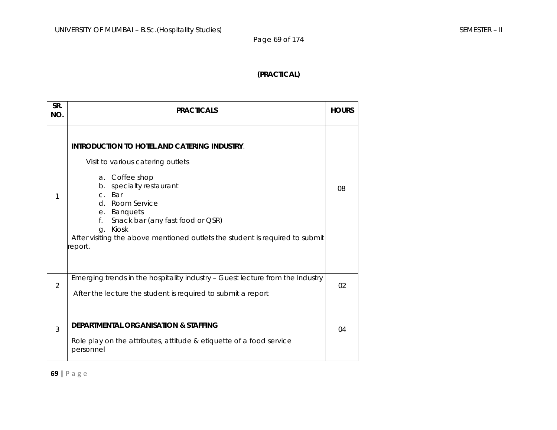Page 69 of 174

# **(PRACTICAL)**

| SR.<br>NO.     | <b>PRACTICALS</b>                                                                                                                                                                                                                                                                                                                                | <b>HOURS</b> |
|----------------|--------------------------------------------------------------------------------------------------------------------------------------------------------------------------------------------------------------------------------------------------------------------------------------------------------------------------------------------------|--------------|
| 1              | <b>INTRODUCTION TO HOTEL AND CATERING INDUSTRY.</b><br>Visit to various catering outlets<br>a. Coffee shop<br>specialty restaurant<br>$b_{\perp}$<br>c. Bar<br>d. Room Service<br>e. Banquets<br>Snack bar (any fast food or QSR)<br>f.<br>Kiosk<br>q.<br>After visiting the above mentioned outlets the student is required to submit<br>eport. | 08           |
| $\overline{2}$ | Emerging trends in the hospitality industry - Guest lecture from the Industry<br>After the lecture the student is required to submit a report                                                                                                                                                                                                    | 02           |
| 3              | <b>DEPARTMENTAL ORGANISATION &amp; STAFFING</b><br>Role play on the attributes, attitude & etiquette of a food service<br>personnel                                                                                                                                                                                                              | 04           |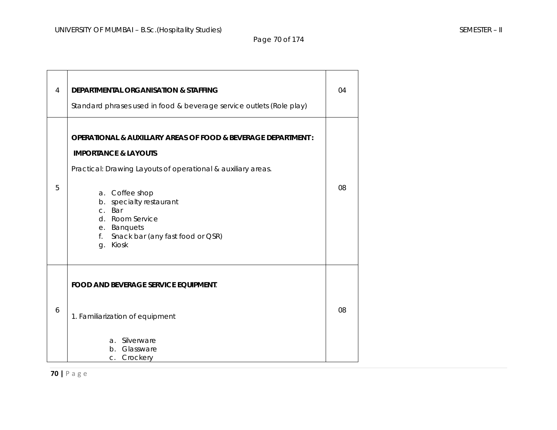Page 70 of 174

| $\overline{4}$ | DEPARTMENTAL ORGANISATION & STAFFING<br>Standard phrases used in food & beverage service outlets (Role play)                                                                                                                                                                                                       | 04 |
|----------------|--------------------------------------------------------------------------------------------------------------------------------------------------------------------------------------------------------------------------------------------------------------------------------------------------------------------|----|
| 5              | OPERATIONAL & AUXILLARY AREAS OF FOOD & BEVERAGE DEPARTMENT :<br><b>IMPORTANCE &amp; LAYOUTS</b><br>Practical: Drawing Layouts of operational & auxiliary areas.<br>a. Coffee shop<br>b. specialty restaurant<br>c. Bar<br>d. Room Service<br>e. Banquets<br>Snack bar (any fast food or QSR)<br>f.<br>Kiosk<br>g. | 08 |
| 6              | <b>FOOD AND BEVERAGE SERVICE EQUIPMENT.</b><br>1. Familiarization of equipment<br>a. Silverware<br>Glassware<br>$h_{\cdot}$<br>Crockery<br>$C_{1}$                                                                                                                                                                 | 08 |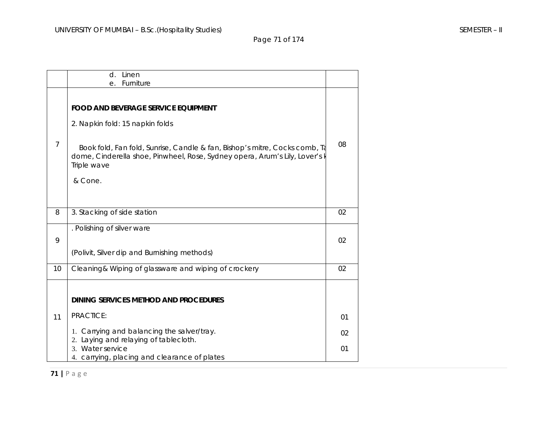Page 71 of 174

|                | Linen<br>d.                                                                                                                                                                                                                                                          |                |
|----------------|----------------------------------------------------------------------------------------------------------------------------------------------------------------------------------------------------------------------------------------------------------------------|----------------|
|                | Furniture<br>е.                                                                                                                                                                                                                                                      |                |
| $\overline{7}$ | <b>FOOD AND BEVERAGE SERVICE EQUIPMENT</b><br>2. Napkin fold: 15 napkin folds<br>Book fold, Fan fold, Sunrise, Candle & fan, Bishop's mitre, Cocks comb, Ta<br>dome, Cinderella shoe, Pinwheel, Rose, Sydney opera, Arum's Lily, Lover's k<br>Triple wave<br>& Cone. | 08             |
| 8              | 3. Stacking of side station                                                                                                                                                                                                                                          | 02             |
| 9              | . Polishing of silver ware<br>(Polivit, Silver dip and Burnishing methods)                                                                                                                                                                                           | 02             |
| 10             | Cleaning& Wiping of glassware and wiping of crockery                                                                                                                                                                                                                 | 02             |
| 11             | DINING SERVICES METHOD AND PROCEDURES<br>PRACTICE:<br>1. Carrying and balancing the salver/tray.<br>2. Laying and relaying of tablecloth.<br>3. Water service                                                                                                        | 01<br>02<br>01 |
|                | 4. carrying, placing and clearance of plates                                                                                                                                                                                                                         |                |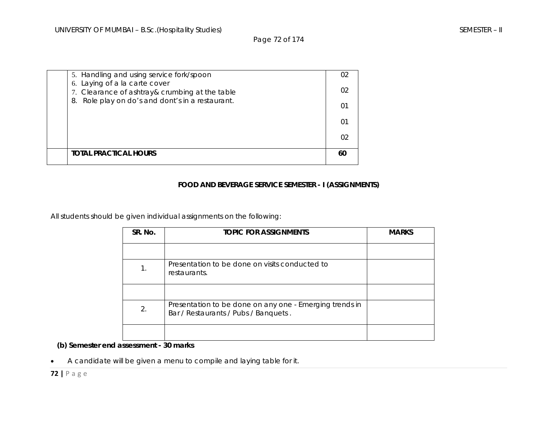Page 72 of 174

| በ2                                                                                    |  |
|---------------------------------------------------------------------------------------|--|
|                                                                                       |  |
|                                                                                       |  |
| Role play on do's and dont's in a restaurant.<br>8.<br>01                             |  |
| 6. Laying of a la carte cover<br>02<br>7. Clearance of ashtray& crumbing at the table |  |
| 5. Handling and using service fork/spoon<br>02                                        |  |

# **FOOD AND BEVERAGE SERVICE SEMESTER - I (ASSIGNMENTS)**

All students should be given individual assignments on the following:

| SR. No. | <b>TOPIC FOR ASSIGNMENTS</b>                                                                    | <b>MARKS</b> |
|---------|-------------------------------------------------------------------------------------------------|--------------|
|         |                                                                                                 |              |
|         | Presentation to be done on visits conducted to<br>restaurants.                                  |              |
|         |                                                                                                 |              |
| 2.      | Presentation to be done on any one - Emerging trends in<br>Bar / Restaurants / Pubs / Banquets. |              |
|         |                                                                                                 |              |

 **(b) Semester end assessment - 30 marks** 

•A candidate will be given a menu to compile and laying table for it.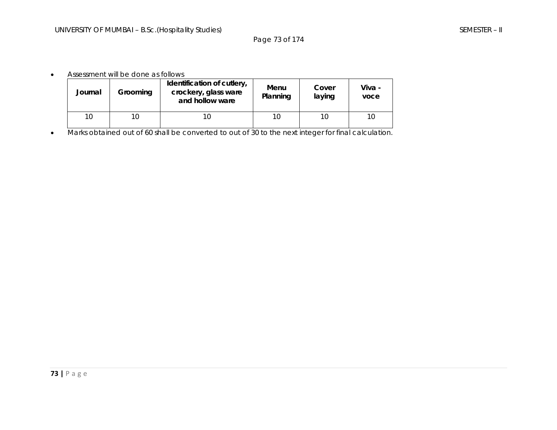Page 73 of 174

#### •Assessment will be done as follows

| Journal | Grooming | Identification of cutlery,<br>crockery, glass ware<br>and hollow ware | Menu<br>Planning | Cover<br>laying | Viva -<br>voce |
|---------|----------|-----------------------------------------------------------------------|------------------|-----------------|----------------|
| 10      | 10       | 10                                                                    | 10               | 10              | 10             |

•Marks obtained out of 60 shall be converted to out of 30 to the next integer for final calculation.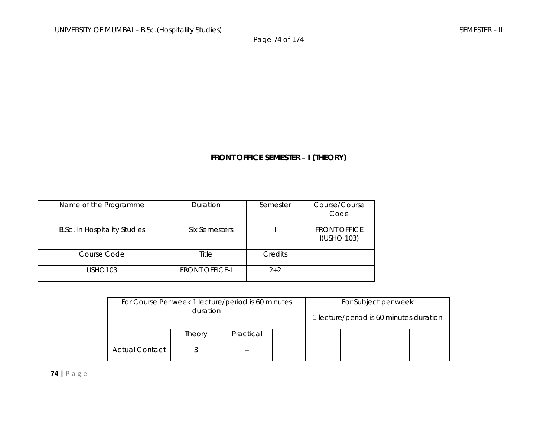Page 74 of 174

# **FRONT OFFICE SEMESTER – I (THEORY)**

| Name of the Programme               | Duration              | Semester | Course/Course<br>Code                     |
|-------------------------------------|-----------------------|----------|-------------------------------------------|
| <b>B.Sc. in Hospitality Studies</b> | Six Semesters         |          | <b>FRONT OFFICE</b><br><b>I(USHO 103)</b> |
| Course Code                         | Title                 | Credits  |                                           |
| <b>USHO103</b>                      | <b>FRONT OFFICE-I</b> | $2+2$    |                                           |

| For Course Per week 1 lecture/period is 60 minutes |        |           |  | For Subject per week |  |                                         |  |
|----------------------------------------------------|--------|-----------|--|----------------------|--|-----------------------------------------|--|
| duration                                           |        |           |  |                      |  | 1 lecture/period is 60 minutes duration |  |
|                                                    | Theory | Practical |  |                      |  |                                         |  |
| <b>Actual Contact</b>                              |        |           |  |                      |  |                                         |  |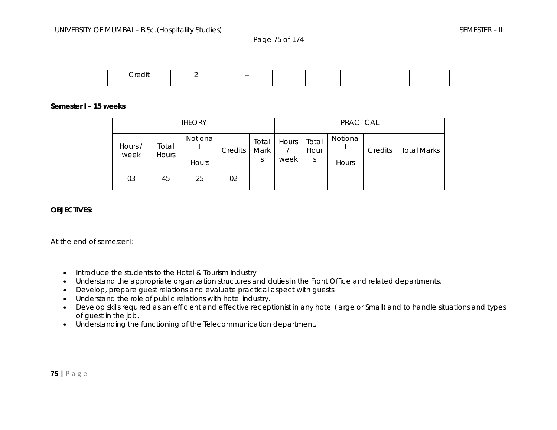Page 75 of 174



#### **Semester I – 15 weeks**

| <b>THEORY</b>   |                       |                  |         | PRACTICAL          |               |                    |                         |         |                    |
|-----------------|-----------------------|------------------|---------|--------------------|---------------|--------------------|-------------------------|---------|--------------------|
| Hours /<br>week | Total<br><b>Hours</b> | Notiona<br>Hours | Credits | Total<br>Mark<br>S | Hours<br>week | Total<br>Hour<br>S | Notiona<br><b>Hours</b> | Credits | <b>Total Marks</b> |
| 03              | 45                    | 25               | 02      |                    | --            | $- -$              | $- -$                   | $- -$   | --                 |

#### **OBJECTIVES:**

At the end of semester I:-

- Introduce the students to the Hotel & Tourism Industry
- •Understand the appropriate organization structures and duties in the Front Office and related departments.
- •Develop, prepare guest relations and evaluate practical aspect with guests.
- •Understand the role of public relations with hotel industry.
- • Develop skills required as an efficient and effective receptionist in any hotel (large or Small) and to handle situations and types of guest in the job.
- Understanding the functioning of the Telecommunication department.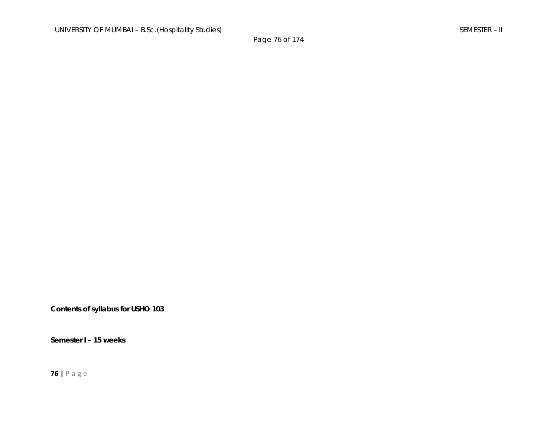**Contents of syllabus for USHO 103** 

**Semester I – 15 weeks**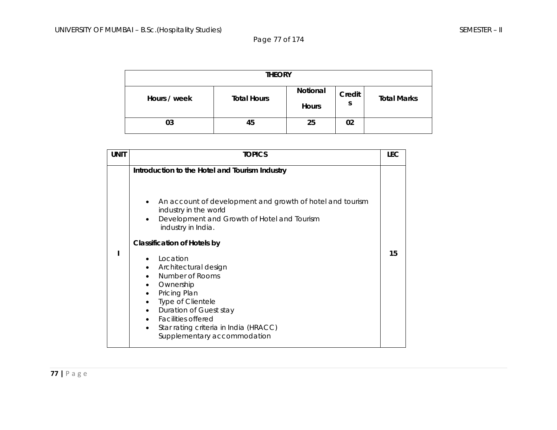Page 77 of 174

| <b>THEORY</b> |                    |                          |             |                    |  |
|---------------|--------------------|--------------------------|-------------|--------------------|--|
| Hours / week  | <b>Total Hours</b> | Notional<br><b>Hours</b> | Credit<br>S | <b>Total Marks</b> |  |
| 03            | 45                 | 25                       | 02          |                    |  |

| <b>UNIT</b> | <b>TOPICS</b>                                                                                                                                                                                                                                                                                                       | <b>LEC</b> |
|-------------|---------------------------------------------------------------------------------------------------------------------------------------------------------------------------------------------------------------------------------------------------------------------------------------------------------------------|------------|
|             | Introduction to the Hotel and Tourism Industry<br>An account of development and growth of hotel and tourism<br>industry in the world<br>Development and Growth of Hotel and Tourism<br>industry in India.                                                                                                           |            |
|             | <b>Classification of Hotels by</b><br>Location<br>Architectural design<br>$\bullet$<br>Number of Rooms<br>Ownership<br>$\bullet$<br>Pricing Plan<br><b>Type of Clientele</b><br>Duration of Guest stay<br>$\bullet$<br>• Facilities offered<br>Star rating criteria in India (HRACC)<br>Supplementary accommodation | 15         |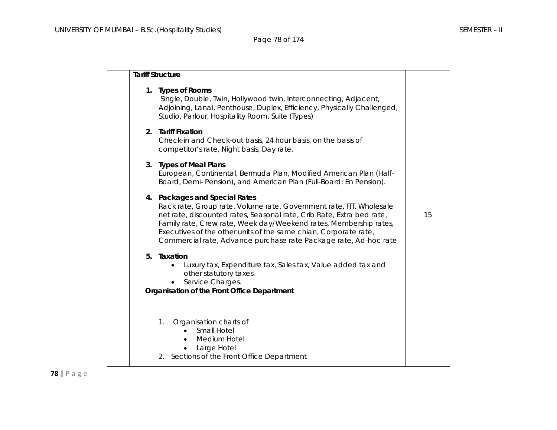### Page 78 of 174

|  | <b>Tariff Structure</b>                                                                                                                                                                                                                                                                                                                                                                    |    |
|--|--------------------------------------------------------------------------------------------------------------------------------------------------------------------------------------------------------------------------------------------------------------------------------------------------------------------------------------------------------------------------------------------|----|
|  | 1. Types of Rooms<br>Single, Double, Twin, Hollywood twin, Interconnecting, Adjacent,<br>Adjoining, Lanai, Penthouse, Duplex, Efficiency, Physically Challenged,<br>Studio, Parlour, Hospitality Room, Suite (Types)                                                                                                                                                                       |    |
|  | 2. Tariff Fixation<br>Check-in and Check-out basis, 24 hour basis, on the basis of<br>competitor's rate, Night basis, Day rate.                                                                                                                                                                                                                                                            |    |
|  | 3. Types of Meal Plans<br>European, Continental, Bermuda Plan, Modified American Plan (Half-<br>Board, Demi- Pension), and American Plan (Full-Board: En Pension).                                                                                                                                                                                                                         |    |
|  | 4. Packages and Special Rates<br>Rack rate, Group rate, Volume rate, Government rate, FIT, Wholesale<br>net rate, discounted rates, Seasonal rate, Crib Rate, Extra bed rate,<br>Family rate, Crew rate, Week day/Weekend rates, Membership rates,<br>Executives of the other units of the same chian, Corporate rate,<br>Commercial rate, Advance purchase rate Package rate, Ad-hoc rate | 15 |
|  | 5. Taxation<br>Luxury tax, Expenditure tax, Sales tax, Value added tax and<br>$\bullet$<br>other statutory taxes.<br>Service Charges.<br>Organisation of the Front Office Department                                                                                                                                                                                                       |    |
|  | Organisation charts of<br>$1_{\cdot}$<br>Small Hotel<br>Medium Hotel<br>Large Hotel<br>2. Sections of the Front Office Department                                                                                                                                                                                                                                                          |    |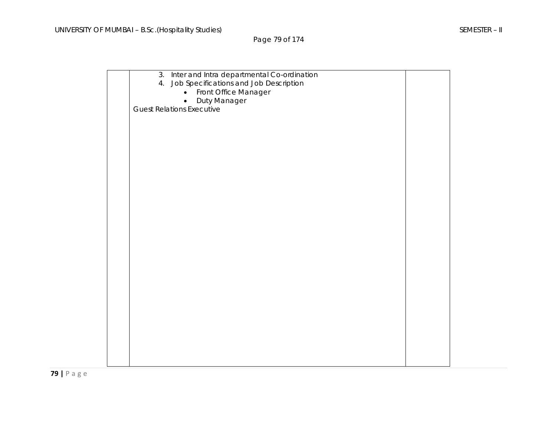Page 79 of 174

| 3. Inter and Intra departmental Co-ordination<br>Job Specifications and Job Description<br>4. |  |
|-----------------------------------------------------------------------------------------------|--|
| Front Office Manager<br>$\bullet$<br>Duty Manager                                             |  |
| <b>Guest Relations Executive</b>                                                              |  |
|                                                                                               |  |
|                                                                                               |  |
|                                                                                               |  |
|                                                                                               |  |
|                                                                                               |  |
|                                                                                               |  |
|                                                                                               |  |
|                                                                                               |  |
|                                                                                               |  |
|                                                                                               |  |
|                                                                                               |  |
|                                                                                               |  |
|                                                                                               |  |
|                                                                                               |  |
|                                                                                               |  |
|                                                                                               |  |
|                                                                                               |  |
|                                                                                               |  |
|                                                                                               |  |
|                                                                                               |  |
|                                                                                               |  |
|                                                                                               |  |
|                                                                                               |  |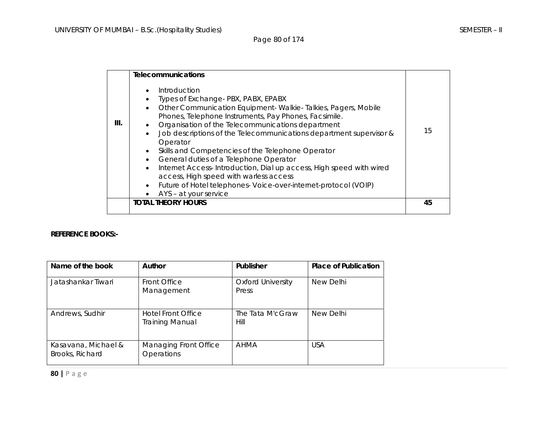Page 80 of 174

|      | <b>Telecommunications</b>                                                                                                                                                                                                                                                                                                                                                                                                                                                                                                                                                                                                                                                          |    |
|------|------------------------------------------------------------------------------------------------------------------------------------------------------------------------------------------------------------------------------------------------------------------------------------------------------------------------------------------------------------------------------------------------------------------------------------------------------------------------------------------------------------------------------------------------------------------------------------------------------------------------------------------------------------------------------------|----|
| III. | Introduction<br>Types of Exchange-PBX, PABX, EPABX<br>Other Communication Equipment-Walkie-Talkies, Pagers, Mobile<br>$\bullet$<br>Phones, Telephone Instruments, Pay Phones, Facsimile.<br>Organisation of the Telecommunications department<br>Job descriptions of the Telecommunications department supervisor &<br>$\bullet$<br>Operator<br>Skills and Competencies of the Telephone Operator<br>$\bullet$<br>General duties of a Telephone Operator<br>Internet Access-Introduction, Dial up access, High speed with wired<br>$\bullet$<br>access, High speed with warless access<br>Future of Hotel telephones- Voice-over-internet-protocol (VOIP)<br>AYS - at your service | 15 |
|      | <b>TOTAL THEORY HOURS</b>                                                                                                                                                                                                                                                                                                                                                                                                                                                                                                                                                                                                                                                          | 45 |

#### **REFERENCE BOOKS:-**

| Name of the book                       | Author                                              | Publisher                         | <b>Place of Publication</b> |
|----------------------------------------|-----------------------------------------------------|-----------------------------------|-----------------------------|
| Jatashankar Tiwari                     | Front Office<br>Management                          | <b>Oxford University</b><br>Press | New Delhi                   |
| Andrews, Sudhir                        | <b>Hotel Front Office</b><br><b>Training Manual</b> | The Tata M'cGraw<br>Hill          | New Delhi                   |
| Kasavana, Michael &<br>Brooks, Richard | Managing Front Office<br>Operations                 | AHMA                              | <b>USA</b>                  |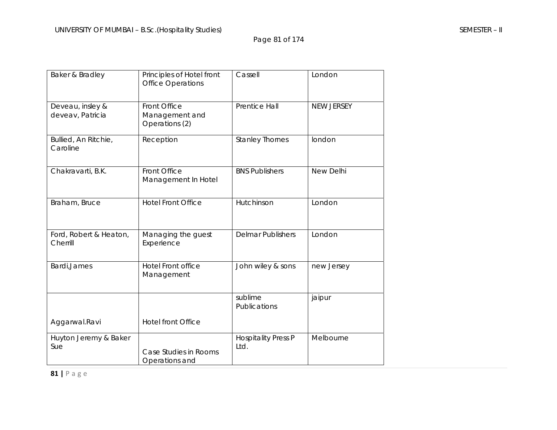Page 81 of 174

| Baker & Bradley                      | Principles of Hotel front<br><b>Office Operations</b> | Cassell                            | London            |
|--------------------------------------|-------------------------------------------------------|------------------------------------|-------------------|
| Deveau, insley &<br>deveav, Patricia | Front Office<br>Management and<br>Operations (2)      | Prentice Hall                      | <b>NEW JERSEY</b> |
| Bullied, An Ritchie,<br>Caroline     | Reception                                             | <b>Stanley Thornes</b>             | london            |
| Chakravarti, B.K.                    | Front Office<br>Management In Hotel                   | <b>BNS Publishers</b>              | New Delhi         |
| Braham, Bruce                        | <b>Hotel Front Office</b>                             | Hutchinson                         | London            |
| Ford, Robert & Heaton,<br>Cherrill   | Managing the guest<br>Experience                      | <b>Delmar Publishers</b>           | London            |
| Bardi, James                         | <b>Hotel Front office</b><br>Management               | John wiley & sons                  | new Jersey        |
|                                      |                                                       | sublime<br>Publications            | jaipur            |
| Aggarwal.Ravi                        | <b>Hotel front Office</b>                             |                                    |                   |
| Huyton Jeremy & Baker<br>Sue         | Case Studies in Rooms<br>Operations and               | <b>Hospitality Press P</b><br>Ltd. | Melbourne         |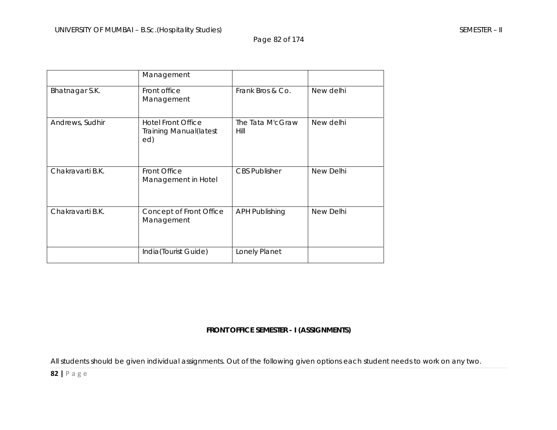Page 82 of 174

|                  | Management                                                         |                          |           |
|------------------|--------------------------------------------------------------------|--------------------------|-----------|
| Bhatnagar S.K.   | Front office<br>Management                                         | Frank Bros & Co.         | New delhi |
| Andrews, Sudhir  | <b>Hotel Front Office</b><br><b>Training Manual (latest</b><br>ed) | The Tata M'cGraw<br>Hill | New delhi |
| Chakravarti B.K. | Front Office<br>Management in Hotel                                | <b>CBS Publisher</b>     | New Delhi |
| Chakravarti B.K. | Concept of Front Office<br>Management                              | <b>APH Publishing</b>    | New Delhi |
|                  | India(Tourist Guide)                                               | Lonely Planet            |           |

### **FRONT OFFICE SEMESTER - I (ASSIGNMENTS)**

All students should be given individual assignments. Out of the following given options each student needs to work on any two.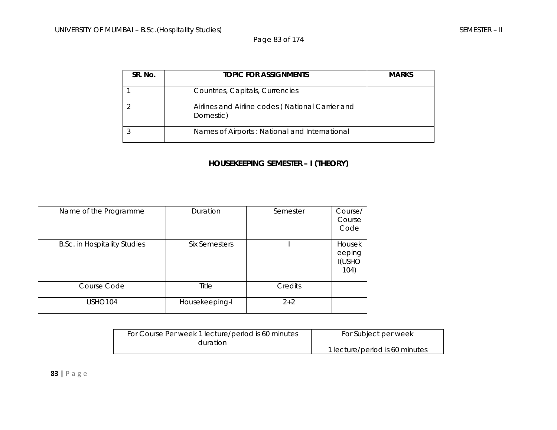Page 83 of 174

| SR. No. | <b>TOPIC FOR ASSIGNMENTS</b>                                  | <b>MARKS</b> |
|---------|---------------------------------------------------------------|--------------|
|         | Countries, Capitals, Currencies                               |              |
|         | Airlines and Airline codes (National Carrier and<br>Domestic) |              |
|         | Names of Airports: National and International                 |              |

### **HOUSEKEEPING SEMESTER – I (THEORY)**

| Name of the Programme               | Duration       | Semester | Course/<br>Course<br>Code                 |
|-------------------------------------|----------------|----------|-------------------------------------------|
| <b>B.Sc. in Hospitality Studies</b> | Six Semesters  |          | Housek<br>eeping<br><b>I(USHO</b><br>104) |
| Course Code                         | Title          | Credits  |                                           |
| <b>USHO104</b>                      | Housekeeping-I | $2 + 2$  |                                           |

| For Course Per week 1 lecture/period is 60 minutes | For Subject per week           |
|----------------------------------------------------|--------------------------------|
| duration                                           |                                |
|                                                    | 1 lecture/period is 60 minutes |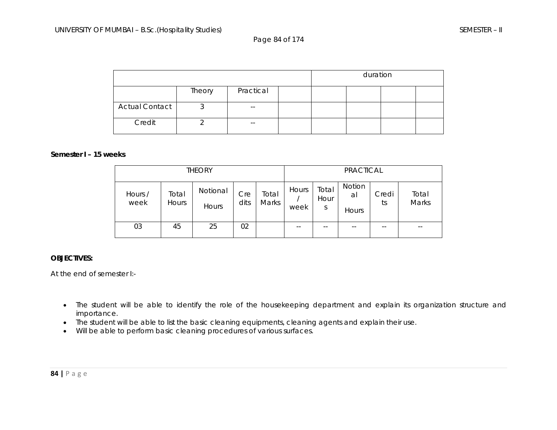Page 84 of 174

|                       |        |           | duration |  |  |
|-----------------------|--------|-----------|----------|--|--|
|                       | Theory | Practical |          |  |  |
| <b>Actual Contact</b> | J      | $- -$     |          |  |  |
| Credit                |        | $- -$     |          |  |  |

#### **Semester I – 15 weeks**

| <b>THEORY</b>   |                       |                   |             |                |               | <b>PRACTICAL</b>   |                       |             |                |
|-----------------|-----------------------|-------------------|-------------|----------------|---------------|--------------------|-----------------------|-------------|----------------|
| Hours /<br>week | Total<br><b>Hours</b> | Notional<br>Hours | Cre<br>dits | Total<br>Marks | Hours<br>week | Total<br>Hour<br>S | Notion<br>al<br>Hours | Credi<br>ts | Total<br>Marks |
| 03              | 45                    | 25                | 02          |                | --            |                    | --                    | --          | $- -$          |

#### **OBJECTIVES:**

At the end of semester I:-

- The student will be able to identify the role of the housekeeping department and explain its organization structure and importance.
- The student will be able to list the basic cleaning equipments, cleaning agents and explain their use.
- Will be able to perform basic cleaning procedures of various surfaces.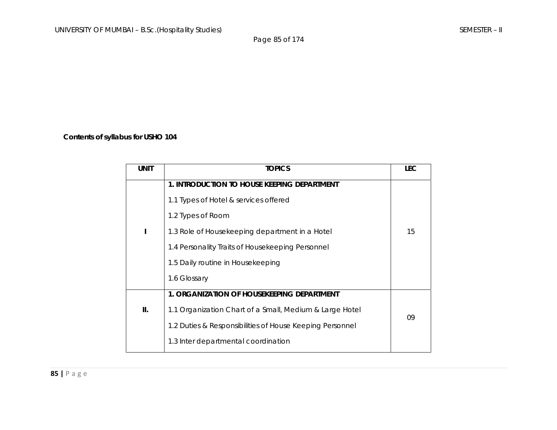Page 85 of 174

### **Contents of syllabus for USHO 104**

| <b>TOPICS</b>                                            | <b>LEC</b> |
|----------------------------------------------------------|------------|
| 1. INTRODUCTION TO HOUSE KEEPING DEPARTMENT              |            |
| 1.1 Types of Hotel & services offered                    |            |
| 1.2 Types of Room                                        |            |
| 1.3 Role of Housekeeping department in a Hotel           | 15         |
| 1.4 Personality Traits of Housekeeping Personnel         |            |
| 1.5 Daily routine in Housekeeping                        |            |
| 1.6 Glossary                                             |            |
| 1. ORGANIZATION OF HOUSEKEEPING DEPARTMENT               |            |
| 1.1 Organization Chart of a Small, Medium & Large Hotel  |            |
| 1.2 Duties & Responsibilities of House Keeping Personnel | 09         |
| 1.3 Inter departmental coordination                      |            |
|                                                          |            |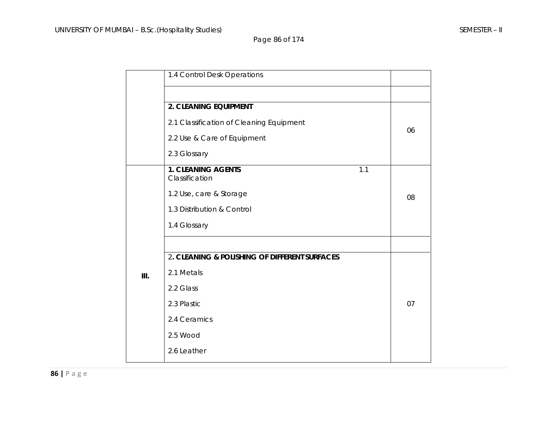Page 86 of 174

|      | 1.4 Control Desk Operations                        |    |
|------|----------------------------------------------------|----|
|      |                                                    |    |
|      | 2. CLEANING EQUIPMENT                              |    |
|      | 2.1 Classification of Cleaning Equipment           | 06 |
|      | 2.2 Use & Care of Equipment                        |    |
|      | 2.3 Glossary                                       |    |
|      | <b>1. CLEANING AGENTS</b><br>1.1<br>Classification |    |
|      | 1.2 Use, care & Storage                            | 08 |
|      | 1.3 Distribution & Control                         |    |
|      | 1.4 Glossary                                       |    |
|      |                                                    |    |
|      | 2. CLEANING & POLISHING OF DIFFERENT SURFACES      |    |
| III. | 2.1 Metals                                         |    |
|      | 2.2 Glass                                          |    |
|      | 2.3 Plastic                                        | 07 |
|      | 2.4 Ceramics                                       |    |
|      | 2.5 Wood                                           |    |
|      | 2.6 Leather                                        |    |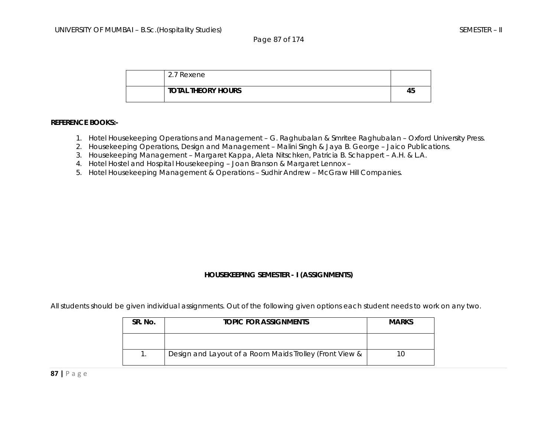Page 87 of 174

| 2.7 Rexene                |    |
|---------------------------|----|
| <b>TOTAL THEORY HOURS</b> | 45 |

#### **REFERENCE BOOKS:-**

- 1. Hotel Housekeeping Operations and Management G. Raghubalan & Smritee Raghubalan Oxford University Press.
- 2. Housekeeping Operations, Design and Management Malini Singh & Jaya B. George Jaico Publications.
- 3. Housekeeping Management Margaret Kappa, Aleta Nitschken, Patricia B. Schappert A.H. & L.A.
- 4. Hotel Hostel and Hospital Housekeeping Joan Branson & Margaret Lennox –
- 5. Hotel Housekeeping Management & Operations Sudhir Andrew McGraw Hill Companies.

#### **HOUSEKEEPING SEMESTER - I (ASSIGNMENTS)**

All students should be given individual assignments. Out of the following given options each student needs to work on any two.

| SR. No. | <b>TOPIC FOR ASSIGNMENTS</b>                            | <b>MARKS</b> |
|---------|---------------------------------------------------------|--------------|
|         |                                                         |              |
|         | Design and Layout of a Room Maids Trolley (Front View & |              |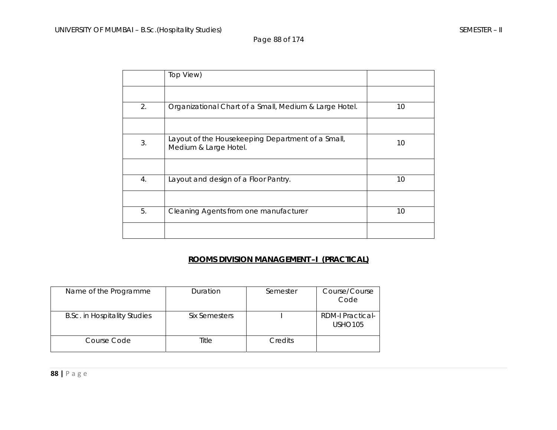Page 88 of 174

|    | Top View)                                                                  |    |
|----|----------------------------------------------------------------------------|----|
|    |                                                                            |    |
| 2. | Organizational Chart of a Small, Medium & Large Hotel.                     | 10 |
|    |                                                                            |    |
| 3. | Layout of the Housekeeping Department of a Small,<br>Medium & Large Hotel. | 10 |
|    |                                                                            |    |
| 4. | Layout and design of a Floor Pantry.                                       | 10 |
|    |                                                                            |    |
| 5. | Cleaning Agents from one manufacturer                                      | 10 |
|    |                                                                            |    |

### **ROOMS DIVISION MANAGEMENT –I (PRACTICAL)**

| Name of the Programme               | Duration      | Semester       | Course/Course<br>Code                     |
|-------------------------------------|---------------|----------------|-------------------------------------------|
| <b>B.Sc. in Hospitality Studies</b> | Six Semesters |                | <b>RDM-I Practical-</b><br><b>USHO105</b> |
| Course Code                         | Title         | <b>Credits</b> |                                           |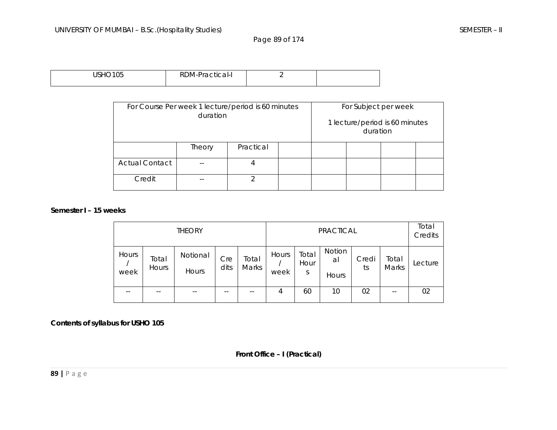Page 89 of 174

| 10110340F<br>╰<br>ັບບ<br>ບມ | RDM-Practical<br>arl-I, |  |
|-----------------------------|-------------------------|--|
|                             |                         |  |

| For Course Per week 1 lecture/period is 60 minutes<br>duration |        |           |  |  | For Subject per week<br>duration | 1 lecture/period is 60 minutes |  |
|----------------------------------------------------------------|--------|-----------|--|--|----------------------------------|--------------------------------|--|
|                                                                | Theory | Practical |  |  |                                  |                                |  |
| <b>Actual Contact</b>                                          |        | 4         |  |  |                                  |                                |  |
| Credit                                                         |        | ⌒         |  |  |                                  |                                |  |

#### **Semester I – 15 weeks**

| <b>THEORY</b> |                |                   |             |                | <b>PRACTICAL</b> |                    |                      |             | Total<br>Credits |         |
|---------------|----------------|-------------------|-------------|----------------|------------------|--------------------|----------------------|-------------|------------------|---------|
| Hours<br>week | Total<br>Hours | Notional<br>Hours | Cre<br>dits | Total<br>Marks | Hours<br>week    | Total<br>Hour<br>S | Notion<br>a<br>Hours | Credi<br>ts | Total<br>Marks   | Lecture |
|               | --             |                   | $- -$       |                | 4                | 60                 | 10                   | 02          | --               | 02      |

**Contents of syllabus for USHO 105** 

**Front Office – I (Practical)**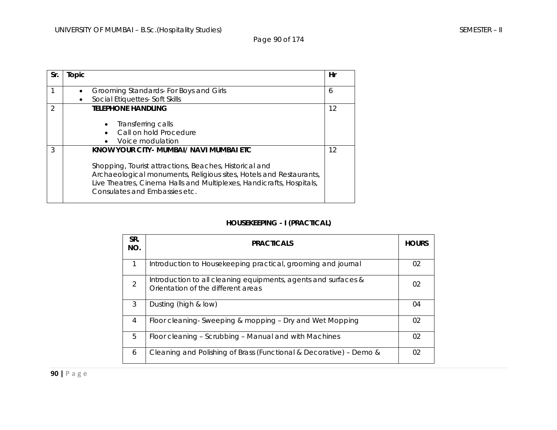Page 90 of 174

| Sr.           | Topic |                                                                                                                                                                                                                                                                                  | Hr |
|---------------|-------|----------------------------------------------------------------------------------------------------------------------------------------------------------------------------------------------------------------------------------------------------------------------------------|----|
|               |       | Grooming Standards- For Boys and Girls<br>Social Etiquettes- Soft Skills                                                                                                                                                                                                         | 6  |
| $\mathcal{P}$ |       | <b>TELEPHONE HANDLING</b>                                                                                                                                                                                                                                                        | 12 |
|               |       | Transferring calls<br>Call on hold Procedure<br>Voice modulation<br>$\bullet$                                                                                                                                                                                                    |    |
| 3             |       | KNOW YOUR CITY- MUMBAI/ NAVI MUMBAI ETC<br>Shopping, Tourist attractions, Beaches, Historical and<br>Archaeological monuments, Religious sites, Hotels and Restaurants,<br>Live Theatres, Cinema Halls and Multiplexes, Handicrafts, Hospitals,<br>Consulates and Embassies etc. | 12 |

### **HOUSEKEEPING - I (PRACTICAL)**

| SR.<br>NO.     | <b>PRACTICALS</b>                                                                                    | <b>HOURS</b> |
|----------------|------------------------------------------------------------------------------------------------------|--------------|
| 1              | Introduction to Housekeeping practical, grooming and journal                                         | 02           |
| $\mathfrak{D}$ | Introduction to all cleaning equipments, agents and surfaces &<br>Orientation of the different areas | 02           |
| 3              | Dusting (high & low)                                                                                 | 04           |
| 4              | Floor cleaning-Sweeping & mopping – Dry and Wet Mopping                                              | 02           |
| 5              | Floor cleaning - Scrubbing - Manual and with Machines                                                | 02           |
| 6              | Cleaning and Polishing of Brass (Functional & Decorative) - Demo &                                   | 02           |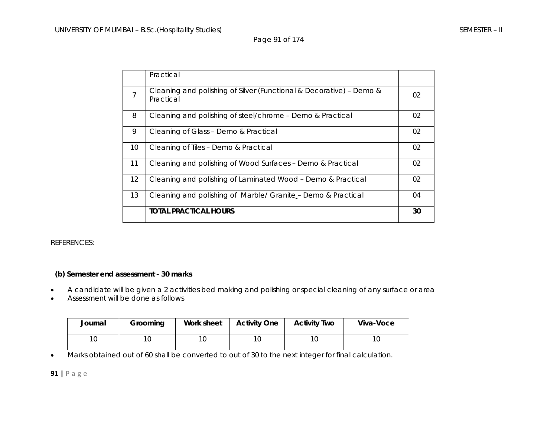Page 91 of 174

|                   | Practical                                                                        |    |
|-------------------|----------------------------------------------------------------------------------|----|
| 7                 | Cleaning and polishing of Silver (Functional & Decorative) - Demo &<br>Practical | 02 |
| 8                 | Cleaning and polishing of steel/chrome - Demo & Practical                        | 02 |
| 9                 | Cleaning of Glass - Demo & Practical                                             | 02 |
| 10                | Cleaning of Tiles - Demo & Practical                                             | 02 |
| 11                | Cleaning and polishing of Wood Surfaces - Demo & Practical                       | 02 |
| $12 \overline{ }$ | Cleaning and polishing of Laminated Wood - Demo & Practical                      | 02 |
| 13                | Cleaning and polishing of Marble/ Granite - Demo & Practical                     | 04 |
|                   | <b>TOTAL PRACTICAL HOURS</b>                                                     | 30 |

#### REFERENCES:

### **(b) Semester end assessment - 30 marks**

- •A candidate will be given a 2 activities bed making and polishing or special cleaning of any surface or area
- •Assessment will be done as follows

| Journal | Grooming | Work sheet | <b>Activity One</b> | <b>Activity Two</b> | Viva-Voce |
|---------|----------|------------|---------------------|---------------------|-----------|
| 10      |          | 10         | ∣∪                  | 1 <sup>C</sup>      | 10        |

•Marks obtained out of 60 shall be converted to out of 30 to the next integer for final calculation.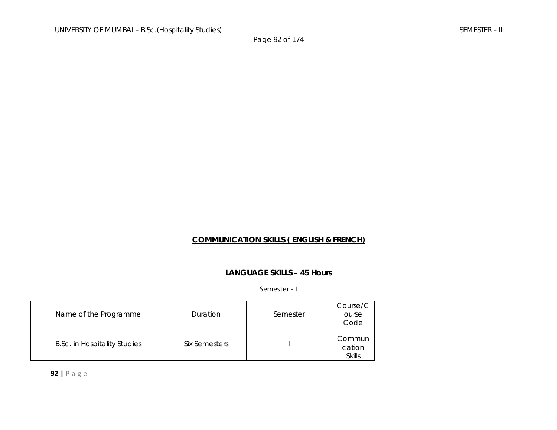### **COMMUNICATION SKILLS ( ENGLISH & FRENCH)**

### **LANGUAGE SKILLS – 45 Hours**

#### Semester ‐ I

| Name of the Programme               | Duration      | Semester | Course/C<br>ourse<br>Code         |
|-------------------------------------|---------------|----------|-----------------------------------|
| <b>B.Sc. in Hospitality Studies</b> | Six Semesters |          | Commun<br>cation<br><b>Skills</b> |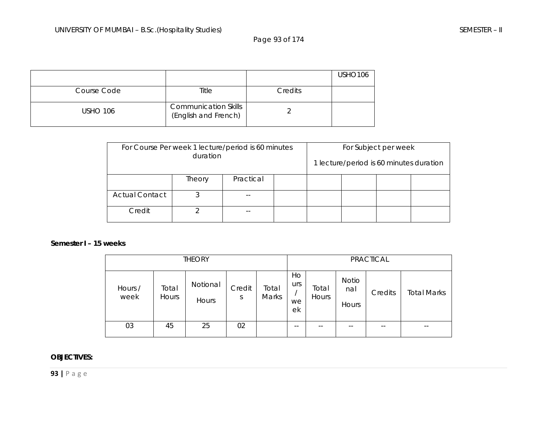Page 93 of 174

|                 |                                                     |         | USHO <sub>106</sub> |
|-----------------|-----------------------------------------------------|---------|---------------------|
| Course Code     | Title                                               | Credits |                     |
| <b>USHO 106</b> | <b>Communication Skills</b><br>(English and French) |         |                     |

| For Course Per week 1 lecture/period is 60 minutes<br>duration |        |           |  |  | For Subject per week<br>1 lecture/period is 60 minutes duration |  |  |
|----------------------------------------------------------------|--------|-----------|--|--|-----------------------------------------------------------------|--|--|
|                                                                | Theory | Practical |  |  |                                                                 |  |  |
| <b>Actual Contact</b>                                          |        |           |  |  |                                                                 |  |  |
| Credit                                                         |        |           |  |  |                                                                 |  |  |

#### **Semester I – 15 weeks**

| <b>THEORY</b>   |                |                   |             |                |                       | PRACTICAL      |                       |         |                    |
|-----------------|----------------|-------------------|-------------|----------------|-----------------------|----------------|-----------------------|---------|--------------------|
| Hours /<br>week | Total<br>Hours | Notional<br>Hours | Credit<br>S | Total<br>Marks | Ho<br>urs<br>we<br>ek | Total<br>Hours | Notio<br>nal<br>Hours | Credits | <b>Total Marks</b> |
| 03              | 45             | 25                | 02          |                | $- -$                 | $ -$           | $- -$                 | --      | $- -$              |

### **OBJECTIVES:**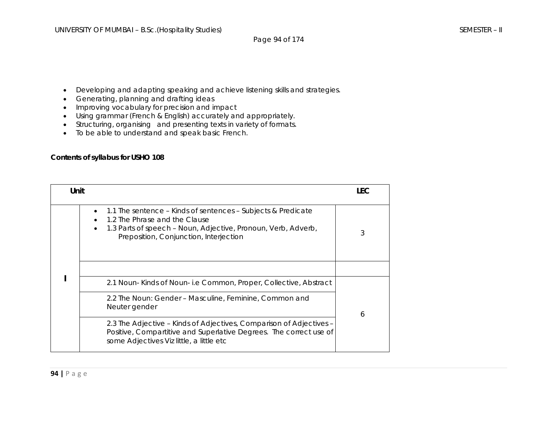- Developing and adapting speaking and achieve listening skills and strategies.
- Generating, planning and drafting ideas
- Improving vocabulary for precision and impact
- Using grammar (French & English) accurately and appropriately.
- Structuring, organising and presenting texts in variety of formats.
- To be able to understand and speak basic French.

### **Contents of syllabus for USHO 108**

| Unit |                                                                                                                                                                                                          | LEC |
|------|----------------------------------------------------------------------------------------------------------------------------------------------------------------------------------------------------------|-----|
|      | 1.1 The sentence – Kinds of sentences – Subjects & Predicate<br>1.2 The Phrase and the Clause<br>1.3 Parts of speech - Noun, Adjective, Pronoun, Verb, Adverb,<br>Preposition, Conjunction, Interjection | 3   |
|      |                                                                                                                                                                                                          |     |
|      | 2.1 Noun-Kinds of Noun-i.e Common, Proper, Collective, Abstract                                                                                                                                          |     |
|      | 2.2 The Noun: Gender – Masculine, Feminine, Common and<br>Neuter gender                                                                                                                                  | 6   |
|      | 2.3 The Adjective - Kinds of Adjectives, Comparison of Adjectives -<br>Positive, Compartitive and Superlative Degrees. The correct use of<br>some Adjectives Viz little, a little etc                    |     |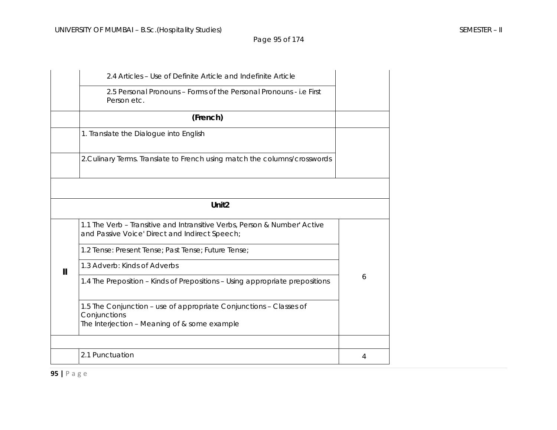|   | 2.4 Articles - Use of Definite Article and Indefinite Article                                                                      |   |
|---|------------------------------------------------------------------------------------------------------------------------------------|---|
|   | 2.5 Personal Pronouns – Forms of the Personal Pronouns - i.e First<br>Person etc.                                                  |   |
|   | (French)                                                                                                                           |   |
|   | 1. Translate the Dialogue into English                                                                                             |   |
|   | 2. Culinary Terms. Translate to French using match the columns/crosswords                                                          |   |
|   |                                                                                                                                    |   |
|   | Unit <sub>2</sub>                                                                                                                  |   |
|   | 1.1 The Verb - Transitive and Intransitive Verbs, Person & Number' Active<br>and Passive Voice' Direct and Indirect Speech;        |   |
|   | 1.2 Tense: Present Tense; Past Tense; Future Tense;                                                                                |   |
| Ш | 1.3 Adverb: Kinds of Adverbs                                                                                                       |   |
|   | 1.4 The Preposition - Kinds of Prepositions - Using appropriate prepositions                                                       | 6 |
|   | 1.5 The Conjunction - use of appropriate Conjunctions - Classes of<br>Conjunctions<br>The Interjection - Meaning of & some example |   |
|   |                                                                                                                                    |   |
|   | 2.1 Punctuation                                                                                                                    | 4 |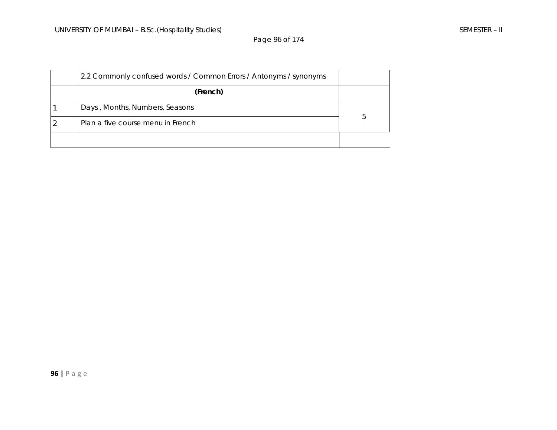Page 96 of 174

| 2.2 Commonly confused words / Common Errors / Antonyms / synonyms |   |
|-------------------------------------------------------------------|---|
| (French)                                                          |   |
| Days, Months, Numbers, Seasons                                    |   |
| Plan a five course menu in French                                 | 5 |
|                                                                   |   |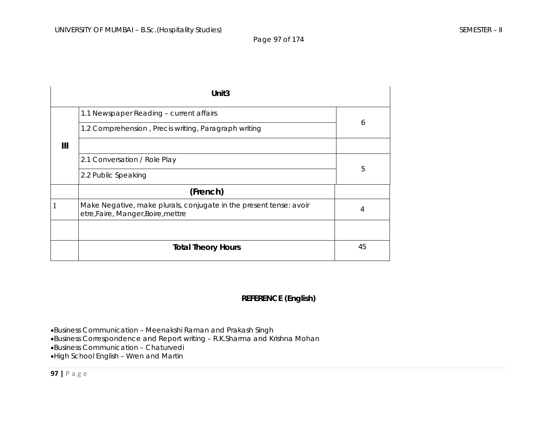Page 97 of 174

|   | Unit <sub>3</sub>                                                                                        |    |  |
|---|----------------------------------------------------------------------------------------------------------|----|--|
|   | 1.1 Newspaper Reading - current affairs                                                                  |    |  |
|   | 1.2 Comprehension, Precis writing, Paragraph writing                                                     | 6  |  |
| Ш |                                                                                                          |    |  |
|   | 2.1 Conversation / Role Play                                                                             |    |  |
|   | 2.2 Public Speaking                                                                                      | 5  |  |
|   | (French)                                                                                                 |    |  |
|   | Make Negative, make plurals, conjugate in the present tense: avoir<br>etre, Faire, Manger, Boire, mettre | 4  |  |
|   |                                                                                                          |    |  |
|   | <b>Total Theory Hours</b>                                                                                | 45 |  |

### **REFERENCE (English)**

•Business Communication – Meenakshi Raman and Prakash Singh •Business Correspondence and Report writing – R.K.Sharma and Krishna Mohan •Business Communication – Chaturvedi •High School English – Wren and Martin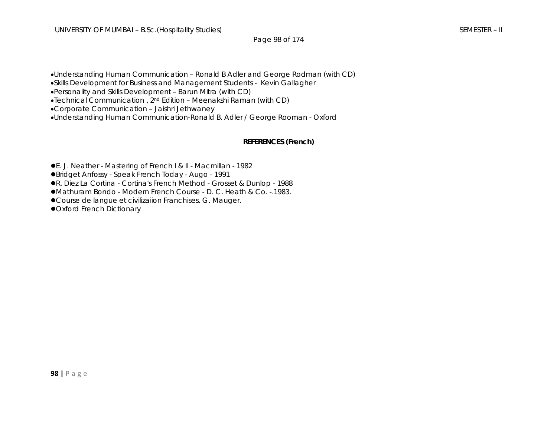•Understanding Human Communication – Ronald B Adler and George Rodman (with CD)

•Skills Development for Business and Management Students - Kevin Gallagher

•Personality and Skills Development – Barun Mitra (with CD)

•Technical Communication , 2nd Edition – Meenakshi Raman (with CD)

•Corporate Communication – Jaishri Jethwaney

•Understanding Human Communication-Ronald B. Adler / George Rooman - Oxford

### **REFERENCES (French)**

**•** E. J. Neather - Mastering of French I & II - Macmillan - 1982

●Bridget Anfossy - Speak French Today - Augo - 1991

**• R. Diez La Cortina - Cortina's French Method - Grosset & Dunlop - 1988** 

●Mathuram Bondo - Modern French Course - D. C. Heath & Co. -.1983.

● Course de langue et civilizaiion Franchises. G. Mauger.

**• Oxford French Dictionary**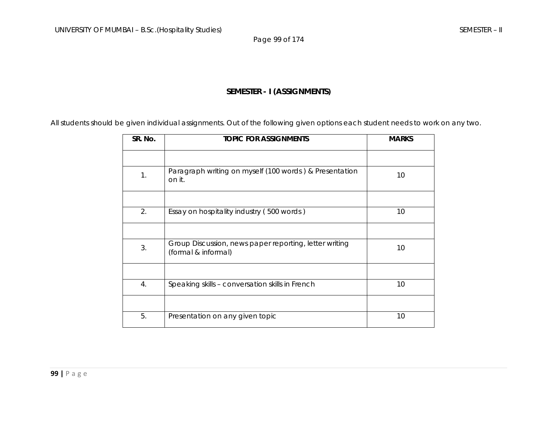Page 99 of 174

### **SEMESTER - I (ASSIGNMENTS)**

All students should be given individual assignments. Out of the following given options each student needs to work on any two.

| SR. No.        | <b>TOPIC FOR ASSIGNMENTS</b>                                                  | <b>MARKS</b> |
|----------------|-------------------------------------------------------------------------------|--------------|
|                |                                                                               |              |
| $\mathbf{1}$ . | Paragraph writing on myself (100 words) & Presentation<br>on it.              | 10           |
|                |                                                                               |              |
| 2.             | Essay on hospitality industry (500 words)                                     | 10           |
|                |                                                                               |              |
| 3.             | Group Discussion, news paper reporting, letter writing<br>(formal & informal) | 10           |
|                |                                                                               |              |
| 4.             | Speaking skills - conversation skills in French                               | 10           |
|                |                                                                               |              |
| 5.             | Presentation on any given topic                                               | 10           |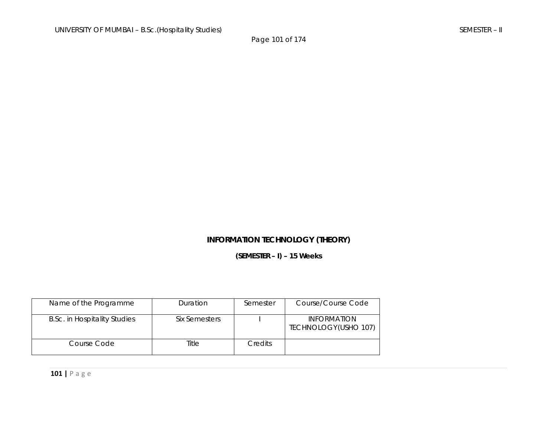## **INFORMATION TECHNOLOGY (THEORY)**

**(SEMESTER – I) – 15 Weeks** 

| Name of the Programme               | Duration      | Semester       | Course/Course Code                         |
|-------------------------------------|---------------|----------------|--------------------------------------------|
| <b>B.Sc. in Hospitality Studies</b> | Six Semesters |                | <b>INFORMATION</b><br>TECHNOLOGY(USHO 107) |
| Course Code                         | Title         | <b>Credits</b> |                                            |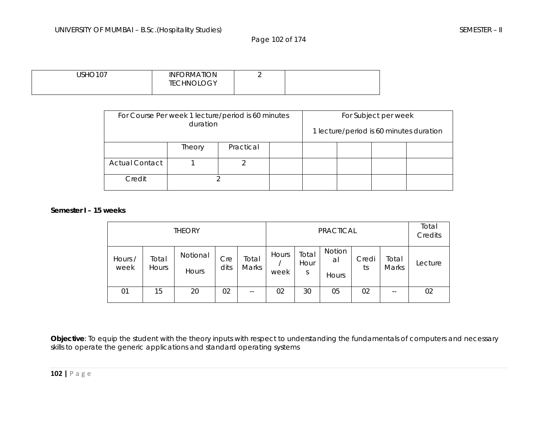Page 102 of 174

| <b>USHO107</b> | <b>INFORMATION</b> | - |  |
|----------------|--------------------|---|--|
|                | <b>TECHNOLOGY</b>  |   |  |
|                |                    |   |  |

| For Course Per week 1 lecture/period is 60 minutes<br>duration |  |  |  |  | For Subject per week | 1 lecture/period is 60 minutes duration |
|----------------------------------------------------------------|--|--|--|--|----------------------|-----------------------------------------|
| Practical<br>Theory                                            |  |  |  |  |                      |                                         |
| <b>Actual Contact</b>                                          |  |  |  |  |                      |                                         |
| Credit                                                         |  |  |  |  |                      |                                         |

### **Semester I – 15 weeks**

| <b>THEORY</b>   |                |                   |             |                | PRACTICAL     |                    |                       | Total<br>Credits |                |         |
|-----------------|----------------|-------------------|-------------|----------------|---------------|--------------------|-----------------------|------------------|----------------|---------|
| Hours /<br>week | Total<br>Hours | Notional<br>Hours | Cre<br>dits | Total<br>Marks | Hours<br>week | Total<br>Hour<br>S | Notion<br>al<br>Hours | Credi<br>ts      | Total<br>Marks | Lecture |
| 01              | 15             | 20                | 02          | $- -$          | 02            | 30                 | 05                    | 02               | $- -$          | 02      |

**Objective**: To equip the student with the theory inputs with respect to understanding the fundamentals of computers and necessary skills to operate the generic applications and standard operating systems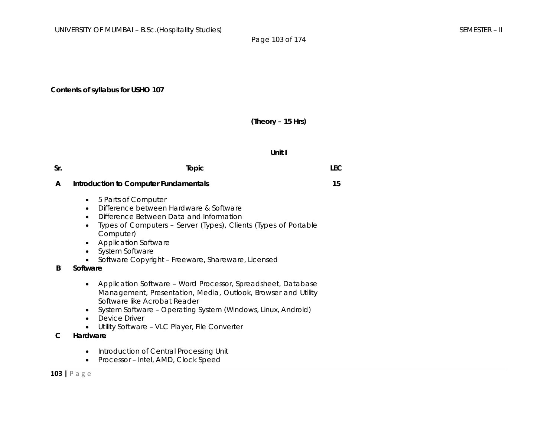### **Contents of syllabus for USHO 107**

### **(Theory – 15 Hrs)**

#### **Unit I**

| Sr. | Topic                                                                                                                                                                                                                                                                                                                                                                                      | <b>LEC</b> |
|-----|--------------------------------------------------------------------------------------------------------------------------------------------------------------------------------------------------------------------------------------------------------------------------------------------------------------------------------------------------------------------------------------------|------------|
| A   | <b>Introduction to Computer Fundamentals</b>                                                                                                                                                                                                                                                                                                                                               | 15         |
| B   | 5 Parts of Computer<br>$\bullet$<br>Difference between Hardware & Software<br>$\bullet$<br>Difference Between Data and Information<br>$\bullet$<br>Types of Computers - Server (Types), Clients (Types of Portable<br>$\bullet$<br>Computer)<br><b>Application Software</b><br>$\bullet$<br>System Software<br>$\bullet$<br>Software Copyright - Freeware, Shareware, Licensed<br>Software |            |
| C   | Application Software – Word Processor, Spreadsheet, Database<br>$\bullet$<br>Management, Presentation, Media, Outlook, Browser and Utility<br>Software like Acrobat Reader<br>System Software – Operating System (Windows, Linux, Android)<br>$\bullet$<br>Device Driver<br>$\bullet$<br>Utility Software - VLC Player, File Converter<br>Hardware                                         |            |

- Introduction of Central Processing Unit
- Processor Intel, AMD, Clock Speed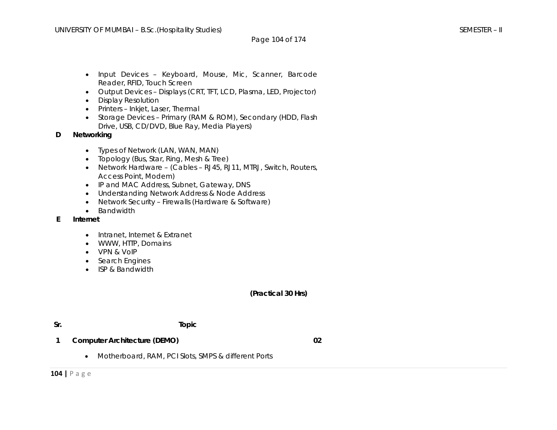- Input Devices Keyboard, Mouse, Mic, Scanner, Barcode Reader, RFID, Touch Screen
- Output Devices Displays (CRT, TFT, LCD, Plasma, LED, Projector)
- Display Resolution
- Printers Inkjet, Laser, Thermal
- Storage Devices Primary (RAM & ROM), Secondary (HDD, Flash Drive, USB, CD/DVD, Blue Ray, Media Players)
- **D Networking** 
	- Types of Network (LAN, WAN, MAN)
	- Topology (Bus, Star, Ring, Mesh & Tree)
	- Network Hardware (Cables RJ45, RJ11, MTRJ, Switch, Routers, Access Point, Modem)
	- IP and MAC Address, Subnet, Gateway, DNS
	- Understanding Network Address & Node Address
	- Network Security Firewalls (Hardware & Software)
	- Bandwidth
- **E Internet** 
	- Intranet, Internet & Extranet
	- WWW, HTTP, Domains
	- VPN & VoIP
	- Search Engines
	- ISP & Bandwidth

### **(Practical 30 Hrs)**

### **Sr. Topic**

- **1 Computer Architecture (DEMO)** 
	- Motherboard, RAM, PCI Slots, SMPS & different Ports

**02**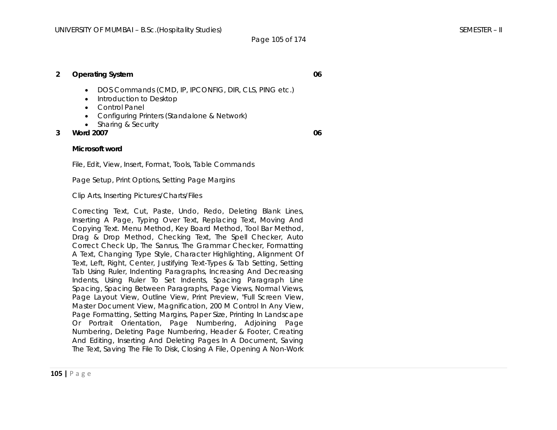### **2 Operating System**

### • DOS Commands (CMD, IP, IPCONFIG, DIR, CLS, PING etc.)

- Introduction to Desktop
- Control Panel
- Configuring Printers (Standalone & Network)
- Sharing & Security
- **3 Word 2007**

**06** 

**06** 

#### **Microsoft word**

File, Edit, View, Insert, Format, Tools, Table Commands

Page Setup, Print Options, Setting Page Margins

Clip Arts, Inserting Pictures/Charts/Files

Correcting Text, Cut, Paste, Undo, Redo, Deleting Blank Lines, Inserting A Page, Typing Over Text, Replacing Text, Moving And Copying Text. Menu Method, Key Board Method, Tool Bar Method, Drag & Drop Method, Checking Text, The Spell Checker, Auto Correct Check Up, The Sanrus, The Grammar Checker, Formatting A Text, Changing Type Style, Character Highlighting, Alignment Of Text, Left, Right, Center, Justifying Text-Types & Tab Setting, Setting Tab Using Ruler, Indenting Paragraphs, Increasing And Decreasing Indents, Using Ruler To Set Indents, Spacing Paragraph Line Spacing, Spacing Between Paragraphs, Page Views, Normal Views, Page Layout View, Outline View, Print Preview, "Full Screen View, Master Document View, Magnification, 200 M Control In Any View, Page Formatting, Setting Margins, Paper Size, Printing In Landscape Or Portrait Orientation, Page Numbering, Adjoining Page Numbering, Deleting Page Numbering, Header & Footer, Creating And Editing, Inserting And Deleting Pages In A Document, Saving The Text, Saving The File To Disk, Closing A File, Opening A Non-Work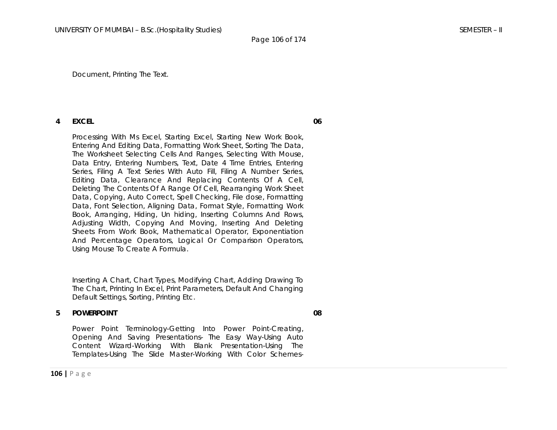Document, Printing The Text.

#### **4 EXCEL**

Processing With Ms Excel, Starting Excel, Starting New Work Book, Entering And Editing Data, Formatting Work Sheet, Sorting The Data, The Worksheet Selecting Cells And Ranges, Selecting With Mouse, Data Entry, Entering Numbers, Text, Date 4 Time Entries, Entering Series, Filing A Text Series With Auto Fill, Filing A Number Series, Editing Data, Clearance And Replacing Contents Of A Cell, Deleting The Contents Of A Range Of Cell, Rearranging Work Sheet Data, Copying, Auto Correct, Spell Checking, File dose, Formatting Data, Font Selection, Aligning Data, Format Style, Formatting Work Book, Arranging, Hiding, Un hiding, Inserting Columns And Rows, Adjusting Width, Copying And Moving, Inserting And Deleting Sheets From Work Book, Mathematical Operator, Exponentiation And Percentage Operators, Logical Or Comparison Operators, Using Mouse To Create A Formula.

Inserting A Chart, Chart Types, Modifying Chart, Adding Drawing To The Chart, Printing In Excel, Print Parameters, Default And Changing Default Settings, Sorting, Printing Etc.

#### **5 POWERPOINT**

**08** 

Power Point Terminology-Getting Into Power Point-Creating, Opening And Saving Presentations- The Easy Way-Using Auto Content Wizard-Working With Blank Presentation-Using The Templates-Using The Slide Master-Working With Color Schemes**06**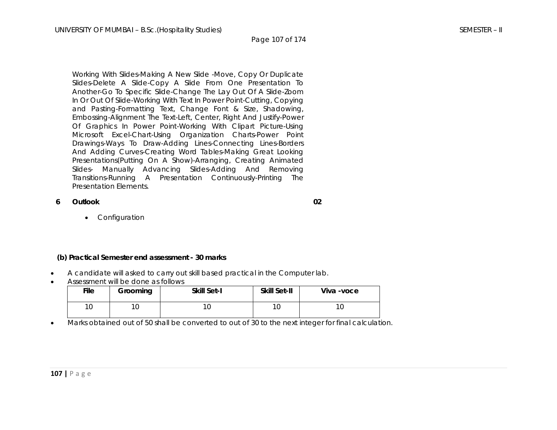Working With Slides-Making A New Slide -Move, Copy Or Duplicate Slides-Delete A Slide-Copy A Slide From One Presentation To Another-Go To Specific Slide-Change The Lay Out Of A Slide-Zoom In Or Out Of Slide-Working With Text In Power Point-Cutting, Copying and Pasting-Formatting Text, Change Font & Size, Shadowing, Embossing-Alignment The Text-Left, Center, Right And Justify-Power Of Graphics In Power Point-Working With Clipart Picture-Using Microsoft Excel-Chart-Using Organization Charts-Power Point Drawings-Ways To Draw-Adding Lines-Connecting Lines-Borders And Adding Curves-Creating Word Tables-Making Great Looking Presentations(Putting On A Show)-Arranging, Creating Animated Slides- Manually Advancing Slides-Adding And Removing Transitions-Running A Presentation Continuously-Printing The Presentation Elements.

#### **6 Outlook**

**02** 

• Configuration

#### **(b) Practical Semester end assessment - 30 marks**

- •A candidate will asked to carry out skill based practical in the Computer lab.
- Assessment will be done as follows

| <b>File</b> | <b>Skill Set-I</b><br>Grooming |  | <b>Skill Set-II</b> | Viva -voce |
|-------------|--------------------------------|--|---------------------|------------|
|             | ◡                              |  |                     |            |

•Marks obtained out of 50 shall be converted to out of 30 to the next integer for final calculation.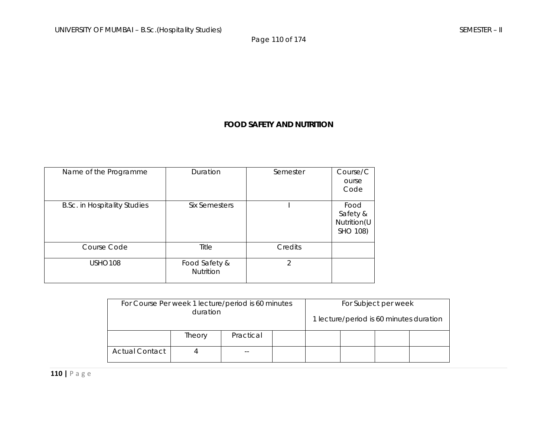Page 110 of 174

# **FOOD SAFETY AND NUTRITION**

| Name of the Programme               | Duration                   | Semester       | Course/C<br>ourse<br>Code                   |
|-------------------------------------|----------------------------|----------------|---------------------------------------------|
| <b>B.Sc. in Hospitality Studies</b> | <b>Six Semesters</b>       |                | Food<br>Safety &<br>Nutrition(U<br>SHO 108) |
| Course Code                         | Title                      | Credits        |                                             |
| <b>USHO108</b>                      | Food Safety &<br>Nutrition | $\mathfrak{D}$ |                                             |

| For Course Per week 1 lecture/period is 60 minutes |          | For Subject per week |  |  |  |                                         |  |
|----------------------------------------------------|----------|----------------------|--|--|--|-----------------------------------------|--|
|                                                    | duration |                      |  |  |  | 1 lecture/period is 60 minutes duration |  |
|                                                    | Theory   | Practical            |  |  |  |                                         |  |
| <b>Actual Contact</b>                              | $ -$     |                      |  |  |  |                                         |  |

**110 |** Page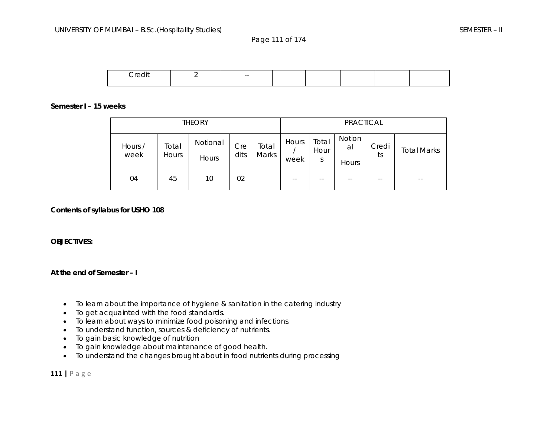Page 111 of 174



### **Semester I – 15 weeks**

|                 | <b>THEORY</b>         |                   |             |                |               |                    | PRACTICAL                    |             |                    |
|-----------------|-----------------------|-------------------|-------------|----------------|---------------|--------------------|------------------------------|-------------|--------------------|
| Hours /<br>week | Total<br><b>Hours</b> | Notional<br>Hours | Cre<br>dits | Total<br>Marks | Hours<br>week | Total<br>Hour<br>S | Notion<br>al<br><b>Hours</b> | Credi<br>ts | <b>Total Marks</b> |
| 04              | 45                    | 10                | 02          |                | --            | --                 | $ -$                         |             | $- -$              |

### **Contents of syllabus for USHO 108**

### **OBJECTIVES:**

### **At the end of Semester – I**

- •To learn about the importance of hygiene & sanitation in the catering industry
- •To get acquainted with the food standards.
- •To learn about ways to minimize food poisoning and infections.
- •To understand function, sources & deficiency of nutrients.
- •To gain basic knowledge of nutrition
- •To gain knowledge about maintenance of good health.
- $\bullet$ To understand the changes brought about in food nutrients during processing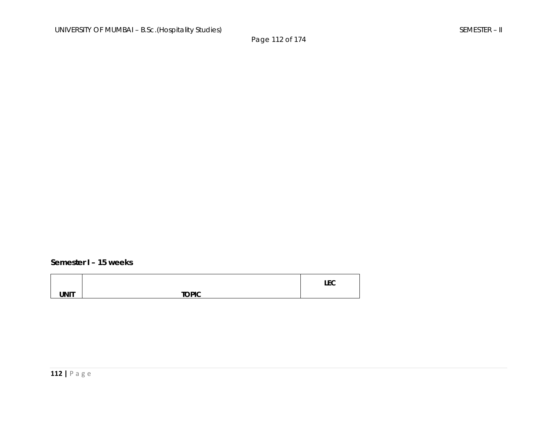### **Semester I – 15 weeks**

|             |              | $\mathbf{r}$<br>ᄔᅛ |
|-------------|--------------|--------------------|
| <b>UNIT</b> | <b>TOPIC</b> |                    |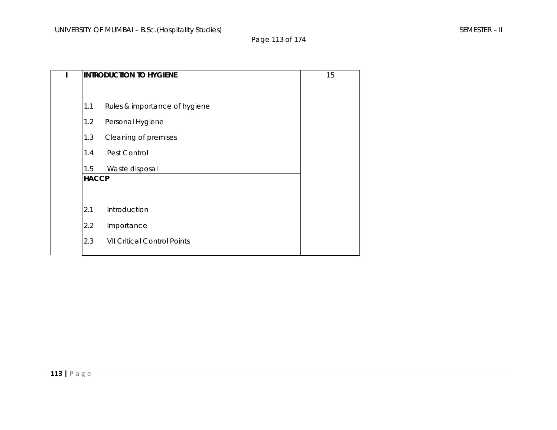# Page 113 of 174

|              | <b>INTRODUCTION TO HYGIENE</b>     |  |  |  |  |  |
|--------------|------------------------------------|--|--|--|--|--|
|              |                                    |  |  |  |  |  |
| 1.1          | Rules & importance of hygiene      |  |  |  |  |  |
| 1.2          | Personal Hygiene                   |  |  |  |  |  |
| 1.3          | Cleaning of premises               |  |  |  |  |  |
| 1.4          | Pest Control                       |  |  |  |  |  |
| 1.5          | Waste disposal                     |  |  |  |  |  |
| <b>HACCP</b> |                                    |  |  |  |  |  |
|              |                                    |  |  |  |  |  |
| 2.1          | Introduction                       |  |  |  |  |  |
| 2.2          | Importance                         |  |  |  |  |  |
| 2.3          | <b>VII Critical Control Points</b> |  |  |  |  |  |
|              |                                    |  |  |  |  |  |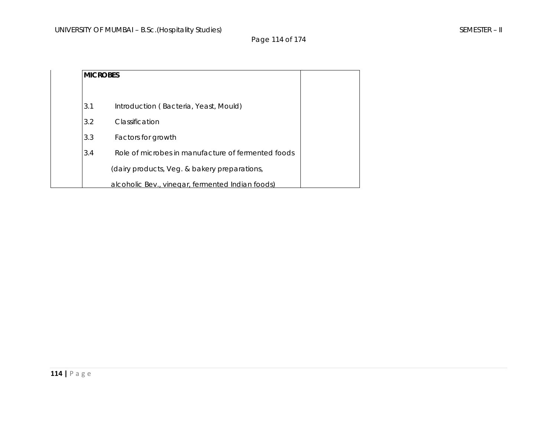Page 114 of 174

| <b>IMICROBES</b> |                                                    |
|------------------|----------------------------------------------------|
| 3.1              | Introduction (Bacteria, Yeast, Mould)              |
| 3.2              | Classification                                     |
| 3.3              | Factors for growth                                 |
| 3.4              | Role of microbes in manufacture of fermented foods |
|                  | (dairy products, Veg. & bakery preparations,       |
|                  | alcoholic Bev., vinegar, fermented Indian foods)   |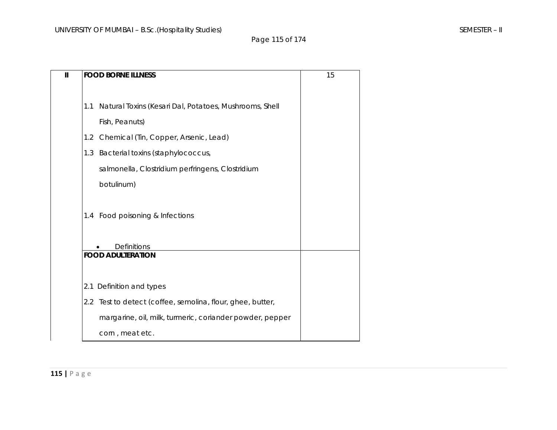| $\mathbf{I}$ |                    | <b>FOOD BORNE ILLNESS</b>                                  |  |  |  |  |  |  |
|--------------|--------------------|------------------------------------------------------------|--|--|--|--|--|--|
|              |                    |                                                            |  |  |  |  |  |  |
|              | 1.1                | Natural Toxins (Kesari Dal, Potatoes, Mushrooms, Shell     |  |  |  |  |  |  |
|              |                    | Fish, Peanuts)                                             |  |  |  |  |  |  |
|              | $1.2^{\circ}$      | Chemical (Tin, Copper, Arsenic, Lead)                      |  |  |  |  |  |  |
|              | 1.3                | Bacterial toxins (staphylococcus,                          |  |  |  |  |  |  |
|              |                    | salmonella, Clostridium perfringens, Clostridium           |  |  |  |  |  |  |
|              |                    | botulinum)                                                 |  |  |  |  |  |  |
|              |                    |                                                            |  |  |  |  |  |  |
|              |                    | 1.4 Food poisoning & Infections                            |  |  |  |  |  |  |
|              |                    |                                                            |  |  |  |  |  |  |
|              | <b>Definitions</b> |                                                            |  |  |  |  |  |  |
|              |                    | <b>FOOD ADULTERATION</b>                                   |  |  |  |  |  |  |
|              |                    |                                                            |  |  |  |  |  |  |
|              |                    | 2.1 Definition and types                                   |  |  |  |  |  |  |
|              |                    | 2.2 Test to detect (coffee, semolina, flour, ghee, butter, |  |  |  |  |  |  |
|              |                    | margarine, oil, milk, turmeric, coriander powder, pepper   |  |  |  |  |  |  |
|              |                    | corn, meat etc.                                            |  |  |  |  |  |  |

**115 |** Page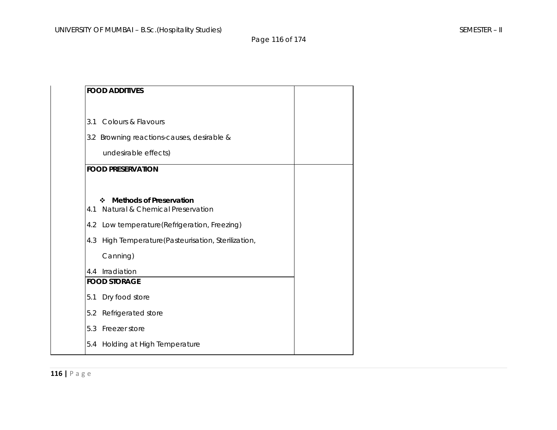# Page 116 of 174

|     | <b>FOOD ADDITIVES</b>                                                  |  |
|-----|------------------------------------------------------------------------|--|
| 3.1 | <b>Colours &amp; Flavours</b>                                          |  |
|     | 3.2 Browning reactions-causes, desirable &                             |  |
|     | undesirable effects)                                                   |  |
|     | <b>FOOD PRESERVATION</b>                                               |  |
|     |                                                                        |  |
| 4.1 | <b>Methods of Preservation</b><br>❖<br>Natural & Chemical Preservation |  |
| 4.2 | Low temperature(Refrigeration, Freezing)                               |  |
| 4.3 | High Temperature(Pasteurisation, Sterilization,                        |  |
|     | Canning)                                                               |  |
| 4.4 | Irradiation                                                            |  |
|     | <b>FOOD STORAGE</b>                                                    |  |
| 5.1 | Dry food store                                                         |  |
| 5.2 | Refrigerated store                                                     |  |
| 5.3 | Freezer store                                                          |  |
| 5.4 | Holding at High Temperature                                            |  |
|     |                                                                        |  |

**116 |** Page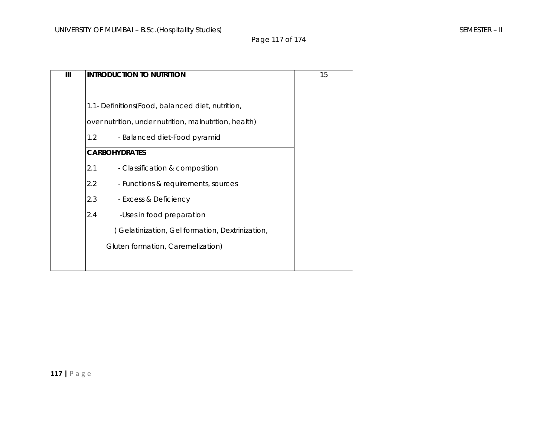# Page 117 of 174

| Ш | <b>INTRODUCTION TO NUTRITION</b>                       | 15 |
|---|--------------------------------------------------------|----|
|   |                                                        |    |
|   | 1.1- Definitions (Food, balanced diet, nutrition,      |    |
|   | over nutrition, under nutrition, malnutrition, health) |    |
|   | $1.2^{\circ}$<br>- Balanced diet-Food pyramid          |    |
|   | <b>CARBOHYDRATES</b>                                   |    |
|   | 2.1<br>- Classification & composition                  |    |
|   | 2.2<br>- Functions & requirements, sources             |    |
|   | 2.3<br>- Excess & Deficiency                           |    |
|   | 2.4<br>-Uses in food preparation                       |    |
|   | (Gelatinization, Gel formation, Dextrinization,        |    |
|   | Gluten formation, Caremelization)                      |    |
|   |                                                        |    |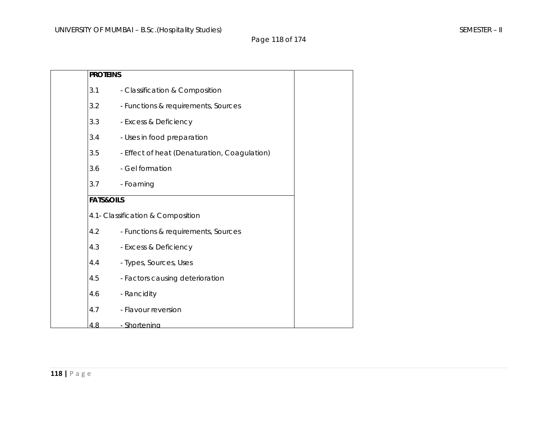| <b>PROTEINS</b>      |                                              |  |
|----------------------|----------------------------------------------|--|
| 3.1                  | - Classification & Composition               |  |
| 3.2                  | - Functions & requirements, Sources          |  |
| 3.3                  | - Excess & Deficiency                        |  |
| 3.4                  | - Uses in food preparation                   |  |
| 3.5                  | - Effect of heat (Denaturation, Coagulation) |  |
| 3.6                  | - Gel formation                              |  |
| 3.7                  | - Foaming                                    |  |
| <b>FATS&amp;OILS</b> |                                              |  |
|                      | 4.1- Classification & Composition            |  |
| 4.2                  | - Functions & requirements, Sources          |  |
| 4.3                  | - Excess & Deficiency                        |  |
| 4.4                  | - Types, Sources, Uses                       |  |
| 4.5                  | - Factors causing deterioration              |  |
| 4.6                  | - Rancidity                                  |  |
| 4.7                  | - Flavour reversion                          |  |
| 4.8                  | - Shortenina                                 |  |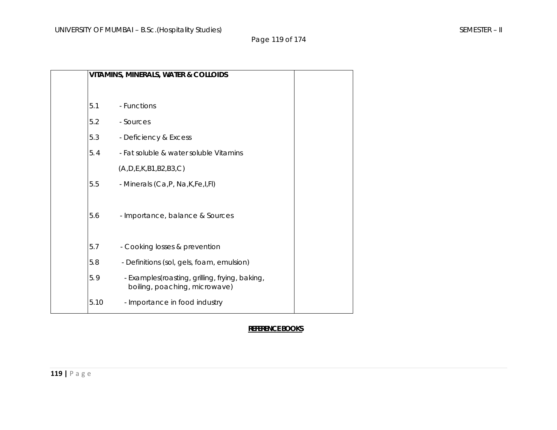Page 119 of 174

|      | <b>VITAMINS, MINERALS, WATER &amp; COLLOIDS</b>                                 |  |
|------|---------------------------------------------------------------------------------|--|
|      |                                                                                 |  |
| 5.1  | - Functions                                                                     |  |
| 5.2  | - Sources                                                                       |  |
| 5.3  | - Deficiency & Excess                                                           |  |
| 5.4  | - Fat soluble & water soluble Vitamins                                          |  |
|      | (A, D, E, K, B1, B2, B3, C)                                                     |  |
| 5.5  | - Minerals (Ca, P, Na, K, Fe, I, FI)                                            |  |
| 5.6  | - Importance, balance & Sources                                                 |  |
| 5.7  | - Cooking losses & prevention                                                   |  |
| 5.8  | - Definitions (sol, gels, foam, emulsion)                                       |  |
| 5.9  | - Examples(roasting, grilling, frying, baking,<br>boiling, poaching, microwave) |  |
| 5.10 | - Importance in food industry                                                   |  |
|      |                                                                                 |  |

# **REFERENCE BOOKS**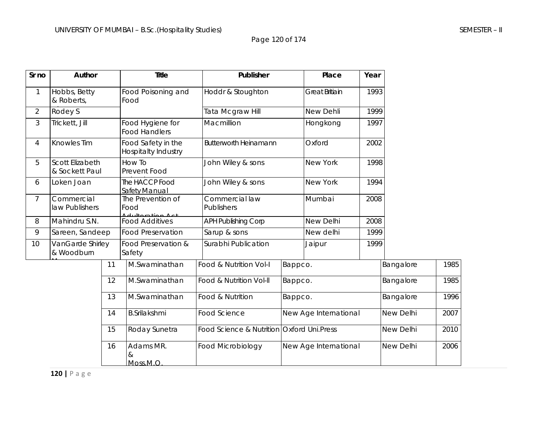Page 120 of 174

| Sr no           | Author                            |    | <b>Title</b>                              | Publisher                                  |         | Place                 | Year |           |      |
|-----------------|-----------------------------------|----|-------------------------------------------|--------------------------------------------|---------|-----------------------|------|-----------|------|
| 1               | Hobbs, Betty<br>& Roberts,        |    | Food Poisoning and<br>Food                | Hoddr & Stoughton                          |         | <b>Great Britiain</b> | 1993 |           |      |
| $\overline{2}$  | Rodey S                           |    |                                           | Tata Mcgraw Hill                           |         | New Dehli             | 1999 |           |      |
| $\mathfrak{Z}$  | Trickett, Jill                    |    | Food Hygiene for<br><b>Food Handlers</b>  | Macmillion                                 |         | Hongkong              | 1997 |           |      |
| 4               | Knowles Tim                       |    | Food Safety in the<br>Hospitalty Industry | <b>Butterworth Heinamann</b>               |         | Oxford                | 2002 |           |      |
| 5               | Scott Elizabeth<br>& Sockett Paul |    | How To<br>Prevent Food                    | John Wiley & sons                          |         | New York              | 1998 |           |      |
| 6               | Loken Joan                        |    | The HACCP Food<br>Safety Manual           | John Wiley & sons                          |         | New York              | 1994 |           |      |
| $7\overline{ }$ | Commercial<br>law Publishers      |    | The Prevention of<br>Food                 | Commercial law<br>Publishers               |         | Mumbai                | 2008 |           |      |
| 8               | Mahindru S.N.                     |    | <b>Food Additives</b>                     | <b>APH Publishing Corp</b>                 |         | New Delhi             | 2008 |           |      |
| 9               | Sareen, Sandeep                   |    | <b>Food Preservation</b>                  | Sarup & sons                               |         | New delhi             | 1999 |           |      |
| 10 <sup>°</sup> | VanGarde Shirley<br>& Woodburn    |    | Food Preservation &<br>Safety             | Surabhi Publication                        |         | Jaipur                | 1999 |           |      |
|                 |                                   | 11 | M.Swaminathan                             | Food & Nutrition Vol-I                     | Bappco. |                       |      | Bangalore | 1985 |
|                 |                                   | 12 | M.Swaminathan                             | Food & Nutrition Vol-II                    | Bappco. |                       |      | Bangalore | 1985 |
|                 |                                   | 13 | M.Swaminathan                             | Food & Nutrition                           | Bappco. |                       |      | Bangalore | 1996 |
|                 |                                   |    | <b>B.Srilakshmi</b>                       | Food Science                               |         | New Age International |      | New Delhi | 2007 |
|                 |                                   | 15 | Roday Sunetra                             | Food Science & Nutrition Oxford Uni. Press |         |                       |      | New Delhi | 2010 |
|                 |                                   | 16 | Adams MR.<br>&<br>Moss.M.O                | Food Microbiology                          |         | New Age International |      | New Delhi | 2006 |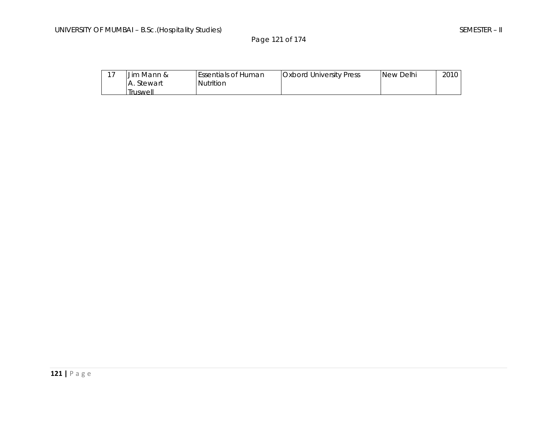Page 121 of 174

| 1 <sub>7</sub> | Jim Mann &        | <b>IEssentials of Human</b> | <b>Oxbord University Press</b> | New Delhi | 2010 |
|----------------|-------------------|-----------------------------|--------------------------------|-----------|------|
|                | <b>A.</b> Stewart | Nutrition                   |                                |           |      |
|                | Truswell          |                             |                                |           |      |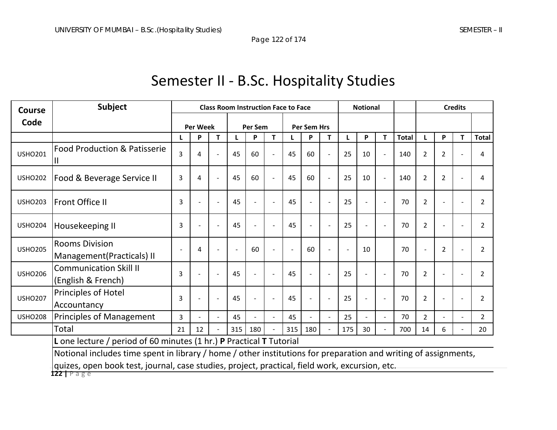# Semester II ‐ B.Sc. Hospitality Studies

| <b>Course</b>  | <b>Subject</b>                                                                                                  | <b>Class Room Instruction Face to Face</b> |                 |                | <b>Notional</b> |         |                |     |                      | <b>Credits</b> |     |    |                          |              |                |                |   |                |
|----------------|-----------------------------------------------------------------------------------------------------------------|--------------------------------------------|-----------------|----------------|-----------------|---------|----------------|-----|----------------------|----------------|-----|----|--------------------------|--------------|----------------|----------------|---|----------------|
| Code           |                                                                                                                 |                                            | <b>Per Week</b> |                |                 | Per Sem |                |     | Per Sem Hrs          |                |     |    |                          |              |                |                |   |                |
|                |                                                                                                                 |                                            | P               | T.             |                 | P       | T.             |     | P                    | T              | L   | P  | т                        | <b>Total</b> |                | P              | Т | <b>Total</b>   |
| <b>USHO201</b> | <b>Food Production &amp; Patisserie</b>                                                                         | $\overline{3}$                             | 4               |                | 45              | 60      | $\blacksquare$ | 45  | 60                   |                | 25  | 10 | $\overline{\phantom{a}}$ | 140          | $\overline{2}$ | 2              |   | 4              |
| <b>USHO202</b> | Food & Beverage Service II                                                                                      | 3                                          | 4               |                | 45              | 60      | $\blacksquare$ | 45  | 60                   |                | 25  | 10 |                          | 140          | 2              | 2              |   | 4              |
| <b>USHO203</b> | Front Office II                                                                                                 | 3                                          |                 |                | 45              |         | $\sim$         | 45  |                      |                | 25  |    |                          | 70           | $\overline{2}$ |                |   | $\overline{2}$ |
| <b>USHO204</b> | Housekeeping II                                                                                                 | 3                                          |                 |                | 45              |         | $\blacksquare$ | 45  | $\blacksquare$       | $\sim$         | 25  |    | $\blacksquare$           | 70           | $\overline{2}$ |                |   | $\overline{2}$ |
| <b>USHO205</b> | <b>Rooms Division</b><br>Management (Practicals) II                                                             |                                            | 4               |                |                 | 60      |                |     | 60                   |                |     | 10 |                          | 70           |                | $\overline{2}$ |   | $\overline{2}$ |
| <b>USHO206</b> | <b>Communication Skill II</b><br>(English & French)                                                             | 3                                          |                 |                | 45              |         | $\blacksquare$ | 45  |                      |                | 25  |    |                          | 70           | $\overline{2}$ |                |   | $\overline{2}$ |
| <b>USHO207</b> | Principles of Hotel<br>Accountancy                                                                              | 3                                          |                 |                | 45              |         | $\blacksquare$ | 45  | $\ddot{\phantom{1}}$ |                | 25  |    | ÷                        | 70           | $\overline{2}$ |                |   | $\overline{2}$ |
| <b>USHO208</b> | <b>Principles of Management</b>                                                                                 | 3                                          |                 | $\blacksquare$ | 45              |         | $\blacksquare$ | 45  | $\mathbf{r}$         | $\blacksquare$ | 25  |    |                          | 70           | $\overline{2}$ |                |   | $\overline{2}$ |
|                | Total                                                                                                           | 21                                         | 12              |                | 315             | 180     |                | 315 | 180                  |                | 175 | 30 |                          | 700          | 14             | 6              |   | 20             |
|                | <b>L</b> one lecture / period of 60 minutes (1 hr.) <b>P</b> Practical <b>T</b> Tutorial                        |                                            |                 |                |                 |         |                |     |                      |                |     |    |                          |              |                |                |   |                |
|                | Notional includes time spent in library / home / other institutions for preparation and writing of assignments, |                                            |                 |                |                 |         |                |     |                      |                |     |    |                          |              |                |                |   |                |
|                | quizes, open book test, journal, case studies, project, practical, field work, excursion, etc.                  |                                            |                 |                |                 |         |                |     |                      |                |     |    |                          |              |                |                |   |                |

**122 |** Page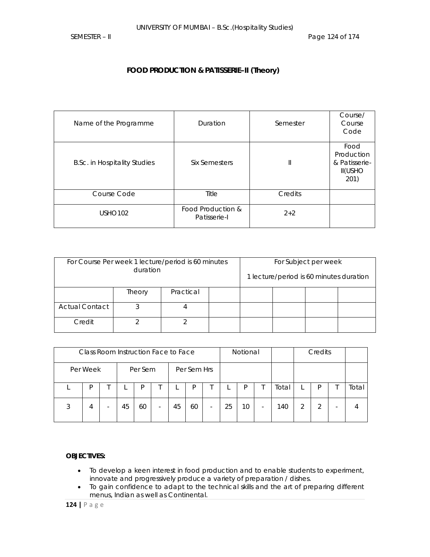# **FOOD PRODUCTION & PATISSERIE–II (Theory)**

| Name of the Programme               | Duration                          | Semester | Course/<br>Course<br>Code                                     |
|-------------------------------------|-----------------------------------|----------|---------------------------------------------------------------|
| <b>B.Sc. in Hospitality Studies</b> | Six Semesters                     | Ш        | Food<br>Production<br>& Patisserie-<br><b>II(USHO</b><br>201) |
| Course Code                         | Title                             | Credits  |                                                               |
| USHO <sub>102</sub>                 | Food Production &<br>Patisserie-I | $2 + 2$  |                                                               |

|                       | duration | For Course Per week 1 lecture/period is 60 minutes |  | For Subject per week                    |  |
|-----------------------|----------|----------------------------------------------------|--|-----------------------------------------|--|
|                       |          |                                                    |  | 1 lecture/period is 60 minutes duration |  |
|                       | Theory   | Practical                                          |  |                                         |  |
| <b>Actual Contact</b> |          | 4                                                  |  |                                         |  |
| Credit                |          |                                                    |  |                                         |  |

|   |          |    | Credits<br>Notional<br>Class Room Instruction Face to Face |                          |    |             |   |    |    |   |       |   |  |       |
|---|----------|----|------------------------------------------------------------|--------------------------|----|-------------|---|----|----|---|-------|---|--|-------|
|   | Per Week |    | Per Sem                                                    |                          |    | Per Sem Hrs |   |    |    |   |       |   |  |       |
|   | D        |    | D                                                          |                          |    | D           |   |    | P  |   | Total |   |  | Total |
| 3 | 4        | 45 | 60                                                         | $\overline{\phantom{0}}$ | 45 | 60          | - | 25 | 10 | - | 140   | 2 |  |       |

### **OBJECTIVES:**

- To develop a keen interest in food production and to enable students to experiment, innovate and progressively produce a variety of preparation / dishes.
- To gain confidence to adapt to the technical skills and the art of preparing different menus, Indian as well as Continental.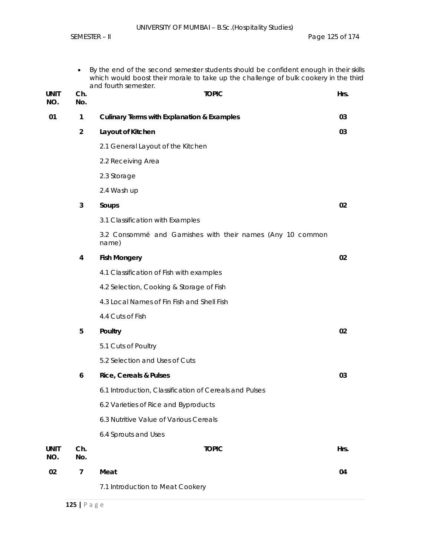|                    | ٠              | By the end of the second semester students should be confident enough in their skills<br>which would boost their morale to take up the challenge of bulk cookery in the third<br>and fourth semester. |      |
|--------------------|----------------|-------------------------------------------------------------------------------------------------------------------------------------------------------------------------------------------------------|------|
| <b>UNIT</b><br>NO. | Ch.<br>No.     | <b>TOPIC</b>                                                                                                                                                                                          | Hrs. |
| 01                 | $\mathbf{1}$   | <b>Culinary Terms with Explanation &amp; Examples</b>                                                                                                                                                 | 03   |
|                    | $\overline{2}$ | Layout of Kitchen                                                                                                                                                                                     | 03   |
|                    |                | 2.1 General Layout of the Kitchen                                                                                                                                                                     |      |
|                    |                | 2.2 Receiving Area                                                                                                                                                                                    |      |
|                    |                | 2.3 Storage                                                                                                                                                                                           |      |
|                    |                | 2.4 Wash up                                                                                                                                                                                           |      |
|                    | 3              | Soups                                                                                                                                                                                                 | 02   |
|                    |                | 3.1 Classification with Examples                                                                                                                                                                      |      |
|                    |                | 3.2 Consommé and Garnishes with their names (Any 10 common<br>name)                                                                                                                                   |      |
|                    | 4              | <b>Fish Mongery</b>                                                                                                                                                                                   | 02   |
|                    |                | 4.1 Classification of Fish with examples                                                                                                                                                              |      |
|                    |                | 4.2 Selection, Cooking & Storage of Fish                                                                                                                                                              |      |
|                    |                | 4.3 Local Names of Fin Fish and Shell Fish                                                                                                                                                            |      |
|                    |                | 4.4 Cuts of Fish                                                                                                                                                                                      |      |
|                    | 5              | Poultry                                                                                                                                                                                               | 02   |
|                    |                | 5.1 Cuts of Poultry                                                                                                                                                                                   |      |
|                    |                | 5.2 Selection and Uses of Cuts                                                                                                                                                                        |      |
|                    | 6              | Rice, Cereals & Pulses                                                                                                                                                                                | 03   |
|                    |                | 6.1 Introduction, Classification of Cereals and Pulses                                                                                                                                                |      |
|                    |                | 6.2 Varieties of Rice and Byproducts                                                                                                                                                                  |      |
|                    |                | 6.3 Nutritive Value of Various Cereals                                                                                                                                                                |      |
|                    |                | 6.4 Sprouts and Uses                                                                                                                                                                                  |      |
| <b>UNIT</b><br>NO. | Ch.<br>No.     | <b>TOPIC</b>                                                                                                                                                                                          | Hrs. |
| 02                 | $\overline{7}$ | Meat                                                                                                                                                                                                  | 04   |
|                    |                | 7.1 Introduction to Meat Cookery                                                                                                                                                                      |      |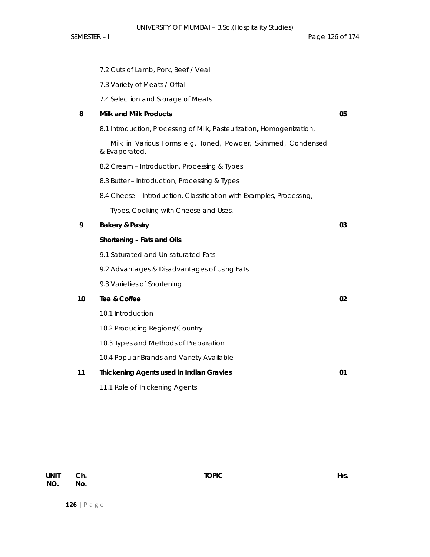7.2 Cuts of Lamb, Pork, Beef / Veal

|    | 7.3 Variety of Meats / Offal                                                  |    |
|----|-------------------------------------------------------------------------------|----|
|    | 7.4 Selection and Storage of Meats                                            |    |
| 8  | <b>Milk and Milk Products</b>                                                 | 05 |
|    | 8.1 Introduction, Processing of Milk, Pasteurization, Homogenization,         |    |
|    | Milk in Various Forms e.g. Toned, Powder, Skimmed, Condensed<br>& Evaporated. |    |
|    | 8.2 Cream - Introduction, Processing & Types                                  |    |
|    | 8.3 Butter - Introduction, Processing & Types                                 |    |
|    | 8.4 Cheese - Introduction, Classification with Examples, Processing,          |    |
|    | Types, Cooking with Cheese and Uses.                                          |    |
| 9  | <b>Bakery &amp; Pastry</b>                                                    | 03 |
|    | Shortening - Fats and Oils                                                    |    |
|    | 9.1 Saturated and Un-saturated Fats                                           |    |
|    | 9.2 Advantages & Disadvantages of Using Fats                                  |    |
|    | 9.3 Varieties of Shortening                                                   |    |
| 10 | Tea & Coffee                                                                  | 02 |
|    | 10.1 Introduction                                                             |    |
|    | 10.2 Producing Regions/Country                                                |    |
|    | 10.3 Types and Methods of Preparation                                         |    |
|    | 10.4 Popular Brands and Variety Available                                     |    |
| 11 | Thickening Agents used in Indian Gravies                                      | 01 |
|    | 11.1 Role of Thickening Agents                                                |    |

| UNIT Ch. |     | <b>TOPIC</b> | Hrs. |
|----------|-----|--------------|------|
| NO.      | No. |              |      |
|          |     |              |      |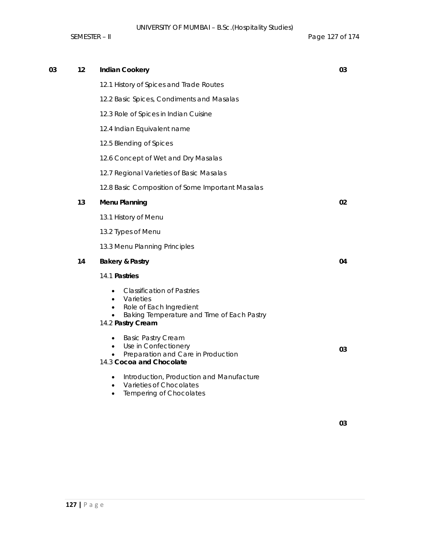| 03 | 12 | <b>Indian Cookery</b>                                                                                                                        | 03 |
|----|----|----------------------------------------------------------------------------------------------------------------------------------------------|----|
|    |    | 12.1 History of Spices and Trade Routes                                                                                                      |    |
|    |    | 12.2 Basic Spices, Condiments and Masalas                                                                                                    |    |
|    |    | 12.3 Role of Spices in Indian Cuisine                                                                                                        |    |
|    |    | 12.4 Indian Equivalent name                                                                                                                  |    |
|    |    | 12.5 Blending of Spices                                                                                                                      |    |
|    |    | 12.6 Concept of Wet and Dry Masalas                                                                                                          |    |
|    |    | 12.7 Regional Varieties of Basic Masalas                                                                                                     |    |
|    |    | 12.8 Basic Composition of Some Important Masalas                                                                                             |    |
|    | 13 | <b>Menu Planning</b>                                                                                                                         | 02 |
|    |    | 13.1 History of Menu                                                                                                                         |    |
|    |    | 13.2 Types of Menu                                                                                                                           |    |
|    |    | 13.3 Menu Planning Principles                                                                                                                |    |
|    | 14 | <b>Bakery &amp; Pastry</b>                                                                                                                   | 04 |
|    |    | 14.1 Pastries                                                                                                                                |    |
|    |    | <b>Classification of Pastries</b><br>Varieties<br>Role of Each Ingredient<br>Baking Temperature and Time of Each Pastry<br>14.2 Pastry Cream |    |
|    |    | <b>Basic Pastry Cream</b><br>Use in Confectionery<br>$\bullet$<br>Preparation and Care in Production<br>14.3 Cocoa and Chocolate             | 03 |
|    |    | Introduction, Production and Manufacture<br>$\bullet$<br>Varieties of Chocolates<br>Tempering of Chocolates                                  |    |
|    |    |                                                                                                                                              |    |

**03**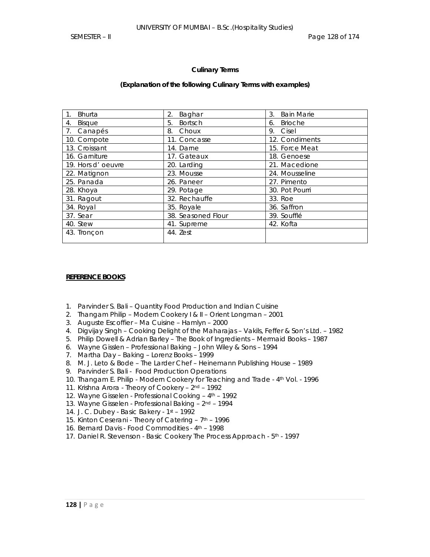#### **Culinary Terms**

#### **(Explanation of the following Culinary Terms with examples)**

| 1 <sub>1</sub><br><b>Bhurta</b> | 2.<br>Baghar         | 3.<br><b>Bain Marie</b> |
|---------------------------------|----------------------|-------------------------|
| Bisque<br>4.                    | 5.<br><b>Bortsch</b> | <b>Brioche</b><br>6.    |
| 7. Canapés                      | 8. Choux             | 9. Cisel                |
| 10. Compote                     | 11. Concasse         | 12. Condiments          |
| 13. Croissant                   | 14. Darne            | 15. Force Meat          |
| 16. Garniture                   | 17. Gateaux          | 18. Genoese             |
| 19. Hors d'oeuvre               | 20. Larding          | 21. Macedione           |
| 22. Matignon                    | 23. Mousse           | 24. Mousseline          |
| 25. Panada                      | 26. Paneer           | 27. Pimento             |
| 28. Khoya                       | 29. Potage           | 30. Pot Pourri          |
| 31. Ragout                      | 32. Rechauffe        | 33. Roe                 |
| 34. Royal                       | 35. Royale           | 36. Saffron             |
| 37. Sear                        | 38. Seasoned Flour   | 39. Soufflé             |
| 40. Stew                        | 41. Supreme          | 42. Kofta               |
| 43. Tronçon                     | 44. Zest             |                         |

#### **REFERENCE BOOKS**

- 1. Parvinder S. Bali Quantity Food Production and Indian Cuisine
- 2. Thangam Philip Modern Cookery I & II Orient Longman 2001
- 3. Auguste Escoffier Ma Cuisine Hamlyn 2000
- 4. Digvijay Singh Cooking Delight of the Maharajas Vakils, Feffer & Son's Ltd. 1982
- 5. Philip Dowell & Adrian Barley The Book of Ingredients Mermaid Books 1987
- 6. Wayne Gisslen Professional Baking John Wiley & Sons 1994
- 7. Martha Day Baking Lorenz Books 1999
- 8. M. J. Leto & Bode The Larder Chef Heinemann Publishing House 1989
- 9. Parvinder S. Bali Food Production Operations
- 10. Thangam E. Philip Modern Cookery for Teaching and Trade 4th Vol. 1996
- 11. Krishna Arora Theory of Cookery 2nd 1992
- 12. Wayne Gisselen Professional Cooking 4th 1992
- 13. Wayne Gisselen Professional Baking 2nd 1994
- 14. J. C. Dubey Basic Bakery 1st 1992
- 15. Kinton Ceserani Theory of Catering 7<sup>th</sup> 1996
- 16. Bernard Davis Food Commodities 4<sup>th</sup> 1998
- 17. Daniel R. Stevenson Basic Cookery The Process Approach 5th 1997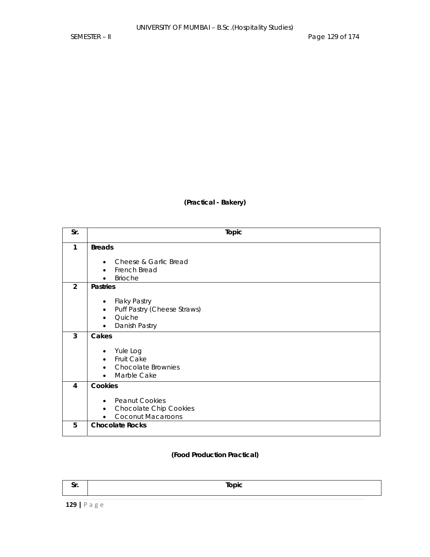**(Practical - Bakery)** 

| Sr.            | Topic                                      |
|----------------|--------------------------------------------|
|                |                                            |
| $\mathbf{1}$   | <b>Breads</b>                              |
|                |                                            |
|                | Cheese & Garlic Bread<br>$\bullet$         |
|                | French Bread<br>$\bullet$                  |
|                | <b>Brioche</b>                             |
| $\overline{2}$ | <b>Pastries</b>                            |
|                |                                            |
|                | <b>Flaky Pastry</b><br>$\bullet$           |
|                | Puff Pastry (Cheese Straws)<br>$\bullet$   |
|                | Quiche<br>$\bullet$                        |
|                | Danish Pastry<br>$\bullet$                 |
| 3              | Cakes                                      |
|                |                                            |
|                | Yule Log                                   |
|                | Fruit Cake<br>$\bullet$                    |
|                | <b>Chocolate Brownies</b><br>$\bullet$     |
|                | Marble Cake<br>$\bullet$                   |
| 4              | Cookies                                    |
|                |                                            |
|                | <b>Peanut Cookies</b><br>$\bullet$         |
|                | <b>Chocolate Chip Cookies</b><br>$\bullet$ |
|                | <b>Coconut Macaroons</b><br>$\bullet$      |
| 5              | <b>Chocolate Rocks</b>                     |
|                |                                            |

# **(Food Production Practical)**

| - - -<br>ູ | $\mathsf{Topic}$ |
|------------|------------------|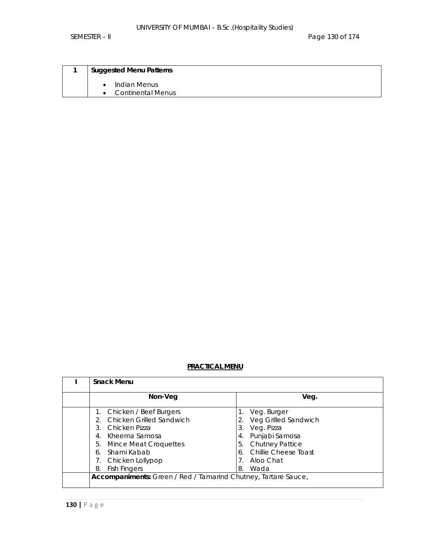SEMESTER – II Page 130 of 174

| <b>Suggested Menu Patterns</b>           |
|------------------------------------------|
| Indian Menus<br><b>Continental Menus</b> |

# **PRACTICAL MENU**

| <b>Snack Menu</b>                                              |                         |  |  |  |  |
|----------------------------------------------------------------|-------------------------|--|--|--|--|
| Non-Veg                                                        | Veg.                    |  |  |  |  |
| 1. Chicken / Beef Burgers                                      | Veg. Burger             |  |  |  |  |
| Chicken Grilled Sandwich                                       | Veg Grilled Sandwich    |  |  |  |  |
| Chicken Pizza<br>3.                                            | 3.<br>Veg. Pizza        |  |  |  |  |
| Kheema Samosa<br>4.                                            | Punjabi Samosa<br>4.    |  |  |  |  |
| 5.<br><b>Mince Meat Croquettes</b>                             | 5. Chutney Pattice      |  |  |  |  |
| Shami Kabab<br>6.                                              | 6. Chillie Cheese Toast |  |  |  |  |
| Chicken Lollypop                                               | Aloo Chat               |  |  |  |  |
| <b>Fish Fingers</b><br>8.                                      | Wada<br>8.              |  |  |  |  |
| Accompaniments: Green / Red / Tamarind Chutney, Tartare Sauce, |                         |  |  |  |  |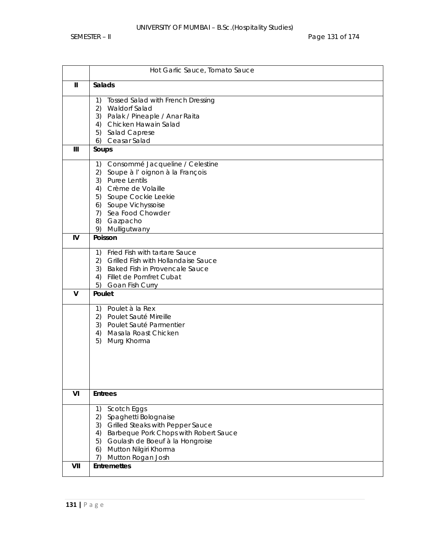|              | Hot Garlic Sauce, Tomato Sauce                 |  |  |  |  |
|--------------|------------------------------------------------|--|--|--|--|
| $\mathbf{I}$ | Salads                                         |  |  |  |  |
|              | <b>Tossed Salad with French Dressing</b><br>1) |  |  |  |  |
|              | 2) Waldorf Salad                               |  |  |  |  |
|              | 3) Palak / Pineaple / Anar Raita               |  |  |  |  |
|              | 4) Chicken Hawain Salad                        |  |  |  |  |
|              | 5) Salad Caprese<br>6) Ceasar Salad            |  |  |  |  |
| III          | Soups                                          |  |  |  |  |
|              |                                                |  |  |  |  |
|              | Consommé Jacqueline / Celestine<br>1)          |  |  |  |  |
|              | Soupe à l'oignon à la François<br>2)           |  |  |  |  |
|              | 3) Puree Lentils<br>4) Crème de Volaille       |  |  |  |  |
|              | 5) Soupe Cockie Leekie                         |  |  |  |  |
|              | 6) Soupe Vichyssoise                           |  |  |  |  |
|              | 7) Sea Food Chowder                            |  |  |  |  |
|              | 8) Gazpacho                                    |  |  |  |  |
|              | 9) Mulligutwany                                |  |  |  |  |
| IV           | Poisson                                        |  |  |  |  |
|              | 1) Fried Fish with tartare Sauce               |  |  |  |  |
|              | 2) Grilled Fish with Hollandaise Sauce         |  |  |  |  |
|              | 3) Baked Fish in Provencale Sauce              |  |  |  |  |
|              | 4) Fillet de Pomfret Cubat                     |  |  |  |  |
|              | 5)<br>Goan Fish Curry                          |  |  |  |  |
| $\mathsf{V}$ | Poulet                                         |  |  |  |  |
|              | Poulet à la Rex<br>1)                          |  |  |  |  |
|              | 2) Poulet Sauté Mireille                       |  |  |  |  |
|              | 3) Poulet Sauté Parmentier                     |  |  |  |  |
|              | 4)<br>Masala Roast Chicken                     |  |  |  |  |
|              | 5)<br>Murg Khorma                              |  |  |  |  |
|              |                                                |  |  |  |  |
|              |                                                |  |  |  |  |
|              |                                                |  |  |  |  |
|              |                                                |  |  |  |  |
| VI           | <b>Entrees</b>                                 |  |  |  |  |
|              | Scotch Eggs<br>1)                              |  |  |  |  |
|              | 2)<br>Spaghetti Bolognaise                     |  |  |  |  |
|              | 3) Grilled Steaks with Pepper Sauce            |  |  |  |  |
|              | 4) Barbeque Pork Chops with Robert Sauce       |  |  |  |  |
|              | 5) Goulash de Boeuf à la Hongroise             |  |  |  |  |
|              | 6) Mutton Nilgiri Khorma                       |  |  |  |  |
|              | Mutton Rogan Josh<br>7)                        |  |  |  |  |
| VII          | <b>Entremettes</b>                             |  |  |  |  |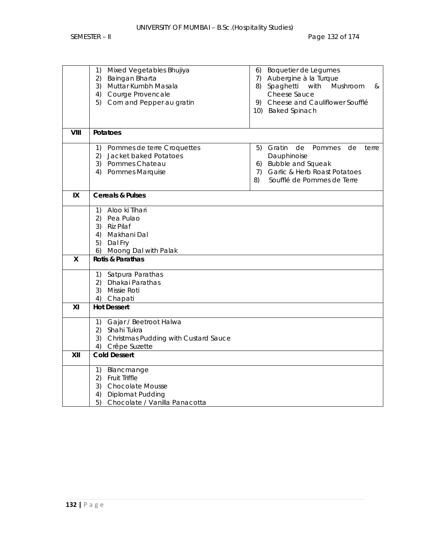|              | Mixed Vegetables Bhujiya<br>1)<br>2)<br>Baingan Bharta<br>3) Muttar Kumbh Masala<br>4) Courge Provencale<br>Corn and Pepper au gratin<br>5) | Boquetier de Legumes<br>6)<br>Aubergine à la Turque<br>7)<br>Spaghetti with Mushroom<br>8)<br>&<br>Cheese Sauce<br>Cheese and Cauliflower Soufflé<br>9)      |
|--------------|---------------------------------------------------------------------------------------------------------------------------------------------|--------------------------------------------------------------------------------------------------------------------------------------------------------------|
|              |                                                                                                                                             | 10) Baked Spinach                                                                                                                                            |
| VIII         | Potatoes                                                                                                                                    |                                                                                                                                                              |
|              | 1)<br>Pommes de terre Croquettes<br>(2)<br>Jacket baked Potatoes<br>3) Pommes Chateau<br>4) Pommes Marquise                                 | Gratin<br>5)<br>de<br>Pommes<br>de<br>terre<br>Dauphinoise<br>6) Bubble and Squeak<br>Garlic & Herb Roast Potatoes<br>7)<br>Soufflé de Pommes de Terre<br>8) |
| IX           | <b>Cereals &amp; Pulses</b>                                                                                                                 |                                                                                                                                                              |
|              | 1) Aloo ki Tihari<br>2) Pea Pulao<br>3) Riz Pilaf<br>4) Makhani Dal<br>5)<br>Dal Fry<br>6) Moong Dal with Palak                             |                                                                                                                                                              |
| $\mathsf{x}$ | Rotis & Parathas                                                                                                                            |                                                                                                                                                              |
|              | 1) Satpura Parathas<br>2) Dhakai Parathas<br>3)<br>Missie Roti<br>Chapati<br>4)                                                             |                                                                                                                                                              |
| XI           | <b>Hot Dessert</b>                                                                                                                          |                                                                                                                                                              |
|              | 1) Gajar / Beetroot Halwa<br>2) Shahi Tukra<br>3) Christmas Pudding with Custard Sauce<br>4) Crêpe Suzette                                  |                                                                                                                                                              |
| XII          | <b>Cold Dessert</b>                                                                                                                         |                                                                                                                                                              |
|              | Blancmange<br>1)<br>Fruit Triffle<br>2)<br>3)<br><b>Chocolate Mousse</b><br>Diplomat Pudding<br>4)<br>5)<br>Chocolate / Vanilla Panacotta   |                                                                                                                                                              |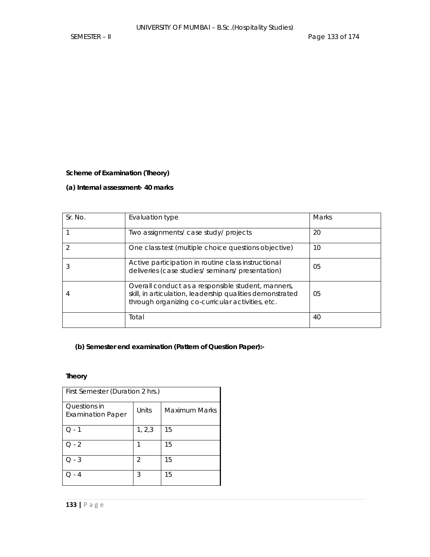### **Scheme of Examination (Theory)**

### **(a) Internal assessment- 40 marks**

| Sr. No. | Evaluation type                                                                                                                                                      | Marks |
|---------|----------------------------------------------------------------------------------------------------------------------------------------------------------------------|-------|
|         | Two assignments/ case study/ projects                                                                                                                                | 20    |
|         | One class test (multiple choice questions objective)                                                                                                                 | 10    |
|         | Active participation in routine class instructional<br>deliveries (case studies/ seminars/ presentation)                                                             | 05    |
|         | Overall conduct as a responsible student, manners,<br>skill, in articulation, leadership qualities demonstrated<br>through organizing co-curricular activities, etc. | 05    |
|         | Total                                                                                                                                                                | 40    |

# **(b) Semester end examination (Pattern of Question Paper):-**

# **Theory**

| First Semester (Duration 2 hrs.)         |         |               |  |  |  |
|------------------------------------------|---------|---------------|--|--|--|
| Questions in<br><b>Examination Paper</b> | Units   | Maximum Marks |  |  |  |
| - 1                                      | 1, 2, 3 | 15            |  |  |  |
| $Q - 2$                                  |         | 15            |  |  |  |
| $Q - 3$                                  | 2       | 15            |  |  |  |
| 4                                        | 3       | 15            |  |  |  |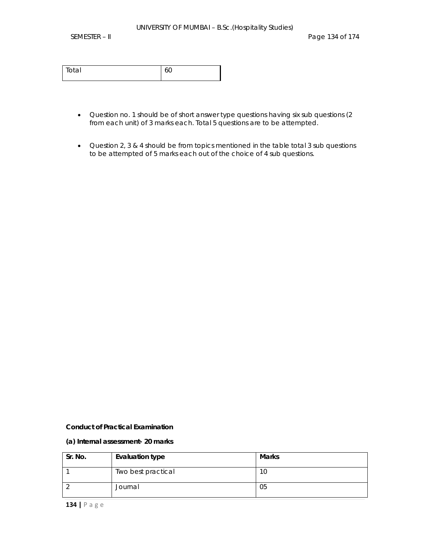| ั∩tal<br>$\sim$ |  |
|-----------------|--|
|                 |  |

- Question no. 1 should be of short answer type questions having six sub questions (2 from each unit) of 3 marks each. Total 5 questions are to be attempted.
- Question 2, 3 & 4 should be from topics mentioned in the table total 3 sub questions to be attempted of 5 marks each out of the choice of 4 sub questions.

#### **Conduct of Practical Examination**

#### **(a) Internal assessment- 20 marks**

| Sr. No. | <b>Evaluation type</b> | <b>Marks</b> |
|---------|------------------------|--------------|
|         | Two best practical     | 1C           |
|         | Journal                | 05           |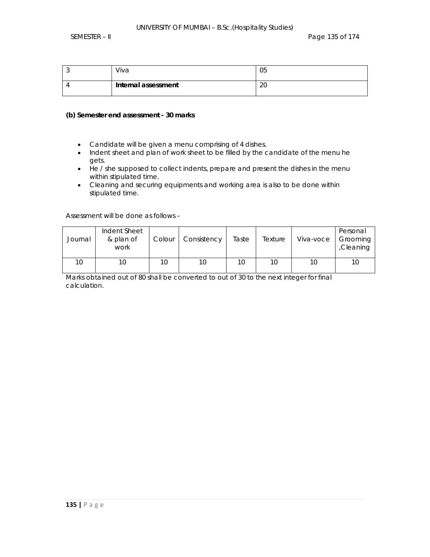| Viva                | 05       |
|---------------------|----------|
| Internal assessment | ിറ<br>∠∪ |

#### **(b) Semester end assessment - 30 marks**

- Candidate will be given a menu comprising of 4 dishes.
- Indent sheet and plan of work sheet to be filled by the candidate of the menu he gets.
- He / she supposed to collect indents, prepare and present the dishes in the menu within stipulated time.
- Cleaning and securing equipments and working area is also to be done within stipulated time.

Assessment will be done as follows –

| Journal | Indent Sheet<br>& plan of<br>work | Colour | Consistency | Taste | Texture | Viva-voce | Personal<br>Grooming<br>Cleaning |
|---------|-----------------------------------|--------|-------------|-------|---------|-----------|----------------------------------|
| 10      | 10                                | 10     | 10          | 10    | 10      | 10        |                                  |

Marks obtained out of 80 shall be converted to out of 30 to the next integer for final calculation.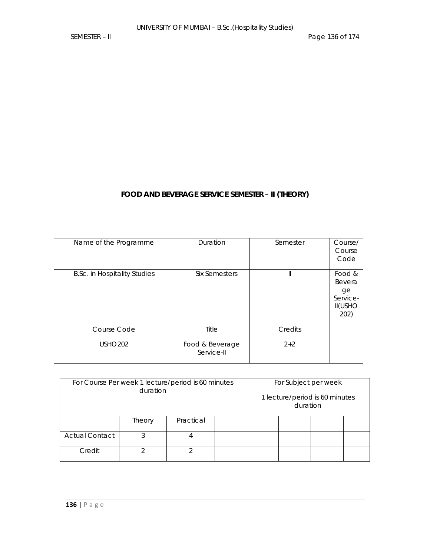# **FOOD AND BEVERAGE SERVICE SEMESTER – II (THEORY)**

| Name of the Programme               | Duration                      | Semester     | Course/<br>Course<br>Code                                    |
|-------------------------------------|-------------------------------|--------------|--------------------------------------------------------------|
| <b>B.Sc. in Hospitality Studies</b> | Six Semesters                 | $\mathbb{I}$ | Food &<br>Bevera<br>ge<br>Service-<br><b>II(USHO</b><br>202) |
| Course Code                         | Title                         | Credits      |                                                              |
| <b>USHO202</b>                      | Food & Beverage<br>Service-II | $2 + 2$      |                                                              |

| For Course Per week 1 lecture/period is 60 minutes<br>duration |   |  | For Subject per week<br>1 lecture/period is 60 minutes<br>duration |  |  |  |  |
|----------------------------------------------------------------|---|--|--------------------------------------------------------------------|--|--|--|--|
| Practical<br>Theory                                            |   |  |                                                                    |  |  |  |  |
| <b>Actual Contact</b>                                          | 3 |  |                                                                    |  |  |  |  |
| ↷<br>⌒<br>Credit                                               |   |  |                                                                    |  |  |  |  |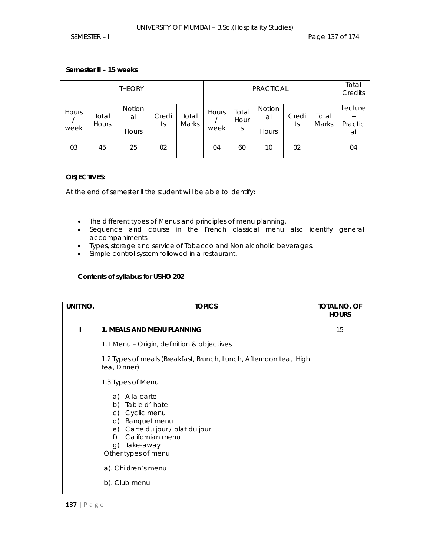# **Semester II – 15 weeks**

| <b>THEORY</b> |                |                       | <b>PRACTICAL</b> |                |               |                    | Total<br>Credits      |             |                       |                                    |
|---------------|----------------|-----------------------|------------------|----------------|---------------|--------------------|-----------------------|-------------|-----------------------|------------------------------------|
| Hours<br>week | Total<br>Hours | Notion<br>al<br>Hours | Credi<br>ts      | Total<br>Marks | Hours<br>week | Total<br>Hour<br>S | Notion<br>al<br>Hours | Credi<br>ts | Total<br><b>Marks</b> | Lecture<br>$^{+}$<br>Practic<br>al |
| 03            | 45             | 25                    | 02               |                | 04            | 60                 | 10                    | 02          |                       | 04                                 |

### **OBJECTIVES:**

At the end of semester II the student will be able to identify:

- The different types of Menus and principles of menu planning.
- Sequence and course in the French classical menu also identify general accompaniments.
- Types, storage and service of Tobacco and Non alcoholic beverages.
- Simple control system followed in a restaurant.

# **Contents of syllabus for USHO 202**

| UNIT NO. | <b>TOPICS</b>                                                                                                                                                                      | <b>TOTAL NO. OF</b><br><b>HOURS</b> |
|----------|------------------------------------------------------------------------------------------------------------------------------------------------------------------------------------|-------------------------------------|
|          | 1. MEALS AND MENU PLANNING                                                                                                                                                         | 15                                  |
|          | 1.1 Menu - Origin, definition & objectives                                                                                                                                         |                                     |
|          | 1.2 Types of meals (Breakfast, Brunch, Lunch, Afternoon tea, High<br>tea, Dinner)                                                                                                  |                                     |
|          | 1.3 Types of Menu                                                                                                                                                                  |                                     |
|          | A la carte<br>a)<br>b) Table d'hote<br>c) Cyclic menu<br>d)<br>Banquet menu<br>e) Carte du jour / plat du jour<br>Californian menu<br>f)<br>Take-away<br>q)<br>Other types of menu |                                     |
|          | a). Children's menu<br>b). Club menu                                                                                                                                               |                                     |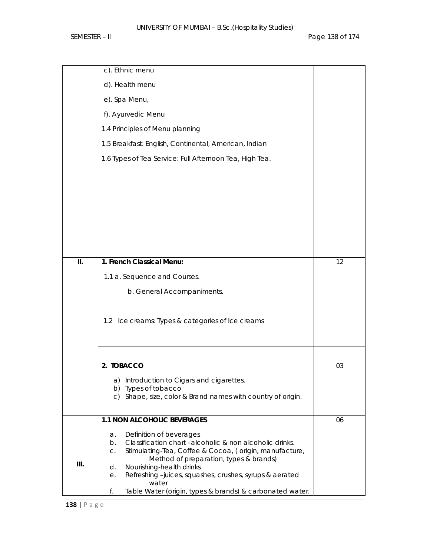|    | c). Ethnic menu                                                                                        |    |
|----|--------------------------------------------------------------------------------------------------------|----|
|    | d). Health menu                                                                                        |    |
|    | e). Spa Menu,                                                                                          |    |
|    | f). Ayurvedic Menu                                                                                     |    |
|    | 1.4 Principles of Menu planning                                                                        |    |
|    | 1.5 Breakfast: English, Continental, American, Indian                                                  |    |
|    | 1.6 Types of Tea Service: Full Afternoon Tea, High Tea.                                                |    |
|    |                                                                                                        |    |
|    |                                                                                                        |    |
|    |                                                                                                        |    |
|    |                                                                                                        |    |
|    |                                                                                                        |    |
|    |                                                                                                        |    |
| Ш. | 1. French Classical Menu:                                                                              | 12 |
|    | 1.1 a. Sequence and Courses.                                                                           |    |
|    | b. General Accompaniments.                                                                             |    |
|    |                                                                                                        |    |
|    | 1.2 Ice creams: Types & categories of Ice creams                                                       |    |
|    |                                                                                                        |    |
|    |                                                                                                        |    |
|    | 2. TOBACCO                                                                                             | 03 |
|    | a) Introduction to Cigars and cigarettes.                                                              |    |
|    | b) Types of tobacco<br>c) Shape, size, color & Brand names with country of origin.                     |    |
|    |                                                                                                        |    |
|    | 1.1 NON ALCOHOLIC BEVERAGES                                                                            | 06 |
|    | Definition of beverages<br>a.<br>Classification chart -alcoholic & non alcoholic drinks.<br>b.         |    |
|    | Stimulating-Tea, Coffee & Cocoa, (origin, manufacture,<br>C.<br>Method of preparation, types & brands) |    |
| Ш. | Nourishing-health drinks<br>d.                                                                         |    |
|    | Refreshing-juices, squashes, crushes, syrups & aerated<br>е.<br>water                                  |    |
|    | f.<br>Table Water (origin, types & brands) & carbonated water.                                         |    |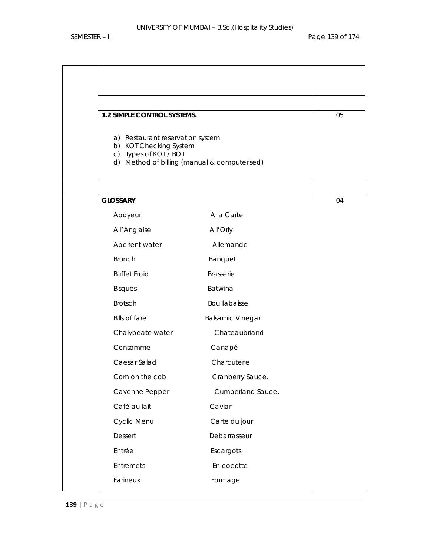| 1.2 SIMPLE CONTROL SYSTEMS.                                                         |                                              | 05 |
|-------------------------------------------------------------------------------------|----------------------------------------------|----|
| a) Restaurant reservation system<br>b) KOT Checking System<br>c) Types of KOT / BOT | d) Method of billing (manual & computerised) |    |
| <b>GLOSSARY</b>                                                                     |                                              | 04 |
| Aboyeur                                                                             | A la Carte                                   |    |
| A l'Anglaise                                                                        | A I' Orly                                    |    |
| Aperient water                                                                      | Allemande                                    |    |
| <b>Brunch</b>                                                                       | Banquet                                      |    |
| <b>Buffet Froid</b>                                                                 | Brasserie                                    |    |
| <b>Bisques</b>                                                                      | Batwina                                      |    |
| Brotsch                                                                             | Bouillabaisse                                |    |
| <b>Bills of fare</b>                                                                | <b>Balsamic Vinegar</b>                      |    |
| Chalybeate water                                                                    | Chateaubriand                                |    |
| Consomme                                                                            | Canapé                                       |    |
| Caesar Salad                                                                        | Charcuterie                                  |    |
| Corn on the cob                                                                     | Cranberry Sauce.                             |    |
| Cayenne Pepper                                                                      | Cumberland Sauce.                            |    |
| Café au lait                                                                        | Caviar                                       |    |
| Cyclic Menu                                                                         | Carte du jour                                |    |
| Dessert                                                                             | Debarrasseur                                 |    |
| Entrée                                                                              | Escargots                                    |    |
| Entremets                                                                           | En cocotte                                   |    |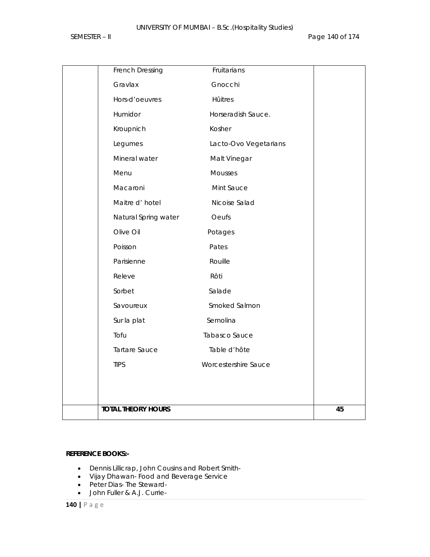| <b>TIPS</b>                       | Worcestershire Sauce        |  |
|-----------------------------------|-----------------------------|--|
| Tartare Sauce                     | Table d'hôte                |  |
| Tofu                              | Tabasco Sauce               |  |
| Sur la plat                       | Semolina                    |  |
| Savoureux                         | Smoked Salmon               |  |
| Sorbet                            | Salade                      |  |
| Releve                            | Rôti                        |  |
| Parisienne                        | Rouille                     |  |
| Poisson                           | Pates                       |  |
| Natural Spring water<br>Olive Oil | Potages                     |  |
|                                   | Oeufs                       |  |
| Macaroni<br>Maitre d' hotel       | Mint Sauce<br>Nicoise Salad |  |
| Menu                              | Mousses                     |  |
| Mineral water                     | Malt Vinegar                |  |
| Legumes                           | Lacto-Ovo Vegetarians       |  |
| Kroupnich                         | Kosher                      |  |
| Humidor                           | Horseradish Sauce.          |  |
| Hors-d'oeuvres                    | Hûitres                     |  |
| Gravlax                           | Gnocchi                     |  |
| French Dressing                   | Fruitarians                 |  |

### **REFERENCE BOOKS:-**

- Dennis Lillicrap, John Cousins and Robert Smith-
- Vijay Dhawan- Food and Beverage Service
- Peter Dias- The Steward-
- John Fuller & A.J. Currie-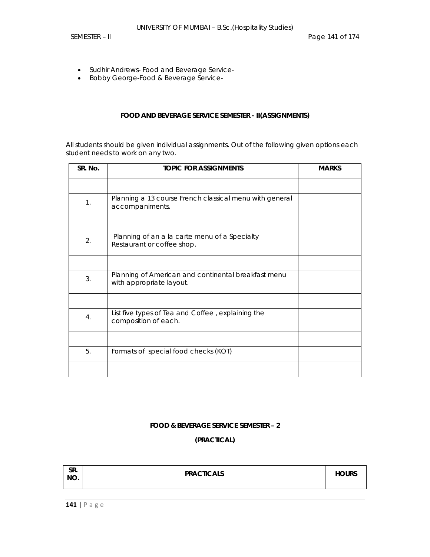- Sudhir Andrews- Food and Beverage Service-
- Bobby George-Food & Beverage Service-

### **FOOD AND BEVERAGE SERVICE SEMESTER - II(ASSIGNMENTS)**

All students should be given individual assignments. Out of the following given options each student needs to work on any two.

| SR. No. | <b>TOPIC FOR ASSIGNMENTS</b>                                                    | <b>MARKS</b> |
|---------|---------------------------------------------------------------------------------|--------------|
|         |                                                                                 |              |
| 1.      | Planning a 13 course French classical menu with general<br>accompaniments.      |              |
|         |                                                                                 |              |
| 2.      | Planning of an a la carte menu of a Specialty<br>Restaurant or coffee shop.     |              |
|         |                                                                                 |              |
| 3.      | Planning of American and continental breakfast menu<br>with appropriate layout. |              |
|         |                                                                                 |              |
| 4.      | List five types of Tea and Coffee, explaining the<br>composition of each.       |              |
|         |                                                                                 |              |
| 5.      | Formats of special food checks (KOT)                                            |              |
|         |                                                                                 |              |

### **FOOD & BEVERAGE SERVICE SEMESTER – 2**

**(PRACTICAL)** 

| SR.<br>NO. | <b>PRACTICALS</b> | <b>HOURS</b> |
|------------|-------------------|--------------|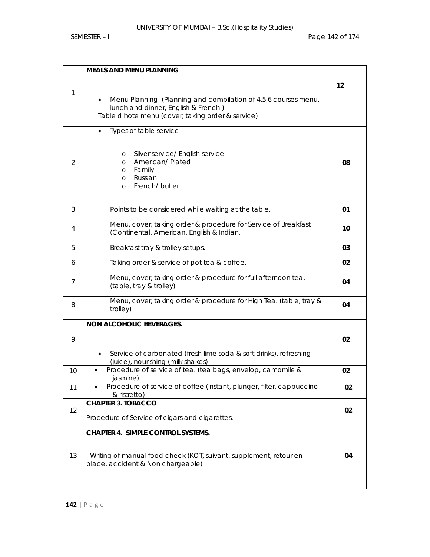|    | <b>MEALS AND MENU PLANNING</b>                                                                                                                             |    |
|----|------------------------------------------------------------------------------------------------------------------------------------------------------------|----|
| 1  |                                                                                                                                                            | 12 |
|    | Menu Planning (Planning and compilation of 4,5,6 courses menu.<br>lunch and dinner, English & French)<br>Table d hote menu (cover, taking order & service) |    |
|    | Types of table service                                                                                                                                     |    |
| 2  | Silver service/ English service<br>$\circ$<br>American/Plated<br>$\circ$<br>Family<br>$\circ$<br>Russian<br>$\circ$<br>French/ butler<br>$\circ$           | 08 |
| 3  | Points to be considered while waiting at the table.                                                                                                        | 01 |
| 4  | Menu, cover, taking order & procedure for Service of Breakfast<br>(Continental, American, English & Indian.                                                | 10 |
| 5  | Breakfast tray & trolley setups.                                                                                                                           | 03 |
| 6  | Taking order & service of pot tea & coffee.                                                                                                                | 02 |
| 7  | Menu, cover, taking order & procedure for full afternoon tea.<br>(table, tray & trolley)                                                                   | 04 |
| 8  | Menu, cover, taking order & procedure for High Tea. (table, tray &<br>trolley)                                                                             | 04 |
|    | <b>NON ALCOHOLIC BEVERAGES.</b>                                                                                                                            |    |
| 9  |                                                                                                                                                            | 02 |
|    | Service of carbonated (fresh lime soda & soft drinks), refreshing<br>(juice), nourishing (milk shakes)                                                     |    |
| 10 | Procedure of service of tea. (tea bags, envelop, camomile &<br>jasmine).                                                                                   | 02 |
| 11 | Procedure of service of coffee (instant, plunger, filter, cappuccino<br>& ristretto)                                                                       | 02 |
| 12 | <b>CHAPTER 3. TOBACCO</b>                                                                                                                                  | 02 |
|    | Procedure of Service of cigars and cigarettes.                                                                                                             |    |
|    | <b>CHAPTER 4. SIMPLE CONTROL SYSTEMS.</b>                                                                                                                  |    |
| 13 | Writing of manual food check (KOT, suivant, supplement, retour en<br>place, accident & Non chargeable)                                                     | 04 |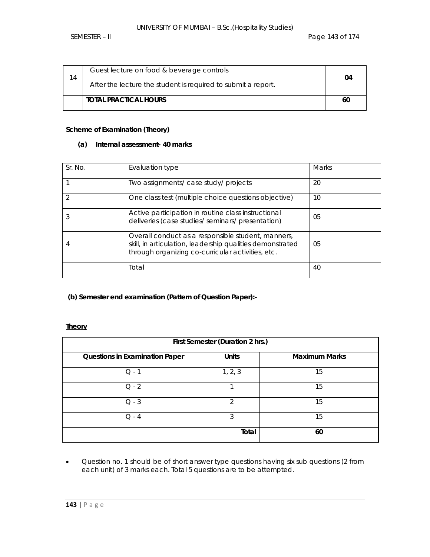| 14 | Guest lecture on food & beverage controls<br>After the lecture the student is required to submit a report. | 04 |
|----|------------------------------------------------------------------------------------------------------------|----|
|    | <b>TOTAL PRACTICAL HOURS</b>                                                                               | 60 |

# **Scheme of Examination (Theory)**

# **(a) Internal assessment- 40 marks**

| Sr. No. | Evaluation type                                                                                                                                                      | <b>Marks</b> |
|---------|----------------------------------------------------------------------------------------------------------------------------------------------------------------------|--------------|
|         | Two assignments/ case study/ projects                                                                                                                                | 20           |
|         | One class test (multiple choice questions objective)                                                                                                                 | 10           |
|         | Active participation in routine class instructional<br>deliveries (case studies/ seminars/ presentation)                                                             | 05           |
|         | Overall conduct as a responsible student, manners,<br>skill, in articulation, leadership qualities demonstrated<br>through organizing co-curricular activities, etc. | 05           |
|         | Total                                                                                                                                                                | 40           |

### **(b) Semester end examination (Pattern of Question Paper):-**

### **Theory**

| First Semester (Duration 2 hrs.)      |                |                      |  |
|---------------------------------------|----------------|----------------------|--|
| <b>Questions in Examination Paper</b> | <b>Units</b>   | <b>Maximum Marks</b> |  |
| $Q - 1$                               | 1, 2, 3        | 15                   |  |
| $Q - 2$                               |                | 15                   |  |
| $Q - 3$                               | $\mathfrak{D}$ | 15                   |  |
| $O - 4$                               | 3              | 15                   |  |
|                                       | Total          | 60                   |  |

• Question no. 1 should be of short answer type questions having six sub questions (2 from each unit) of 3 marks each. Total 5 questions are to be attempted.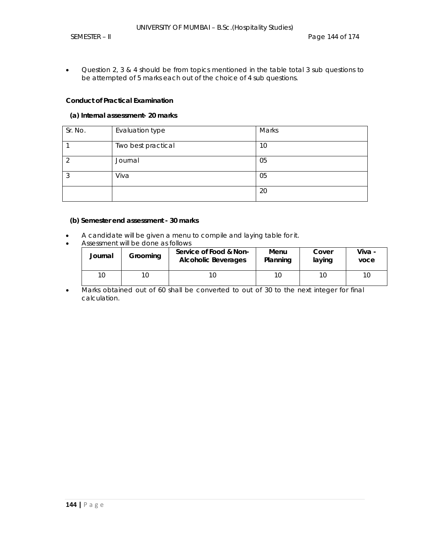• Question 2, 3 & 4 should be from topics mentioned in the table total 3 sub questions to be attempted of 5 marks each out of the choice of 4 sub questions.

### **Conduct of Practical Examination**

#### **(a) Internal assessment- 20 marks**

| Sr. No. | Evaluation type    | Marks |
|---------|--------------------|-------|
|         | Two best practical | 10    |
|         | Journal            | 05    |
| ◠       | Viva               | 05    |
|         |                    | 20    |

### **(b) Semester end assessment - 30 marks**

- A candidate will be given a menu to compile and laying table for it.
- Assessment will be done as follows

| Journal | Grooming | Service of Food & Non-<br><b>Alcoholic Beverages</b> | Menu<br>Planning | Cover<br>laying | Viva -<br>voce |
|---------|----------|------------------------------------------------------|------------------|-----------------|----------------|
|         | 10       |                                                      | 10               |                 | 10             |

• Marks obtained out of 60 shall be converted to out of 30 to the next integer for final calculation.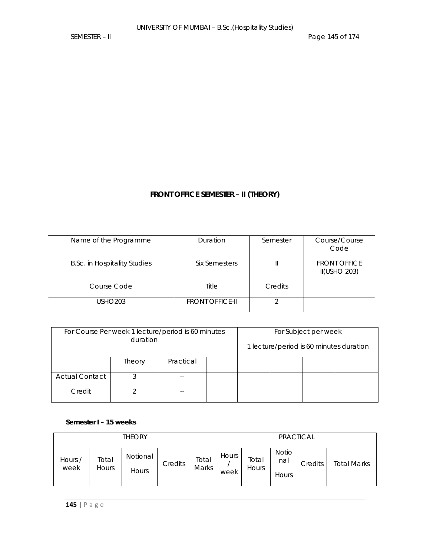# **FRONT OFFICE SEMESTER – II (THEORY)**

| Name of the Programme               | Duration               | Semester | Course/Course<br>Code                      |
|-------------------------------------|------------------------|----------|--------------------------------------------|
| <b>B.Sc. in Hospitality Studies</b> | Six Semesters          |          | <b>FRONT OFFICE</b><br><b>II(USHO 203)</b> |
| Course Code                         | Title                  | Credits  |                                            |
| <b>USHO203</b>                      | <b>FRONT OFFICE-II</b> |          |                                            |

| For Course Per week 1 lecture/period is 60 minutes<br>duration |                     |  | For Subject per week |  |  |                                         |  |
|----------------------------------------------------------------|---------------------|--|----------------------|--|--|-----------------------------------------|--|
|                                                                |                     |  |                      |  |  | 1 lecture/period is 60 minutes duration |  |
|                                                                | Practical<br>Theory |  |                      |  |  |                                         |  |
| <b>Actual Contact</b>                                          |                     |  |                      |  |  |                                         |  |
| Credit                                                         |                     |  |                      |  |  |                                         |  |

**Semester I – 15 weeks** 

| <b>THEORY</b>   |                       |                          | <b>PRACTICAL</b> |                       |               |                |                                     |         |             |
|-----------------|-----------------------|--------------------------|------------------|-----------------------|---------------|----------------|-------------------------------------|---------|-------------|
| Hours /<br>week | Total<br><b>Hours</b> | Notional<br><b>Hours</b> | Credits          | Total<br><b>Marks</b> | Hours<br>week | Total<br>Hours | <b>Notio</b><br>nal<br><b>Hours</b> | Credits | Total Marks |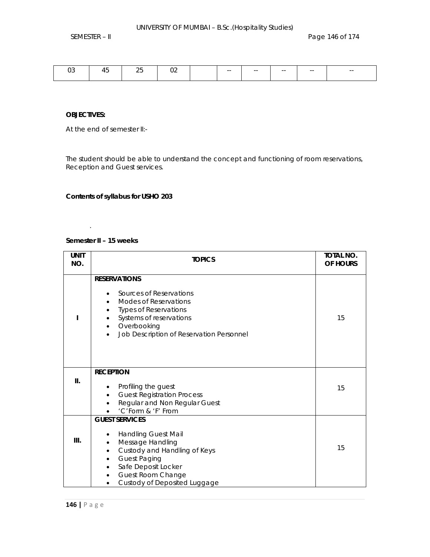#### **OBJECTIVES:**

At the end of semester II:-

The student should be able to understand the concept and functioning of room reservations, Reception and Guest services.

# **Contents of syllabus for USHO 203**

# **Semester II – 15 weeks**

.

| <b>UNIT</b><br>NO. | <b>TOPICS</b>                                                                                                                                                                                                                                 | <b>TOTAL NO.</b><br>OF HOURS |
|--------------------|-----------------------------------------------------------------------------------------------------------------------------------------------------------------------------------------------------------------------------------------------|------------------------------|
|                    | <b>RESERVATIONS</b><br>Sources of Reservations<br><b>Modes of Reservations</b><br><b>Types of Reservations</b><br>Systems of reservations<br>Overbooking<br>$\bullet$<br>Job Description of Reservation Personnel<br>$\bullet$                | 15                           |
| II.                | <b>RECEPTION</b><br>Profiling the guest<br><b>Guest Registration Process</b><br>$\bullet$<br>Regular and Non Regular Guest<br>'C'Form & 'F' From                                                                                              | 15                           |
| III.               | <b>GUEST SERVICES</b><br><b>Handling Guest Mail</b><br>Message Handling<br>$\bullet$<br>Custody and Handling of Keys<br>٠<br><b>Guest Paging</b><br>٠<br>Safe Deposit Locker<br><b>Guest Room Change</b><br>٠<br>Custody of Deposited Luggage | 15                           |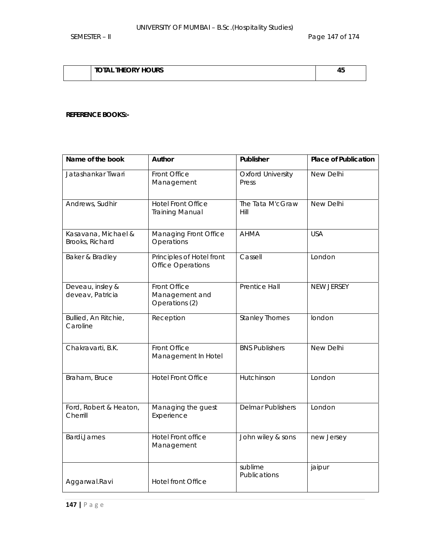# **TOTAL THEORY HOURS** 45

### **REFERENCE BOOKS:-**

| Name of the book                       | Author                                                | Publisher                         | <b>Place of Publication</b> |
|----------------------------------------|-------------------------------------------------------|-----------------------------------|-----------------------------|
| Jatashankar Tiwari                     | Front Office<br>Management                            | <b>Oxford University</b><br>Press | New Delhi                   |
| Andrews, Sudhir                        | <b>Hotel Front Office</b><br><b>Training Manual</b>   | The Tata M'cGraw<br>Hill          | <b>New Delhi</b>            |
| Kasavana, Michael &<br>Brooks, Richard | Managing Front Office<br>Operations                   | <b>AHMA</b>                       | <b>USA</b>                  |
| Baker & Bradley                        | Principles of Hotel front<br><b>Office Operations</b> | Cassell                           | London                      |
| Deveau, insley &<br>deveav, Patricia   | Front Office<br>Management and<br>Operations (2)      | <b>Prentice Hall</b>              | NEW JERSEY                  |
| Bullied, An Ritchie,<br>Caroline       | Reception                                             | <b>Stanley Thornes</b>            | london                      |
| Chakravarti, B.K.                      | Front Office<br>Management In Hotel                   | <b>BNS Publishers</b>             | New Delhi                   |
| Braham, Bruce                          | <b>Hotel Front Office</b>                             | Hutchinson                        | London                      |
| Ford, Robert & Heaton,<br>Cherrill     | Managing the guest<br>Experience                      | <b>Delmar Publishers</b>          | London                      |
| Bardi, James                           | Hotel Front office<br>Management                      | John wiley & sons                 | new Jersey                  |
| Aggarwal.Ravi                          | <b>Hotel front Office</b>                             | sublime<br>Publications           | jaipur                      |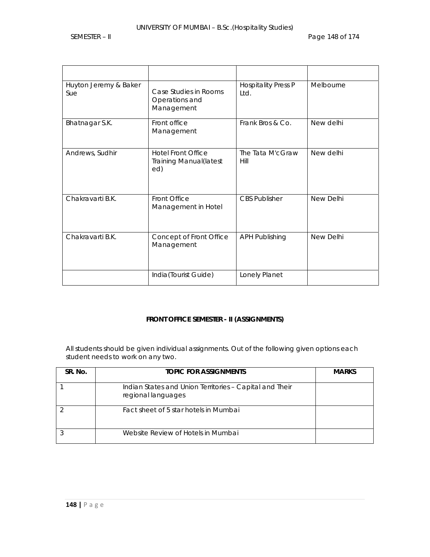| Huyton Jeremy & Baker<br>Sue | Case Studies in Rooms<br>Operations and<br>Management              | <b>Hospitality Press P</b><br>Ltd. | Melbourne |
|------------------------------|--------------------------------------------------------------------|------------------------------------|-----------|
| Bhatnagar S.K.               | Front office<br>Management                                         | Frank Bros & Co.                   | New delhi |
| Andrews, Sudhir              | <b>Hotel Front Office</b><br><b>Training Manual (latest</b><br>ed) | The Tata M'cGraw<br>Hill           | New delhi |
| Chakravarti B.K.             | Front Office<br>Management in Hotel                                | <b>CBS Publisher</b>               | New Delhi |
| Chakravarti B.K.             | Concept of Front Office<br>Management                              | <b>APH Publishing</b>              | New Delhi |
|                              | India(Tourist Guide)                                               | Lonely Planet                      |           |

# **FRONT OFFICE SEMESTER - II (ASSIGNMENTS)**

All students should be given individual assignments. Out of the following given options each student needs to work on any two.

| SR. No. | <b>TOPIC FOR ASSIGNMENTS</b>                                                  | <b>MARKS</b> |
|---------|-------------------------------------------------------------------------------|--------------|
|         | Indian States and Union Territories - Capital and Their<br>regional languages |              |
|         | Fact sheet of 5 star hotels in Mumbai                                         |              |
|         | Website Review of Hotels in Mumbai                                            |              |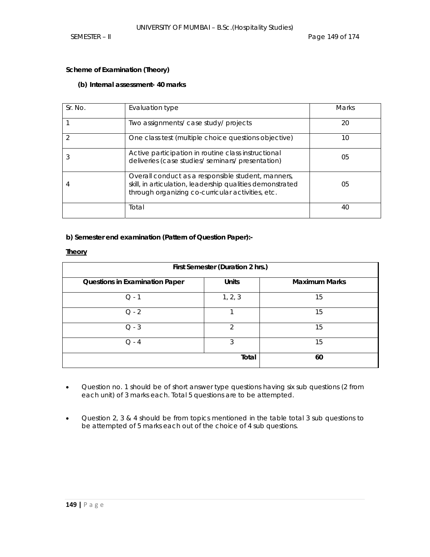### **Scheme of Examination (Theory)**

# **(b) Internal assessment- 40 marks**

| Sr. No. | Evaluation type                                                                                                                                                      | <b>Marks</b> |
|---------|----------------------------------------------------------------------------------------------------------------------------------------------------------------------|--------------|
|         | Two assignments/ case study/ projects                                                                                                                                | 20           |
|         | One class test (multiple choice questions objective)                                                                                                                 | 10           |
|         | Active participation in routine class instructional<br>deliveries (case studies/ seminars/ presentation)                                                             | 05           |
|         | Overall conduct as a responsible student, manners,<br>skill, in articulation, leadership qualities demonstrated<br>through organizing co-curricular activities, etc. | 05           |
|         | Total                                                                                                                                                                | 40           |

## **b) Semester end examination (Pattern of Question Paper):-**

### **Theory**

| First Semester (Duration 2 hrs.)      |              |                      |  |  |  |  |
|---------------------------------------|--------------|----------------------|--|--|--|--|
| <b>Questions in Examination Paper</b> | <b>Units</b> | <b>Maximum Marks</b> |  |  |  |  |
| $Q - 1$                               | 1, 2, 3      | 15                   |  |  |  |  |
| $Q - 2$                               |              | 15                   |  |  |  |  |
| $Q - 3$                               | 2            | 15                   |  |  |  |  |
| $Q - 4$                               | 3            | 15                   |  |  |  |  |
|                                       | Total        | 60                   |  |  |  |  |

- Question no. 1 should be of short answer type questions having six sub questions (2 from each unit) of 3 marks each. Total 5 questions are to be attempted.
- Question 2, 3 & 4 should be from topics mentioned in the table total 3 sub questions to be attempted of 5 marks each out of the choice of 4 sub questions.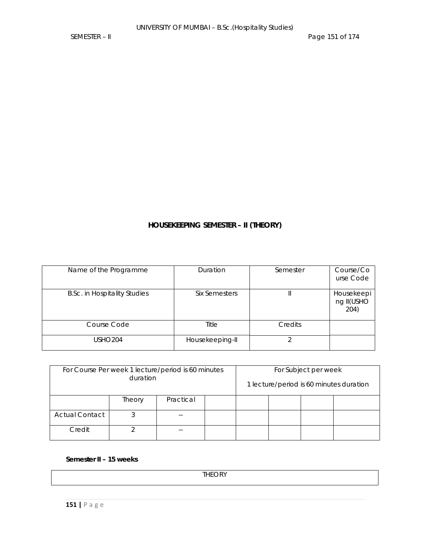# **HOUSEKEEPING SEMESTER – II (THEORY)**

| Name of the Programme               | Duration             | Semester | Course/Co<br>urse Code           |
|-------------------------------------|----------------------|----------|----------------------------------|
| <b>B.Sc. in Hospitality Studies</b> | <b>Six Semesters</b> |          | Housekeepi<br>ng II(USHO<br>204) |
| Course Code                         | Title                | Credits  |                                  |
| USHO204                             | Housekeeping-II      |          |                                  |

| For Course Per week 1 lecture/period is 60 minutes<br>duration |                     |  |  | For Subject per week | 1 lecture/period is 60 minutes duration |  |
|----------------------------------------------------------------|---------------------|--|--|----------------------|-----------------------------------------|--|
|                                                                | Practical<br>Theory |  |  |                      |                                         |  |
| <b>Actual Contact</b>                                          |                     |  |  |                      |                                         |  |
| Credit                                                         |                     |  |  |                      |                                         |  |

**Semester II – 15 weeks** 

**THEORY**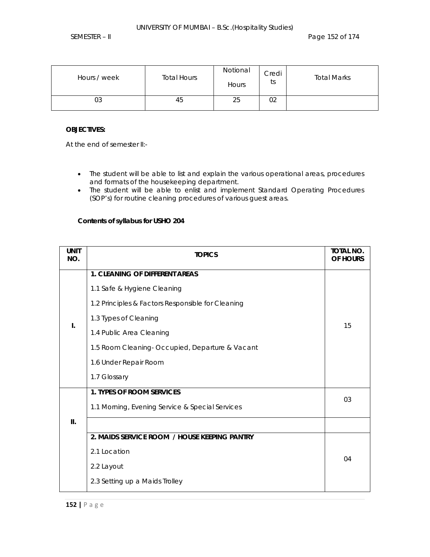| Hours / week | <b>Total Hours</b> | Notional<br>Hours | Credi<br>†c<br>w | <b>Total Marks</b> |
|--------------|--------------------|-------------------|------------------|--------------------|
| 03           | 45                 | 25                | 02               |                    |

## **OBJECTIVES:**

At the end of semester II:-

- The student will be able to list and explain the various operational areas, procedures and formats of the housekeeping department.
- The student will be able to enlist and implement Standard Operating Procedures (SOP's) for routine cleaning procedures of various guest areas.

## **Contents of syllabus for USHO 204**

| <b>UNIT</b><br>NO. | <b>TOPICS</b>                                     | TOTAL NO.<br>OF HOURS |
|--------------------|---------------------------------------------------|-----------------------|
|                    | <b>1. CLEANING OF DIFFERENT AREAS</b>             |                       |
|                    | 1.1 Safe & Hygiene Cleaning                       |                       |
|                    | 1.2 Principles & Factors Responsible for Cleaning |                       |
| $\mathbf{I}$ .     | 1.3 Types of Cleaning                             | 15                    |
|                    | 1.4 Public Area Cleaning                          |                       |
|                    | 1.5 Room Cleaning- Occupied, Departure & Vacant   |                       |
|                    | 1.6 Under Repair Room                             |                       |
|                    | 1.7 Glossary                                      |                       |
|                    | <b>1. TYPES OF ROOM SERVICES</b>                  | 03                    |
|                    | 1.1 Morning, Evening Service & Special Services   |                       |
| Ш.                 |                                                   |                       |
|                    | 2. MAIDS SERVICE ROOM / HOUSE KEEPING PANTRY      |                       |
|                    | 2.1 Location                                      | 04                    |
|                    | 2.2 Layout                                        |                       |
|                    | 2.3 Setting up a Maids Trolley                    |                       |
|                    |                                                   |                       |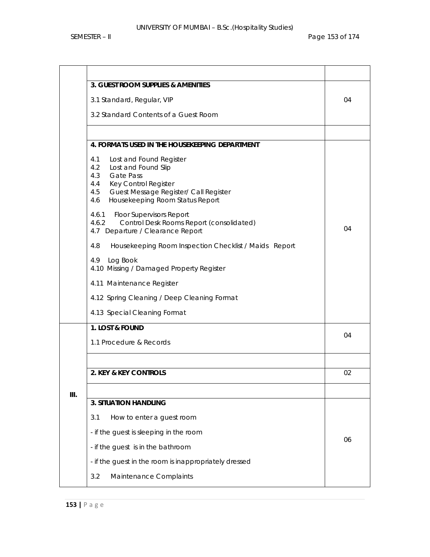|    | 3. GUEST ROOM SUPPLIES & AMENITIES                                                                                                                                                                                      |    |  |  |  |  |  |
|----|-------------------------------------------------------------------------------------------------------------------------------------------------------------------------------------------------------------------------|----|--|--|--|--|--|
|    | 3.1 Standard, Regular, VIP                                                                                                                                                                                              | 04 |  |  |  |  |  |
|    | 3.2 Standard Contents of a Guest Room                                                                                                                                                                                   |    |  |  |  |  |  |
|    |                                                                                                                                                                                                                         |    |  |  |  |  |  |
|    | 4. FORMATS USED IN THE HOUSEKEEPING DEPARTMENT                                                                                                                                                                          |    |  |  |  |  |  |
|    | 4.1<br>Lost and Found Register<br>4.2<br>Lost and Found Slip<br>4.3<br><b>Gate Pass</b><br>4.4<br><b>Key Control Register</b><br>Guest Message Register/ Call Register<br>4.5<br>Housekeeping Room Status Report<br>4.6 |    |  |  |  |  |  |
|    | 4.6.1<br><b>Floor Supervisors Report</b><br>Control Desk Rooms Report (consolidated)<br>4.6.2<br>4.7 Departure / Clearance Report                                                                                       | 04 |  |  |  |  |  |
|    | 4.8<br>Housekeeping Room Inspection Checklist / Maids Report                                                                                                                                                            |    |  |  |  |  |  |
|    | Log Book<br>4.9<br>4.10 Missing / Damaged Property Register                                                                                                                                                             |    |  |  |  |  |  |
|    | 4.11 Maintenance Register                                                                                                                                                                                               |    |  |  |  |  |  |
|    | 4.12 Spring Cleaning / Deep Cleaning Format                                                                                                                                                                             |    |  |  |  |  |  |
|    | 4.13 Special Cleaning Format                                                                                                                                                                                            |    |  |  |  |  |  |
|    | 1. LOST & FOUND                                                                                                                                                                                                         | 04 |  |  |  |  |  |
|    | 1.1 Procedure & Records                                                                                                                                                                                                 |    |  |  |  |  |  |
|    |                                                                                                                                                                                                                         |    |  |  |  |  |  |
|    | 2. KEY & KEY CONTROLS                                                                                                                                                                                                   | 02 |  |  |  |  |  |
| Ш. |                                                                                                                                                                                                                         |    |  |  |  |  |  |
|    | <b>3. SITUATION HANDLING</b>                                                                                                                                                                                            |    |  |  |  |  |  |
|    | 3.1<br>How to enter a guest room                                                                                                                                                                                        |    |  |  |  |  |  |
|    | - if the guest is sleeping in the room                                                                                                                                                                                  | 06 |  |  |  |  |  |
|    | - if the guest is in the bathroom                                                                                                                                                                                       |    |  |  |  |  |  |
|    | - if the guest in the room is inappropriately dressed                                                                                                                                                                   |    |  |  |  |  |  |
|    | Maintenance Complaints<br>3.2                                                                                                                                                                                           |    |  |  |  |  |  |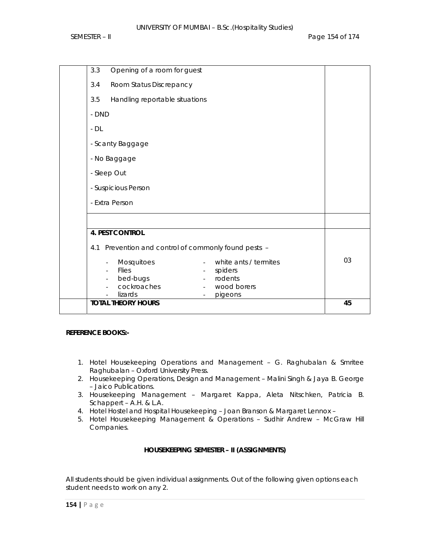| <b>4. PEST CONTROL</b><br>4.1<br>Mosquitoes<br>$\overline{\phantom{a}}$<br><b>Flies</b><br>$\overline{\phantom{0}}$<br>bed-bugs<br>$\overline{\phantom{a}}$<br>cockroaches<br>lizards<br><b>TOTAL THEORY HOURS</b> | Prevention and control of commonly found pests -<br>white ants / termites<br>spiders<br>rodents<br>$\overline{\phantom{a}}$<br>wood borers<br>pigeons | 03<br>45 |  |  |  |
|--------------------------------------------------------------------------------------------------------------------------------------------------------------------------------------------------------------------|-------------------------------------------------------------------------------------------------------------------------------------------------------|----------|--|--|--|
|                                                                                                                                                                                                                    |                                                                                                                                                       |          |  |  |  |
| - Extra Person                                                                                                                                                                                                     |                                                                                                                                                       |          |  |  |  |
| - Suspicious Person                                                                                                                                                                                                |                                                                                                                                                       |          |  |  |  |
| - Sleep Out                                                                                                                                                                                                        |                                                                                                                                                       |          |  |  |  |
| - No Baggage                                                                                                                                                                                                       |                                                                                                                                                       |          |  |  |  |
| - Scanty Baggage                                                                                                                                                                                                   |                                                                                                                                                       |          |  |  |  |
| $-DL$                                                                                                                                                                                                              |                                                                                                                                                       |          |  |  |  |
| - DND                                                                                                                                                                                                              |                                                                                                                                                       |          |  |  |  |
| 3.5<br>Handling reportable situations                                                                                                                                                                              |                                                                                                                                                       |          |  |  |  |
| 3.4<br>Room Status Discrepancy                                                                                                                                                                                     |                                                                                                                                                       |          |  |  |  |
| 3.3<br>Opening of a room for guest                                                                                                                                                                                 |                                                                                                                                                       |          |  |  |  |

# **REFERENCE BOOKS:-**

- 1. Hotel Housekeeping Operations and Management G. Raghubalan & Smritee Raghubalan – Oxford University Press.
- 2. Housekeeping Operations, Design and Management Malini Singh & Jaya B. George – Jaico Publications.
- 3. Housekeeping Management Margaret Kappa, Aleta Nitschken, Patricia B. Schappert – A.H. & L.A.
- 4. Hotel Hostel and Hospital Housekeeping Joan Branson & Margaret Lennox –
- 5. Hotel Housekeeping Management & Operations Sudhir Andrew McGraw Hill Companies.

# **HOUSEKEEPING SEMESTER – II (ASSIGNMENTS)**

All students should be given individual assignments. Out of the following given options each student needs to work on any 2.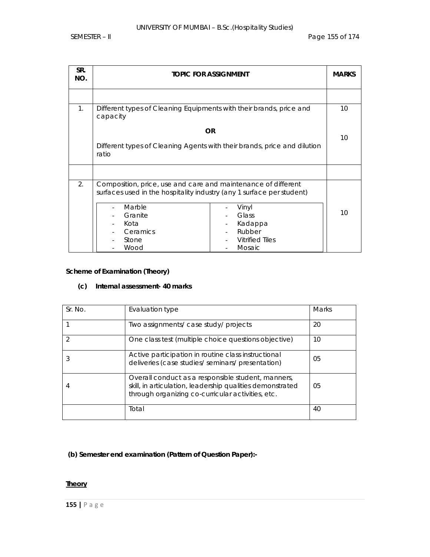| SR.<br>NO. | <b>TOPIC FOR ASSIGNMENT</b>                                                                                                                                                                      |                                                                         |    |  |  |  |
|------------|--------------------------------------------------------------------------------------------------------------------------------------------------------------------------------------------------|-------------------------------------------------------------------------|----|--|--|--|
|            |                                                                                                                                                                                                  |                                                                         |    |  |  |  |
| 1.         | Different types of Cleaning Equipments with their brands, price and<br>capacity                                                                                                                  |                                                                         | 10 |  |  |  |
|            | Different types of Cleaning Agents with their brands, price and dilution<br>ratio                                                                                                                | <b>OR</b>                                                               | 10 |  |  |  |
|            |                                                                                                                                                                                                  |                                                                         |    |  |  |  |
| 2.         | Composition, price, use and care and maintenance of different<br>surfaces used in the hospitality industry (any 1 surface per student)<br>Marble<br>Granite<br>Kota<br>Ceramics<br>Stone<br>Wood | Vinyl<br>Glass<br>Kadappa<br>Rubber<br><b>Vitrified Tiles</b><br>Mosaic | 10 |  |  |  |

# **Scheme of Examination (Theory)**

## **(c) Internal assessment- 40 marks**

| Sr. No. | Evaluation type                                                                                                                                                      | Marks |
|---------|----------------------------------------------------------------------------------------------------------------------------------------------------------------------|-------|
|         | Two assignments/ case study/ projects                                                                                                                                | 20    |
|         | One class test (multiple choice questions objective)                                                                                                                 | 10    |
|         | Active participation in routine class instructional<br>deliveries (case studies/seminars/presentation)                                                               | 05    |
|         | Overall conduct as a responsible student, manners,<br>skill, in articulation, leadership qualities demonstrated<br>through organizing co-curricular activities, etc. | 05    |
|         | Total                                                                                                                                                                | 40    |

**(b) Semester end examination (Pattern of Question Paper):-** 

# **Theory**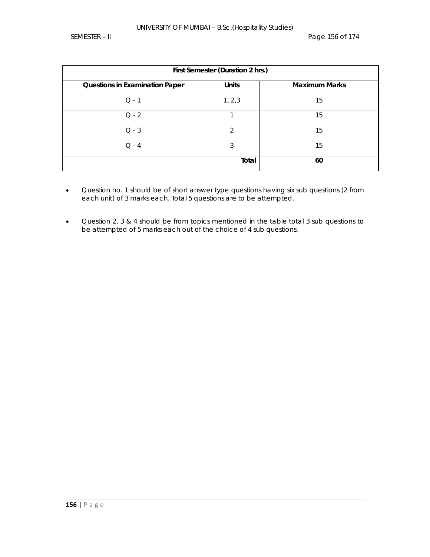| First Semester (Duration 2 hrs.)      |              |                      |  |  |  |  |
|---------------------------------------|--------------|----------------------|--|--|--|--|
| <b>Questions in Examination Paper</b> | <b>Units</b> | <b>Maximum Marks</b> |  |  |  |  |
| $Q - 1$                               | 1, 2, 3      | 15                   |  |  |  |  |
| $Q - 2$                               |              | 15                   |  |  |  |  |
| $Q - 3$                               | ∍            | 15                   |  |  |  |  |
| $O - 4$                               | 3            | 15                   |  |  |  |  |
|                                       | Total        | 60                   |  |  |  |  |

- Question no. 1 should be of short answer type questions having six sub questions (2 from each unit) of 3 marks each. Total 5 questions are to be attempted.
- Question 2, 3 & 4 should be from topics mentioned in the table total 3 sub questions to be attempted of 5 marks each out of the choice of 4 sub questions.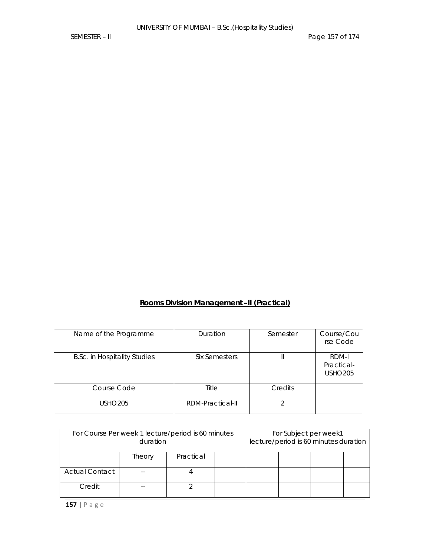# **Rooms Division Management –II (Practical)**

| Name of the Programme               | Duration         | Semester | Course/Cou<br>rse Code                |
|-------------------------------------|------------------|----------|---------------------------------------|
| <b>B.Sc. in Hospitality Studies</b> | Six Semesters    |          | RDM-I<br>Practical-<br><b>USHO205</b> |
| Course Code                         | Title            | Credits  |                                       |
| USHO205                             | RDM-Practical-II |          |                                       |

| For Course Per week 1 lecture/period is 60 minutes<br>duration |                     |  |  |  | For Subject per week1<br>lecture/period is 60 minutes duration |  |
|----------------------------------------------------------------|---------------------|--|--|--|----------------------------------------------------------------|--|
|                                                                | Practical<br>Theory |  |  |  |                                                                |  |
| <b>Actual Contact</b>                                          |                     |  |  |  |                                                                |  |
| Credit                                                         |                     |  |  |  |                                                                |  |

**157 |** Page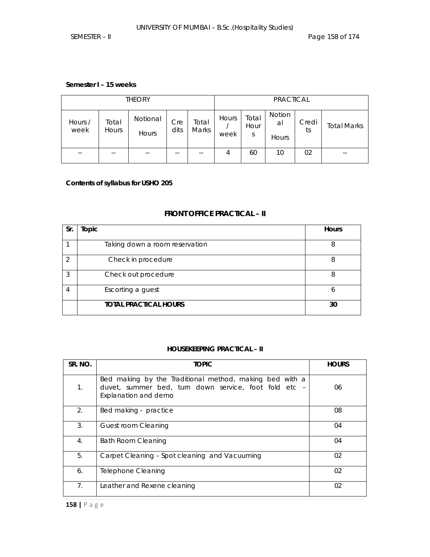### **Semester I – 15 weeks**

| <b>THEORY</b>   |                       |                   |             |                |               |                    | PRACTICAL             |             |                    |
|-----------------|-----------------------|-------------------|-------------|----------------|---------------|--------------------|-----------------------|-------------|--------------------|
| Hours /<br>week | Total<br><b>Hours</b> | Notional<br>Hours | Cre<br>dits | Total<br>Marks | Hours<br>week | Total<br>Hour<br>S | Notion<br>al<br>Hours | Credi<br>ts | <b>Total Marks</b> |
| $- -$           | $- -$                 | $- -$             | --          |                | 4             | 60                 | 10                    | 02          |                    |

**Contents of syllabus for USHO 205** 

# **FRONT OFFICE PRACTICAL – II**

| Sr.           | Topic                          | <b>Hours</b> |
|---------------|--------------------------------|--------------|
|               | Taking down a room reservation | 8            |
| $\mathcal{P}$ | Check in procedure             | 8            |
| 3             | Check out procedure            | 8            |
|               | Escorting a guest              | 6            |
|               | <b>TOTAL PRACTICAL HOURS</b>   | 30           |

# **HOUSEKEEPING PRACTICAL – II**

| SR. NO.        | <b>TOPIC</b>                                                                                                                             | <b>HOURS</b> |
|----------------|------------------------------------------------------------------------------------------------------------------------------------------|--------------|
| 1.             | Bed making by the Traditional method, making bed with a<br>duvet, summer bed, turn down service, foot fold etc -<br>Explanation and demo | 06           |
| 2.             | Bed making - practice                                                                                                                    | 08           |
| 3.             | Guest room Cleaning                                                                                                                      | 04           |
| 4.             | Bath Room Cleaning                                                                                                                       | 04           |
| 5.             | Carpet Cleaning - Spot cleaning and Vacuuming                                                                                            | 02           |
| 6.             | Telephone Cleaning                                                                                                                       | 02           |
| 7 <sub>1</sub> | Leather and Rexene cleaning                                                                                                              | 02           |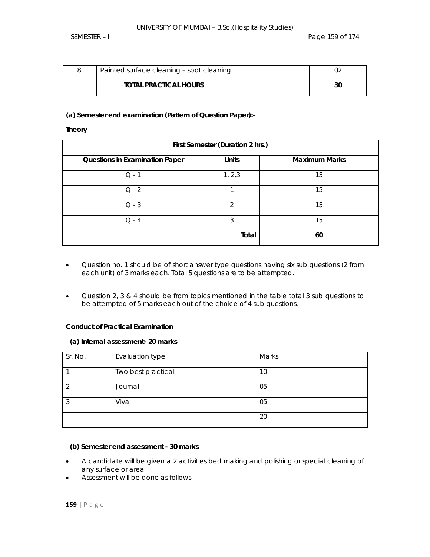| Painted surface cleaning - spot cleaning |    |
|------------------------------------------|----|
| <b>TOTAL PRACTICAL HOURS</b>             | 30 |

### **(a) Semester end examination (Pattern of Question Paper):-**

#### **Theory**

| First Semester (Duration 2 hrs.)      |                |                      |  |  |  |  |
|---------------------------------------|----------------|----------------------|--|--|--|--|
| <b>Questions in Examination Paper</b> | <b>Units</b>   | <b>Maximum Marks</b> |  |  |  |  |
| $Q - 1$                               | 1, 2, 3        | 15                   |  |  |  |  |
| $Q - 2$                               |                | 15                   |  |  |  |  |
| $Q - 3$                               | $\mathfrak{D}$ | 15                   |  |  |  |  |
| 3<br>$O - 4$                          |                | 15                   |  |  |  |  |
|                                       | Total          | 60                   |  |  |  |  |

- Question no. 1 should be of short answer type questions having six sub questions (2 from each unit) of 3 marks each. Total 5 questions are to be attempted.
- Question 2, 3 & 4 should be from topics mentioned in the table total 3 sub questions to be attempted of 5 marks each out of the choice of 4 sub questions.

### **Conduct of Practical Examination**

#### **(a) Internal assessment- 20 marks**

| Sr. No. | Evaluation type    | Marks |
|---------|--------------------|-------|
|         | Two best practical | 10    |
|         | Journal            | 05    |
| 3       | Viva               | 05    |
|         |                    | 20    |

#### **(b) Semester end assessment - 30 marks**

- A candidate will be given a 2 activities bed making and polishing or special cleaning of any surface or area
- Assessment will be done as follows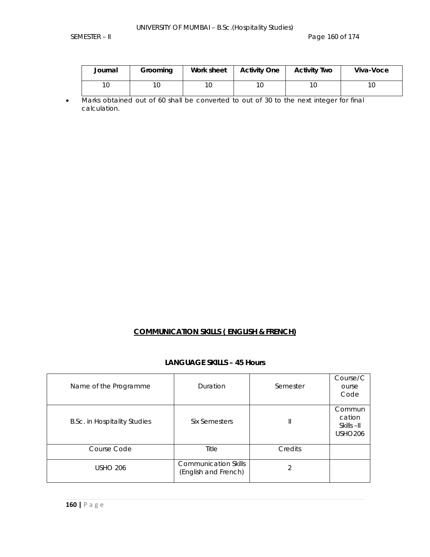| Journal | Grooming | Work sheet | <b>Activity One</b> | <b>Activity Two</b> | Viva-Voce |
|---------|----------|------------|---------------------|---------------------|-----------|
| 10      | 10       | 10         |                     |                     | 10        |

• Marks obtained out of 60 shall be converted to out of 30 to the next integer for final calculation.

# **COMMUNICATION SKILLS ( ENGLISH & FRENCH)**

### **LANGUAGE SKILLS – 45 Hours**

| Name of the Programme               | Duration                                            | Semester | Course/C<br>ourse<br>Code                        |
|-------------------------------------|-----------------------------------------------------|----------|--------------------------------------------------|
| <b>B.Sc. in Hospitality Studies</b> | Six Semesters                                       | Ш        | Commun<br>cation<br>Skills -II<br><b>USHO206</b> |
| Course Code                         | Title                                               | Credits  |                                                  |
| <b>USHO 206</b>                     | <b>Communication Skills</b><br>(English and French) |          |                                                  |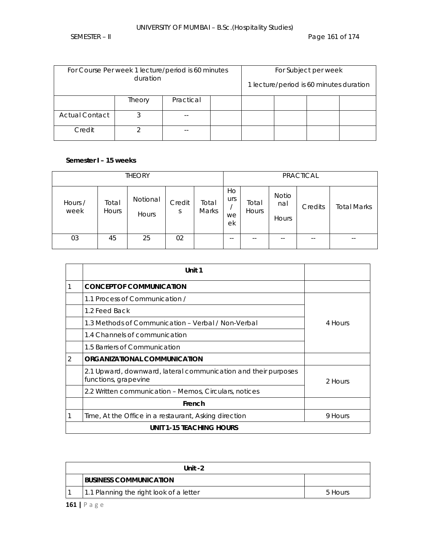# UNIVERSITY OF MUMBAI – B.Sc.(Hospitality Studies)

| For Course Per week 1 lecture/period is 60 minutes<br>duration |        |           |  |  | For Subject per week<br>1 lecture/period is 60 minutes duration |  |
|----------------------------------------------------------------|--------|-----------|--|--|-----------------------------------------------------------------|--|
|                                                                |        |           |  |  |                                                                 |  |
|                                                                | Theory | Practical |  |  |                                                                 |  |
| <b>Actual Contact</b>                                          |        | $-$       |  |  |                                                                 |  |
| Credit                                                         |        |           |  |  |                                                                 |  |

## **Semester I – 15 weeks**

| <b>THEORY</b>   |                |                   |             | <b>PRACTICAL</b>      |                       |                       |                              |         |                    |
|-----------------|----------------|-------------------|-------------|-----------------------|-----------------------|-----------------------|------------------------------|---------|--------------------|
| Hours /<br>week | Total<br>Hours | Notional<br>Hours | Credit<br>S | Total<br><b>Marks</b> | Ho<br>urs<br>we<br>ek | Total<br><b>Hours</b> | <b>Notio</b><br>nal<br>Hours | Credits | <b>Total Marks</b> |
| 03              | 45             | 25                | 02          |                       | $- -$                 | $\sim$ $\sim$         | $- -$                        | $- -$   | --                 |

|   | Unit 1                                                                                 |         |
|---|----------------------------------------------------------------------------------------|---------|
| 1 | <b>CONCEPT OF COMMUNICATION</b>                                                        |         |
|   | 1.1 Process of Communication /                                                         |         |
|   | 1.2 Feed Back                                                                          |         |
|   | 1.3 Methods of Communication - Verbal / Non-Verbal                                     | 4 Hours |
|   | 1.4 Channels of communication                                                          |         |
|   | 1.5 Barriers of Communication                                                          |         |
| 2 | ORGANIZATIONAL COMMUNICATION                                                           |         |
|   | 2.1 Upward, downward, lateral communication and their purposes<br>functions, grapevine | 2 Hours |
|   | 2.2 Written communication - Memos, Circulars, notices                                  |         |
|   | French                                                                                 |         |
|   | Time, At the Office in a restaurant, Asking direction                                  | 9 Hours |
|   | <b>UNIT 1-15 TEACHING HOURS</b>                                                        |         |

| Unit $-2$                               |         |  |  |  |
|-----------------------------------------|---------|--|--|--|
| <b>IBUSINESS COMMUNICATION</b>          |         |  |  |  |
| 1.1 Planning the right look of a letter | 5 Hours |  |  |  |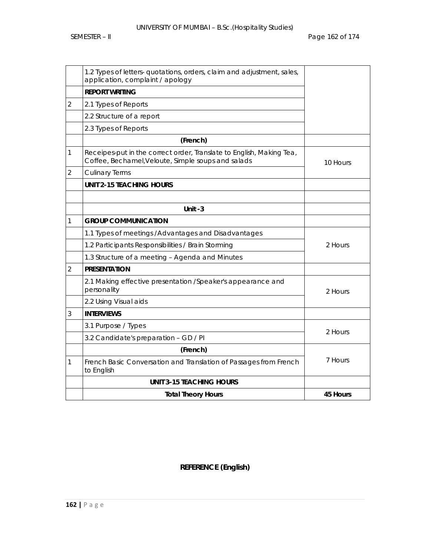|                | 1.2 Types of letters- quotations, orders, claim and adjustment, sales,<br>application, complaint / apology                 |          |
|----------------|----------------------------------------------------------------------------------------------------------------------------|----------|
|                | <b>REPORT WRITING</b>                                                                                                      |          |
| $\overline{2}$ | 2.1 Types of Reports                                                                                                       |          |
|                | 2.2 Structure of a report                                                                                                  |          |
|                | 2.3 Types of Reports                                                                                                       |          |
|                | (French)                                                                                                                   |          |
| 1              | Receipes-put in the correct order, Translate to English, Making Tea,<br>Coffee, Bechamel, Veloute, Simple soups and salads | 10 Hours |
| $\overline{2}$ | <b>Culinary Terms</b>                                                                                                      |          |
|                | <b>UNIT 2-15 TEACHING HOURS</b>                                                                                            |          |
|                |                                                                                                                            |          |
|                | Unit $-3$                                                                                                                  |          |
| 1              | <b>GROUP COMMUNICATION</b>                                                                                                 |          |
|                | 1.1 Types of meetings / Advantages and Disadvantages                                                                       |          |
|                | 1.2 Participants Responsibilities / Brain Storming                                                                         | 2 Hours  |
|                | 1.3 Structure of a meeting - Agenda and Minutes                                                                            |          |
| $\overline{2}$ | <b>PRESENTATION</b>                                                                                                        |          |
|                | 2.1 Making effective presentation /Speaker's appearance and<br>personality                                                 | 2 Hours  |
|                | 2.2 Using Visual aids                                                                                                      |          |
| 3              | <b>INTERVIEWS</b>                                                                                                          |          |
|                | 3.1 Purpose / Types                                                                                                        | 2 Hours  |
|                | 3.2 Candidate's preparation - GD / PI                                                                                      |          |
|                | (French)                                                                                                                   |          |
| 1              | French Basic Conversation and Translation of Passages from French<br>to English                                            | 7 Hours  |
|                | <b>UNIT 3-15 TEACHING HOURS</b>                                                                                            |          |
|                | <b>Total Theory Hours</b>                                                                                                  | 45 Hours |

# **REFERENCE (English)**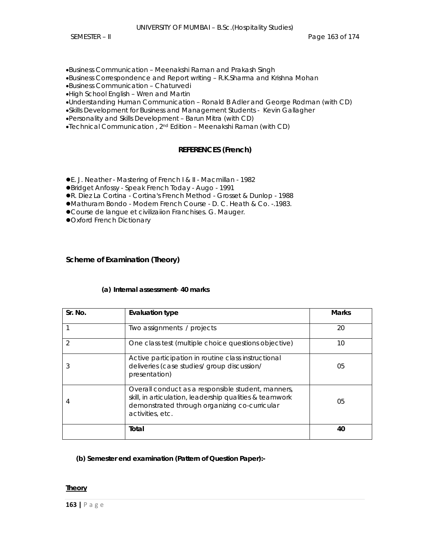•Business Communication – Meenakshi Raman and Prakash Singh

•Business Correspondence and Report writing – R.K.Sharma and Krishna Mohan

•Business Communication – Chaturvedi

•High School English – Wren and Martin

•Understanding Human Communication – Ronald B Adler and George Rodman (with CD)

•Skills Development for Business and Management Students - Kevin Gallagher

•Personality and Skills Development – Barun Mitra (with CD)

•Technical Communication , 2nd Edition – Meenakshi Raman (with CD)

# **REFERENCES (French)**

**•** E. J. Neather - Mastering of French I & II - Macmillan - 1982

zBridget Anfossy - Speak French Today - Augo - 1991

**• R. Diez La Cortina - Cortina's French Method - Grosset & Dunlop - 1988** 

**•Mathuram Bondo - Modern French Course - D. C. Heath & Co. -.1983.** 

**• Course de langue et civilizaiion Franchises. G. Mauger.** 

**Oxford French Dictionary** 

## **Scheme of Examination (Theory)**

### **(a) Internal assessment- 40 marks**

| Sr. No.       | <b>Evaluation type</b>                                                                                                                                                             | <b>Marks</b> |
|---------------|------------------------------------------------------------------------------------------------------------------------------------------------------------------------------------|--------------|
|               | Two assignments / projects                                                                                                                                                         | 20           |
| $\mathcal{P}$ | One class test (multiple choice questions objective)                                                                                                                               | 10           |
| 3             | Active participation in routine class instructional<br>deliveries (case studies/ group discussion/<br>presentation)                                                                | 05           |
| 4             | Overall conduct as a responsible student, manners,<br>skill, in articulation, leadership qualities & teamwork<br>demonstrated through organizing co-curricular<br>activities, etc. | 05           |
|               | Total                                                                                                                                                                              | 40           |

 **(b) Semester end examination (Pattern of Question Paper):-** 

### **Theory**

**163 |** Page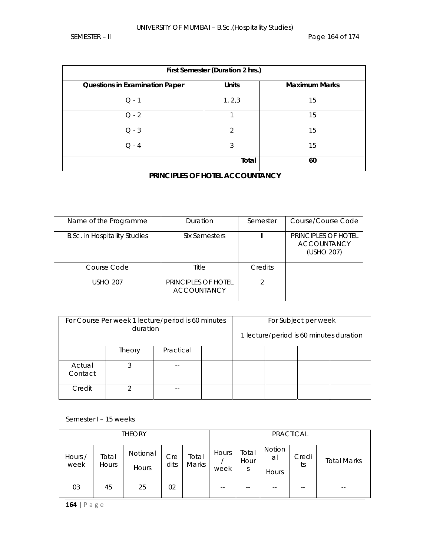| First Semester (Duration 2 hrs.)      |               |                      |  |  |  |
|---------------------------------------|---------------|----------------------|--|--|--|
| <b>Questions in Examination Paper</b> | <b>Units</b>  | <b>Maximum Marks</b> |  |  |  |
| $O - 1$                               | 1, 2, 3       | 15                   |  |  |  |
| $Q - 2$                               |               | 15                   |  |  |  |
| $Q - 3$                               | $\mathcal{P}$ | 15                   |  |  |  |
| $O - 4$                               | 3             | 15                   |  |  |  |
|                                       | Total         | 60                   |  |  |  |

# **PRINCIPLES OF HOTEL ACCOUNTANCY**

| Name of the Programme               | Duration                                  | Semester | Course/Course Code                                      |
|-------------------------------------|-------------------------------------------|----------|---------------------------------------------------------|
| <b>B.Sc. in Hospitality Studies</b> | Six Semesters                             |          | PRINCIPLES OF HOTEL<br><b>ACCOUNTANCY</b><br>(USHO 207) |
| Course Code                         | Title                                     | Credits  |                                                         |
| <b>USHO 207</b>                     | PRINCIPLES OF HOTEL<br><b>ACCOUNTANCY</b> | ↷        |                                                         |

| For Course Per week 1 lecture/period is 60 minutes<br>duration |                     |       |  |  | For Subject per week | 1 lecture/period is 60 minutes duration |
|----------------------------------------------------------------|---------------------|-------|--|--|----------------------|-----------------------------------------|
|                                                                | Practical<br>Theory |       |  |  |                      |                                         |
| Actual<br>Contact                                              |                     |       |  |  |                      |                                         |
| Credit                                                         | ◠                   | $- -$ |  |  |                      |                                         |

Semester I – 15 weeks

| <b>THEORY</b>   |                       |                   |             |                |               |                    | <b>PRACTICAL</b>      |             |                    |
|-----------------|-----------------------|-------------------|-------------|----------------|---------------|--------------------|-----------------------|-------------|--------------------|
| Hours /<br>week | Total<br><b>Hours</b> | Notional<br>Hours | Cre<br>dits | Total<br>Marks | Hours<br>week | Total<br>Hour<br>S | Notion<br>al<br>Hours | Credi<br>ts | <b>Total Marks</b> |
| 03              | 45                    | 25                | 02          |                | $- -$         | $- -$              |                       | $- -$       | --                 |

**164 |** Page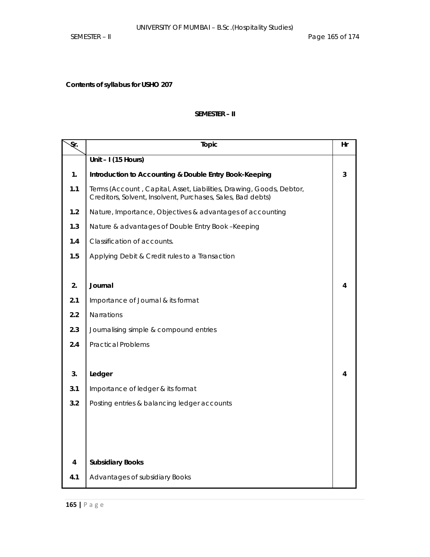**Contents of syllabus for USHO 207** 

## **SEMESTER – II**

| $\overline{\mathcal{S}}$ r. | Topic                                                                                                                               | Hr |
|-----------------------------|-------------------------------------------------------------------------------------------------------------------------------------|----|
|                             | Unit - I (15 Hours)                                                                                                                 |    |
| 1.                          | Introduction to Accounting & Double Entry Book-Keeping                                                                              | 3  |
| 1.1                         | Terms (Account, Capital, Asset, Liabilities, Drawing, Goods, Debtor,<br>Creditors, Solvent, Insolvent, Purchases, Sales, Bad debts) |    |
| 1.2                         | Nature, Importance, Objectives & advantages of accounting                                                                           |    |
| 1.3                         | Nature & advantages of Double Entry Book -Keeping                                                                                   |    |
| 1.4                         | Classification of accounts.                                                                                                         |    |
| 1.5                         | Applying Debit & Credit rules to a Transaction                                                                                      |    |
|                             |                                                                                                                                     |    |
| 2.                          | Journal                                                                                                                             | 4  |
| 2.1                         | Importance of Journal & its format                                                                                                  |    |
| 2.2                         | Narrations                                                                                                                          |    |
| 2.3                         | Journalising simple & compound entries                                                                                              |    |
| 2.4                         | <b>Practical Problems</b>                                                                                                           |    |
|                             |                                                                                                                                     |    |
| 3.                          | Ledger                                                                                                                              | 4  |
| 3.1                         | Importance of ledger & its format                                                                                                   |    |
| 3.2                         | Posting entries & balancing ledger accounts                                                                                         |    |
|                             |                                                                                                                                     |    |
|                             |                                                                                                                                     |    |
|                             |                                                                                                                                     |    |
| 4                           | <b>Subsidiary Books</b>                                                                                                             |    |
| 4.1                         | Advantages of subsidiary Books                                                                                                      |    |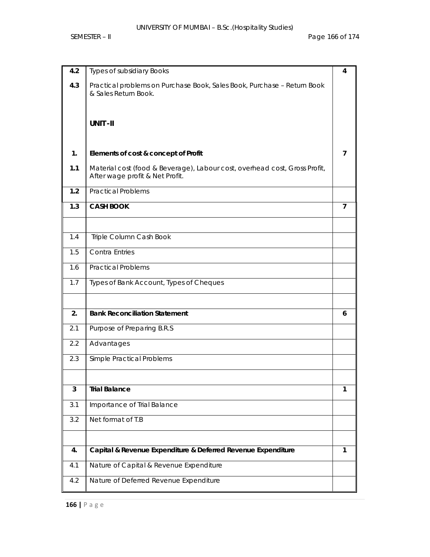| 4.2 | <b>Types of subsidiary Books</b>                                                                              | 4            |
|-----|---------------------------------------------------------------------------------------------------------------|--------------|
| 4.3 | Practical problems on Purchase Book, Sales Book, Purchase - Return Book<br>& Sales Return Book.               |              |
|     |                                                                                                               |              |
|     | <b>UNIT-II</b>                                                                                                |              |
|     |                                                                                                               |              |
| 1.  | Elements of cost & concept of Profit                                                                          | 7            |
| 1.1 | Material cost (food & Beverage), Labour cost, overhead cost, Gross Profit,<br>After wage profit & Net Profit. |              |
| 1.2 | <b>Practical Problems</b>                                                                                     |              |
| 1.3 | <b>CASH BOOK</b>                                                                                              | 7            |
|     |                                                                                                               |              |
| 1.4 | Triple Column Cash Book                                                                                       |              |
| 1.5 | <b>Contra Entries</b>                                                                                         |              |
| 1.6 | <b>Practical Problems</b>                                                                                     |              |
| 1.7 | Types of Bank Account, Types of Cheques                                                                       |              |
|     |                                                                                                               |              |
| 2.  | <b>Bank Reconciliation Statement</b>                                                                          | 6            |
| 2.1 | Purpose of Preparing B.R.S.                                                                                   |              |
| 2.2 | Advantages                                                                                                    |              |
| 2.3 | Simple Practical Problems                                                                                     |              |
|     |                                                                                                               |              |
| 3   | <b>Trial Balance</b>                                                                                          | 1            |
| 3.1 | Importance of Trial Balance                                                                                   |              |
| 3.2 | Net format of T.B                                                                                             |              |
|     |                                                                                                               |              |
| 4.  | Capital & Revenue Expenditure & Deferred Revenue Expenditure                                                  | $\mathbf{1}$ |
| 4.1 | Nature of Capital & Revenue Expenditure                                                                       |              |
| 4.2 | Nature of Deferred Revenue Expenditure                                                                        |              |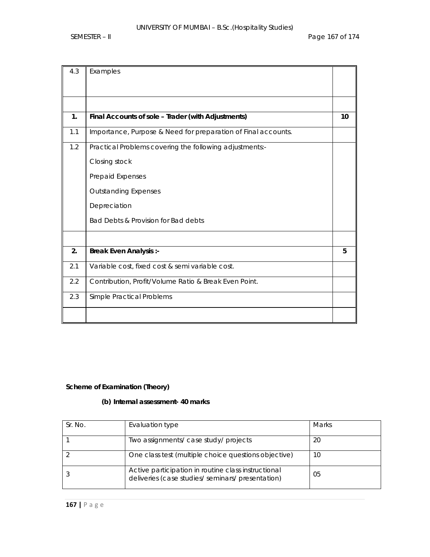| 4.3 | Examples                                                      |    |
|-----|---------------------------------------------------------------|----|
|     |                                                               |    |
|     |                                                               |    |
| 1.  | Final Accounts of sole - Trader (with Adjustments)            | 10 |
| 1.1 | Importance, Purpose & Need for preparation of Final accounts. |    |
| 1.2 | Practical Problems covering the following adjustments:-       |    |
|     | Closing stock                                                 |    |
|     | Prepaid Expenses                                              |    |
|     | <b>Outstanding Expenses</b>                                   |    |
|     | Depreciation                                                  |    |
|     | Bad Debts & Provision for Bad debts                           |    |
|     |                                                               |    |
| 2.  | <b>Break Even Analysis :-</b>                                 | 5  |
| 2.1 | Variable cost, fixed cost & semi variable cost.               |    |
| 2.2 | Contribution, Profit/Volume Ratio & Break Even Point.         |    |
| 2.3 | Simple Practical Problems                                     |    |
|     |                                                               |    |

# **Scheme of Examination (Theory)**

# **(b) Internal assessment- 40 marks**

| Sr. No. | Evaluation type                                                                                          | <b>Marks</b> |
|---------|----------------------------------------------------------------------------------------------------------|--------------|
|         | Two assignments/ case study/ projects                                                                    | 20           |
|         | One class test (multiple choice questions objective)                                                     | 10           |
|         | Active participation in routine class instructional<br>deliveries (case studies/ seminars/ presentation) | 05           |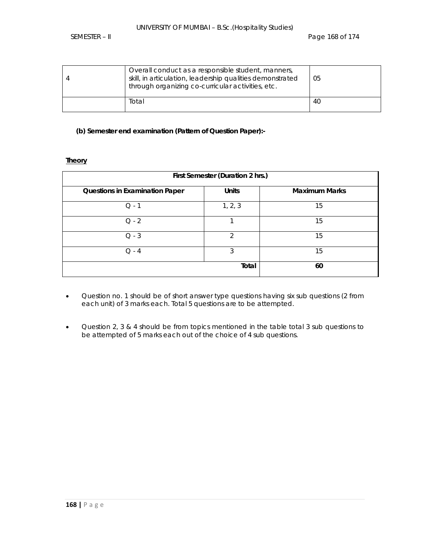| Overall conduct as a responsible student, manners,<br>skill, in articulation, leadership qualities demonstrated<br>through organizing co-curricular activities, etc. | 05 |
|----------------------------------------------------------------------------------------------------------------------------------------------------------------------|----|
| Total                                                                                                                                                                | 40 |

## **(b) Semester end examination (Pattern of Question Paper):-**

### **Theory**

| First Semester (Duration 2 hrs.)      |                |                      |  |  |  |  |  |
|---------------------------------------|----------------|----------------------|--|--|--|--|--|
| <b>Questions in Examination Paper</b> | <b>Units</b>   | <b>Maximum Marks</b> |  |  |  |  |  |
| $Q - 1$                               | 1, 2, 3        | 15                   |  |  |  |  |  |
| $Q - 2$                               |                | 15                   |  |  |  |  |  |
| $Q - 3$                               | $\mathfrak{D}$ | 15                   |  |  |  |  |  |
| $O - 4$                               | 3              | 15                   |  |  |  |  |  |
|                                       | Total          | 60                   |  |  |  |  |  |

- Question no. 1 should be of short answer type questions having six sub questions (2 from each unit) of 3 marks each. Total 5 questions are to be attempted.
- Question 2, 3 & 4 should be from topics mentioned in the table total 3 sub questions to be attempted of 5 marks each out of the choice of 4 sub questions.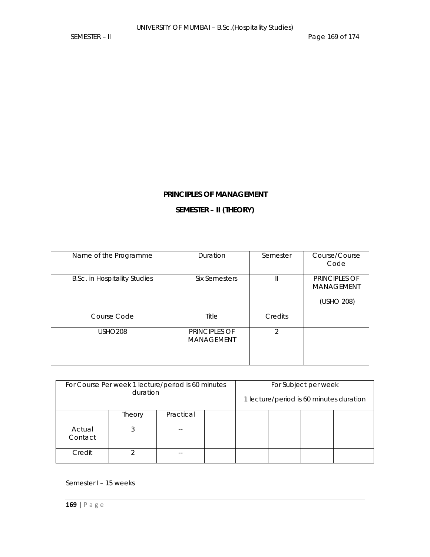# **PRINCIPLES OF MANAGEMENT**

# **SEMESTER – II (THEORY)**

| Name of the Programme               | Duration                                  | Semester       | Course/Course<br>Code                            |
|-------------------------------------|-------------------------------------------|----------------|--------------------------------------------------|
| <b>B.Sc. in Hospitality Studies</b> | <b>Six Semesters</b>                      |                | PRINCIPLES OF<br><b>MANAGEMENT</b><br>(USHO 208) |
| Course Code                         | <b>Title</b>                              | Credits        |                                                  |
| <b>USHO208</b>                      | <b>PRINCIPLES OF</b><br><b>MANAGEMENT</b> | $\mathfrak{D}$ |                                                  |

| For Course Per week 1 lecture/period is 60 minutes | For Subject per week |           |  |  |  |  |                                         |
|----------------------------------------------------|----------------------|-----------|--|--|--|--|-----------------------------------------|
| duration                                           |                      |           |  |  |  |  | 1 lecture/period is 60 minutes duration |
|                                                    | Theory               | Practical |  |  |  |  |                                         |
| Actual<br>Contact                                  | 3                    |           |  |  |  |  |                                         |
| Credit                                             |                      | --        |  |  |  |  |                                         |

# Semester I – 15 weeks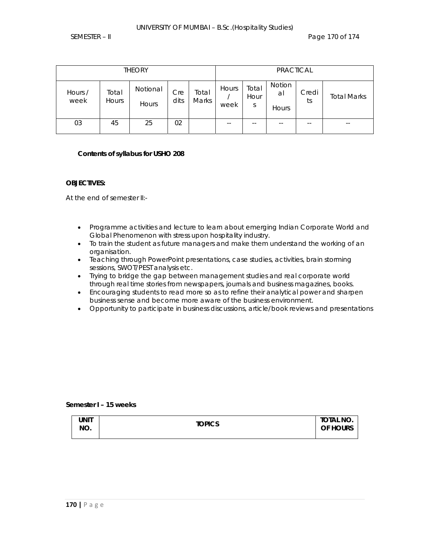| <b>THEORY</b>   |                |                   |             |                |               | <b>PRACTICAL</b>   |                       |             |                    |
|-----------------|----------------|-------------------|-------------|----------------|---------------|--------------------|-----------------------|-------------|--------------------|
| Hours /<br>week | Total<br>Hours | Notional<br>Hours | Cre<br>dits | Total<br>Marks | Hours<br>week | Total<br>Hour<br>S | Notion<br>al<br>Hours | Credi<br>ts | <b>Total Marks</b> |
| 03              | 45             | 25                | 02          |                | $- -$         | $- -$              | $- -$                 | $- -$       | $- -$              |

#### **Contents of syllabus for USHO 208**

#### **OBJECTIVES:**

At the end of semester II:-

- Programme activities and lecture to learn about emerging Indian Corporate World and Global Phenomenon with stress upon hospitality industry.
- To train the student as future managers and make them understand the working of an organisation.
- Teaching through PowerPoint presentations, case studies, activities, brain storming sessions, SWOT/PEST analysis etc.
- Trying to bridge the gap between management studies and real corporate world through real time stories from newspapers, journals and business magazines, books.
- Encouraging students to read more so as to refine their analytical power and sharpen business sense and become more aware of the business environment.
- Opportunity to participate in business discussions, article/book reviews and presentations

#### **Semester I – 15 weeks**

| unit<br>NO. | <b>TOPICS</b> | total No.<br>OF HOURS |
|-------------|---------------|-----------------------|
|             |               |                       |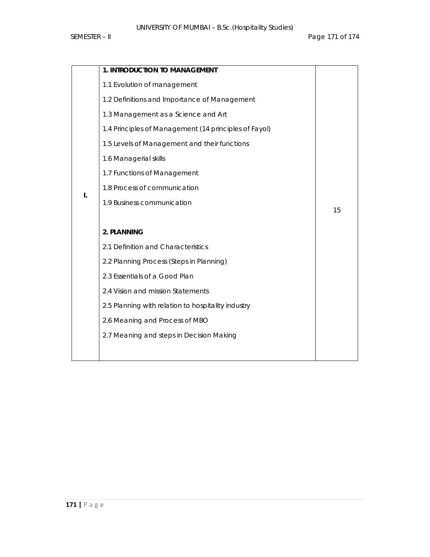|    | 1. INTRODUCTION TO MANAGEMENT                         |    |
|----|-------------------------------------------------------|----|
|    | 1.1 Evolution of management                           |    |
|    | 1.2 Definitions and Importance of Management          |    |
|    | 1.3 Management as a Science and Art                   |    |
|    | 1.4 Principles of Management (14 principles of Fayol) |    |
|    | 1.5 Levels of Management and their functions          |    |
|    | 1.6 Managerial skills                                 |    |
|    | 1.7 Functions of Management                           |    |
|    | 1.8 Process of communication                          |    |
| I. | 1.9 Business communication                            |    |
|    |                                                       | 15 |
|    | 2. PLANNING                                           |    |
|    | 2.1 Definition and Characteristics                    |    |
|    | 2.2 Planning Process (Steps in Planning)              |    |
|    | 2.3 Essentials of a Good Plan                         |    |
|    | 2.4 Vision and mission Statements                     |    |
|    | 2.5 Planning with relation to hospitality industry    |    |
|    | 2.6 Meaning and Process of MBO                        |    |
|    | 2.7 Meaning and steps in Decision Making              |    |
|    |                                                       |    |
|    |                                                       |    |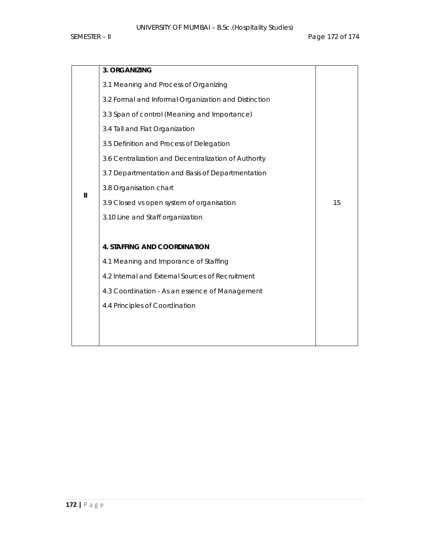|              | 3. ORGANIZING                                        |    |
|--------------|------------------------------------------------------|----|
|              | 3.1 Meaning and Process of Organizing                |    |
|              | 3.2 Formal and Informal Organization and Distinction |    |
|              | 3.3 Span of control (Meaning and Importance)         |    |
|              | 3.4 Tall and Flat Organization                       |    |
| $\mathbf{I}$ | 3.5 Definition and Process of Delegation             |    |
|              | 3.6 Centralization and Decentralization of Authority |    |
|              | 3.7 Departmentation and Basis of Departmentation     |    |
|              | 3.8 Organisation chart                               |    |
|              | 3.9 Closed vs open system of organisation            | 15 |
|              | 3.10 Line and Staff organization                     |    |
|              |                                                      |    |
|              | <b>4. STAFFING AND COORDINATION</b>                  |    |
|              | 4.1 Meaning and Imporance of Staffing                |    |
|              | 4.2 Internal and External Sources of Recruitment     |    |
|              | 4.3 Coordination - As an essence of Management       |    |
|              | 4.4 Principles of Coordination                       |    |
|              |                                                      |    |
|              |                                                      |    |
|              |                                                      |    |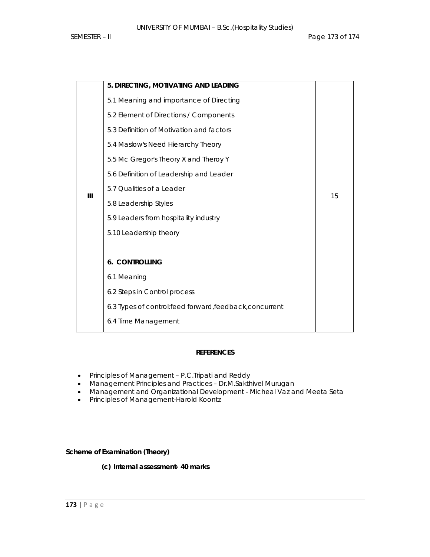|     | 5. DIRECTING, MOTIVATING AND LEADING                     |    |
|-----|----------------------------------------------------------|----|
|     | 5.1 Meaning and importance of Directing                  |    |
|     | 5.2 Element of Directions / Components                   |    |
|     | 5.3 Definition of Motivation and factors                 |    |
|     | 5.4 Maslow's Need Hierarchy Theory                       |    |
|     | 5.5 Mc Gregor's Theory X and Theroy Y                    |    |
| III | 5.6 Definition of Leadership and Leader                  |    |
|     | 5.7 Qualities of a Leader                                |    |
|     | 5.8 Leadership Styles                                    | 15 |
|     | 5.9 Leaders from hospitality industry                    |    |
|     | 5.10 Leadership theory                                   |    |
|     |                                                          |    |
|     | <b>6. CONTROLLING</b>                                    |    |
|     | 6.1 Meaning                                              |    |
|     | 6.2 Steps in Control process                             |    |
|     | 6.3 Types of control: feed forward, feedback, concurrent |    |
|     | 6.4 Time Management                                      |    |

# **REFERENCES**

- Principles of Management P.C.Tripati and Reddy
- Management Principles and Practices Dr.M.Sakthivel Murugan
- Management and Organizational Development Micheal Vaz and Meeta Seta
- Principles of Management-Harold Koontz

# **Scheme of Examination (Theory)**

**(c) Internal assessment- 40 marks**